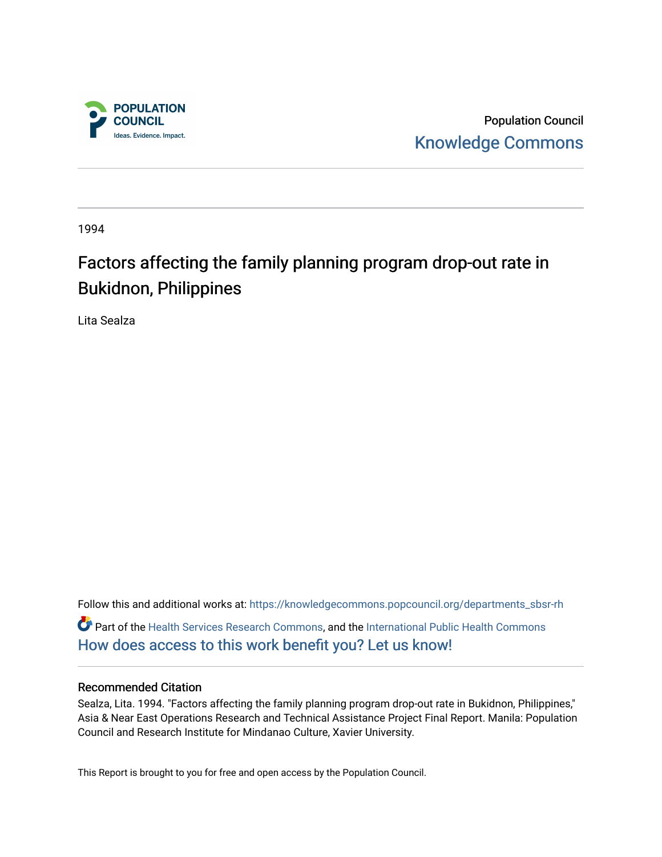

Population Council [Knowledge Commons](https://knowledgecommons.popcouncil.org/) 

1994

# Factors affecting the family planning program drop-out rate in Bukidnon, Philippines

Lita Sealza

Follow this and additional works at: [https://knowledgecommons.popcouncil.org/departments\\_sbsr-rh](https://knowledgecommons.popcouncil.org/departments_sbsr-rh?utm_source=knowledgecommons.popcouncil.org%2Fdepartments_sbsr-rh%2F2124&utm_medium=PDF&utm_campaign=PDFCoverPages)  Part of the [Health Services Research Commons,](https://network.bepress.com/hgg/discipline/816?utm_source=knowledgecommons.popcouncil.org%2Fdepartments_sbsr-rh%2F2124&utm_medium=PDF&utm_campaign=PDFCoverPages) and the [International Public Health Commons](https://network.bepress.com/hgg/discipline/746?utm_source=knowledgecommons.popcouncil.org%2Fdepartments_sbsr-rh%2F2124&utm_medium=PDF&utm_campaign=PDFCoverPages)  [How does access to this work benefit you? Let us know!](https://pcouncil.wufoo.com/forms/open-access-to-population-council-research/)

#### Recommended Citation

Sealza, Lita. 1994. "Factors affecting the family planning program drop-out rate in Bukidnon, Philippines," Asia & Near East Operations Research and Technical Assistance Project Final Report. Manila: Population Council and Research Institute for Mindanao Culture, Xavier University.

This Report is brought to you for free and open access by the Population Council.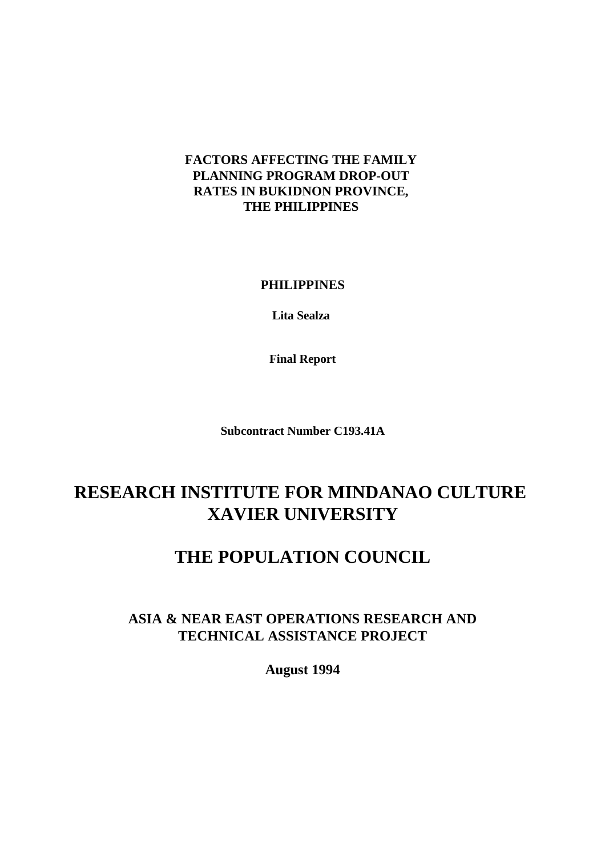## **FACTORS AFFECTING THE FAMILY PLANNING PROGRAM DROP-OUT RATES IN BUKIDNON PROVINCE, THE PHILIPPINES**

**PHILIPPINES**

**Lita Sealza** 

**Final Report**

**Subcontract Number C193.41A**

# **RESEARCH INSTITUTE FOR MINDANAO CULTURE XAVIER UNIVERSITY**

# **THE POPULATION COUNCIL**

# **ASIA & NEAR EAST OPERATIONS RESEARCH AND TECHNICAL ASSISTANCE PROJECT**

**August 1994**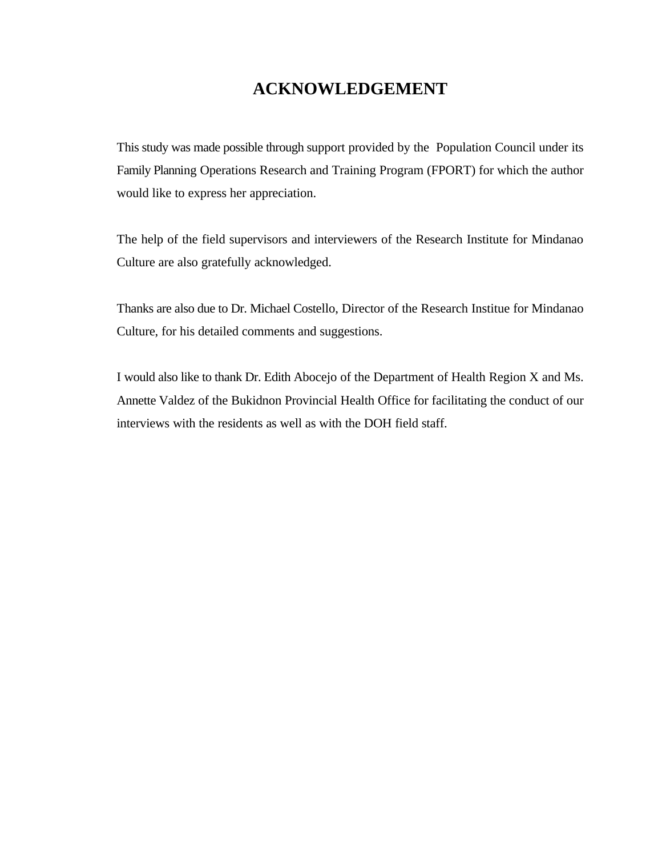# **ACKNOWLEDGEMENT**

This study was made possible through support provided by the Population Council under its Family Planning Operations Research and Training Program (FPORT) for which the author would like to express her appreciation.

The help of the field supervisors and interviewers of the Research Institute for Mindanao Culture are also gratefully acknowledged.

Thanks are also due to Dr. Michael Costello, Director of the Research Institue for Mindanao Culture, for his detailed comments and suggestions.

I would also like to thank Dr. Edith Abocejo of the Department of Health Region X and Ms. Annette Valdez of the Bukidnon Provincial Health Office for facilitating the conduct of our interviews with the residents as well as with the DOH field staff.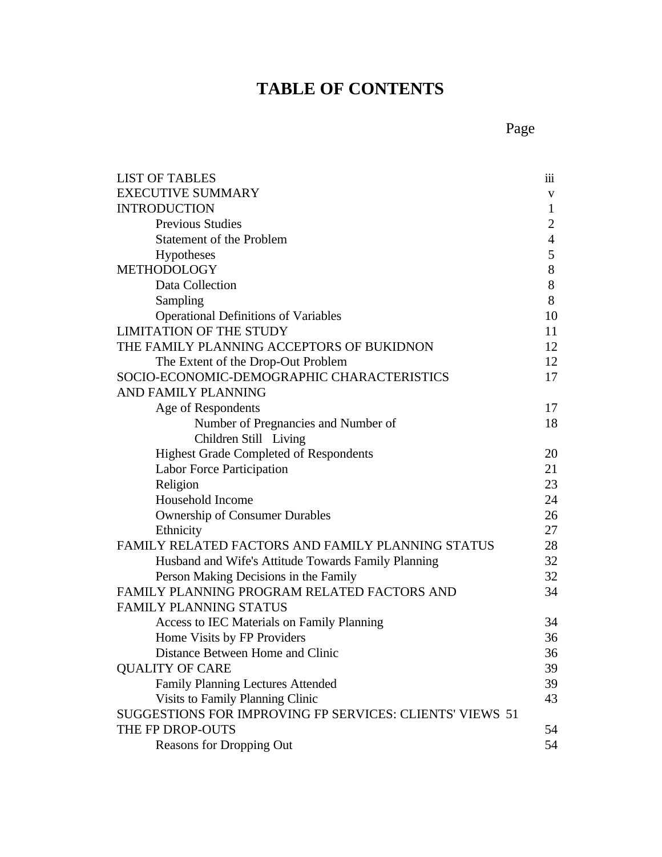# **TABLE OF CONTENTS**

|--|

| <b>LIST OF TABLES</b>                                    | $\overline{\text{iii}}$ |
|----------------------------------------------------------|-------------------------|
| <b>EXECUTIVE SUMMARY</b>                                 | V                       |
| <b>INTRODUCTION</b>                                      | $\mathbf{1}$            |
| <b>Previous Studies</b>                                  | $\overline{2}$          |
| <b>Statement of the Problem</b>                          | $\overline{4}$          |
| Hypotheses                                               | 5                       |
| METHODOLOGY                                              | 8                       |
| Data Collection                                          | 8                       |
| Sampling                                                 | 8                       |
| <b>Operational Definitions of Variables</b>              | 10                      |
| <b>LIMITATION OF THE STUDY</b>                           | 11                      |
| THE FAMILY PLANNING ACCEPTORS OF BUKIDNON                | 12                      |
| The Extent of the Drop-Out Problem                       | 12                      |
| SOCIO-ECONOMIC-DEMOGRAPHIC CHARACTERISTICS               | 17                      |
| AND FAMILY PLANNING                                      |                         |
| Age of Respondents                                       | 17                      |
| Number of Pregnancies and Number of                      | 18                      |
| Children Still Living                                    |                         |
| <b>Highest Grade Completed of Respondents</b>            | 20                      |
| Labor Force Participation                                | 21                      |
| Religion                                                 | 23                      |
| Household Income                                         | 24                      |
| <b>Ownership of Consumer Durables</b>                    | 26                      |
| Ethnicity                                                | 27                      |
| <b>FAMILY RELATED FACTORS AND FAMILY PLANNING STATUS</b> | 28                      |
| Husband and Wife's Attitude Towards Family Planning      | 32                      |
| Person Making Decisions in the Family                    | 32                      |
| FAMILY PLANNING PROGRAM RELATED FACTORS AND              | 34                      |
| <b>FAMILY PLANNING STATUS</b>                            |                         |
| Access to IEC Materials on Family Planning               | 34                      |
| Home Visits by FP Providers                              | 36                      |
| Distance Between Home and Clinic                         | 36                      |
| <b>QUALITY OF CARE</b>                                   | 39                      |
| <b>Family Planning Lectures Attended</b>                 | 39                      |
| Visits to Family Planning Clinic                         | 43                      |
| SUGGESTIONS FOR IMPROVING FP SERVICES: CLIENTS' VIEWS 51 |                         |
| THE FP DROP-OUTS                                         | 54                      |
| <b>Reasons for Dropping Out</b>                          | 54                      |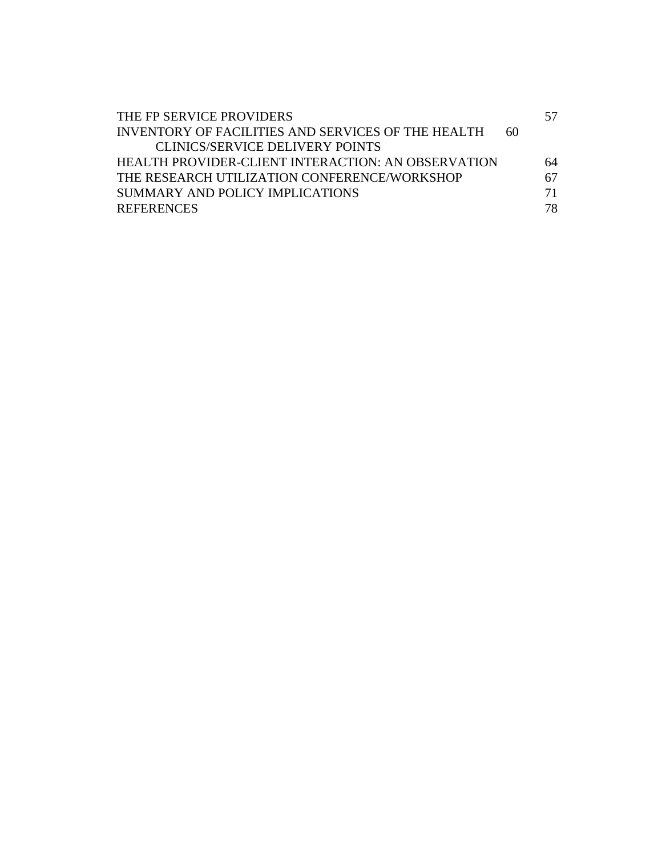| THE FP SERVICE PROVIDERS                                  |    | 57 |
|-----------------------------------------------------------|----|----|
| <b>INVENTORY OF FACILITIES AND SERVICES OF THE HEALTH</b> | 60 |    |
| <b>CLINICS/SERVICE DELIVERY POINTS</b>                    |    |    |
| HEALTH PROVIDER-CLIENT INTERACTION: AN OBSERVATION        |    | 64 |
| THE RESEARCH UTILIZATION CONFERENCE/WORKSHOP              |    | 67 |
| SUMMARY AND POLICY IMPLICATIONS                           |    | 71 |
| <b>REFERENCES</b>                                         |    | 78 |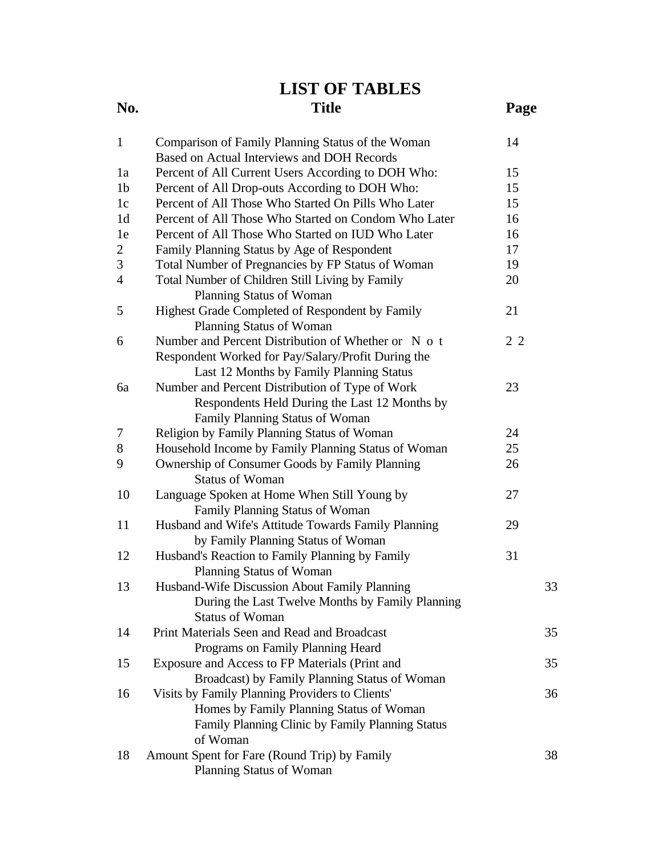# **LIST OF TABLES**

# **No. Title Page** 1 Comparison of Family Planning Status of the Woman 14 Based on Actual Interviews and DOH Records 1a Percent of All Current Users According to DOH Who: 15 1b Percent of All Drop-outs According to DOH Who: 15

| 1c             | Percent of All Those Who Started On Pills Who Later  | 15  |    |
|----------------|------------------------------------------------------|-----|----|
| 1 <sub>d</sub> | Percent of All Those Who Started on Condom Who Later | 16  |    |
| 1e             | Percent of All Those Who Started on IUD Who Later    | 16  |    |
| 2              | Family Planning Status by Age of Respondent          | 17  |    |
| 3              | Total Number of Pregnancies by FP Status of Woman    | 19  |    |
| $\overline{4}$ | Total Number of Children Still Living by Family      | 20  |    |
|                | Planning Status of Woman                             |     |    |
| 5              | Highest Grade Completed of Respondent by Family      | 21  |    |
|                | Planning Status of Woman                             |     |    |
| 6              | Number and Percent Distribution of Whether or N o t  | 2 2 |    |
|                | Respondent Worked for Pay/Salary/Profit During the   |     |    |
|                | Last 12 Months by Family Planning Status             |     |    |
| 6a             | Number and Percent Distribution of Type of Work      | 23  |    |
|                | Respondents Held During the Last 12 Months by        |     |    |
|                | Family Planning Status of Woman                      |     |    |
| 7              | Religion by Family Planning Status of Woman          | 24  |    |
| 8              | Household Income by Family Planning Status of Woman  | 25  |    |
| 9              | Ownership of Consumer Goods by Family Planning       | 26  |    |
|                | <b>Status of Woman</b>                               |     |    |
| 10             | Language Spoken at Home When Still Young by          | 27  |    |
|                | Family Planning Status of Woman                      |     |    |
| 11             | Husband and Wife's Attitude Towards Family Planning  | 29  |    |
|                | by Family Planning Status of Woman                   |     |    |
| 12             | Husband's Reaction to Family Planning by Family      | 31  |    |
|                | Planning Status of Woman                             |     |    |
| 13             | Husband-Wife Discussion About Family Planning        |     | 33 |
|                | During the Last Twelve Months by Family Planning     |     |    |
|                | <b>Status of Woman</b>                               |     |    |
| 14             | Print Materials Seen and Read and Broadcast          |     | 35 |
|                | Programs on Family Planning Heard                    |     |    |
| 15             | Exposure and Access to FP Materials (Print and       |     | 35 |
|                | Broadcast) by Family Planning Status of Woman        |     |    |
| 16             | Visits by Family Planning Providers to Clients'      |     | 36 |
|                | Homes by Family Planning Status of Woman             |     |    |
|                | Family Planning Clinic by Family Planning Status     |     |    |
|                | of Woman                                             |     |    |
| 18             | Amount Spent for Fare (Round Trip) by Family         |     | 38 |
|                | Planning Status of Woman                             |     |    |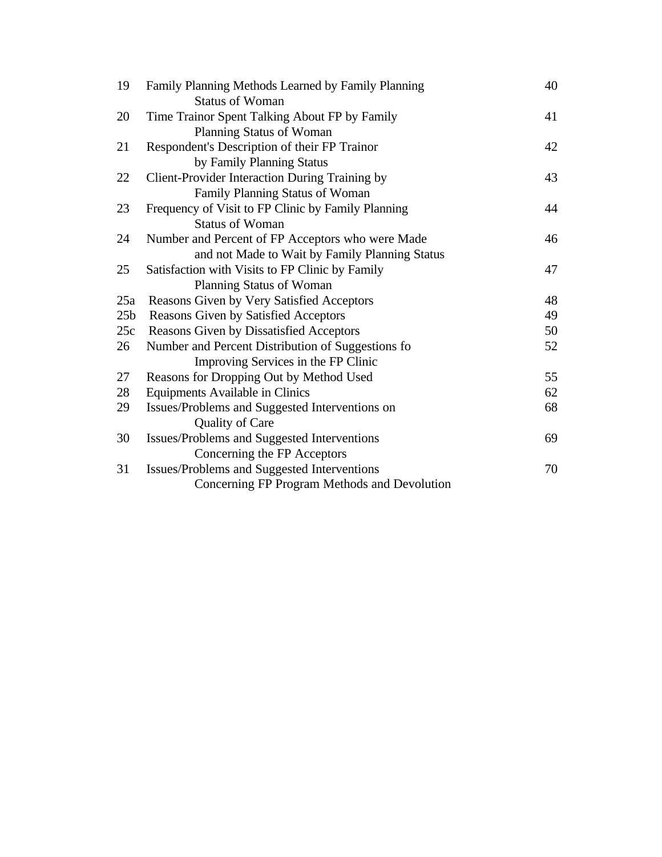| 19              | Family Planning Methods Learned by Family Planning    | 40 |
|-----------------|-------------------------------------------------------|----|
|                 | <b>Status of Woman</b>                                |    |
| 20              | Time Trainor Spent Talking About FP by Family         | 41 |
|                 | Planning Status of Woman                              |    |
| 21              | Respondent's Description of their FP Trainor          | 42 |
|                 | by Family Planning Status                             |    |
| 22              | <b>Client-Provider Interaction During Training by</b> | 43 |
|                 | Family Planning Status of Woman                       |    |
| 23              | Frequency of Visit to FP Clinic by Family Planning    | 44 |
|                 | <b>Status of Woman</b>                                |    |
| 24              | Number and Percent of FP Acceptors who were Made      | 46 |
|                 | and not Made to Wait by Family Planning Status        |    |
| 25              | Satisfaction with Visits to FP Clinic by Family       | 47 |
|                 | Planning Status of Woman                              |    |
| 25a             | Reasons Given by Very Satisfied Acceptors             | 48 |
| 25 <sub>b</sub> | Reasons Given by Satisfied Acceptors                  | 49 |
| 25c             | Reasons Given by Dissatisfied Acceptors               | 50 |
| 26              | Number and Percent Distribution of Suggestions fo     | 52 |
|                 | Improving Services in the FP Clinic                   |    |
| 27              | Reasons for Dropping Out by Method Used               | 55 |
| 28              | Equipments Available in Clinics                       | 62 |
| 29              | Issues/Problems and Suggested Interventions on        | 68 |
|                 | Quality of Care                                       |    |
| 30              | Issues/Problems and Suggested Interventions           | 69 |
|                 | Concerning the FP Acceptors                           |    |
| 31              | Issues/Problems and Suggested Interventions           | 70 |
|                 | Concerning FP Program Methods and Devolution          |    |
|                 |                                                       |    |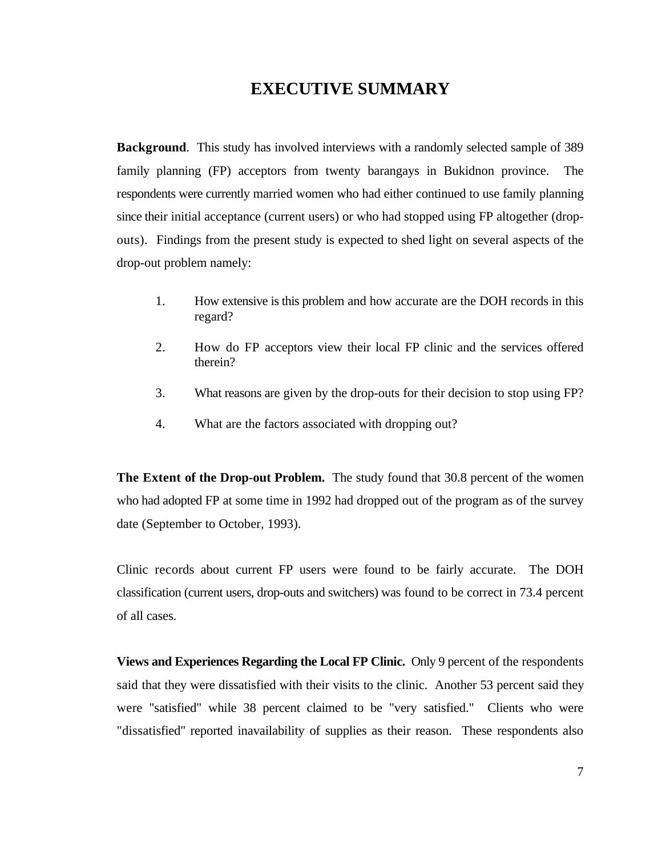# **EXECUTIVE SUMMARY**

**Background**. This study has involved interviews with a randomly selected sample of 389 family planning (FP) acceptors from twenty barangays in Bukidnon province. The respondents were currently married women who had either continued to use family planning since their initial acceptance (current users) or who had stopped using FP altogether (dropouts). Findings from the present study is expected to shed light on several aspects of the drop-out problem namely:

- 1. How extensive is this problem and how accurate are the DOH records in this regard?
- 2. How do FP acceptors view their local FP clinic and the services offered therein?
- 3. What reasons are given by the drop-outs for their decision to stop using FP?
- 4. What are the factors associated with dropping out?

**The Extent of the Drop-out Problem.** The study found that 30.8 percent of the women who had adopted FP at some time in 1992 had dropped out of the program as of the survey date (September to October, 1993).

Clinic records about current FP users were found to be fairly accurate. The DOH classification (current users, drop-outs and switchers) was found to be correct in 73.4 percent of all cases.

**Views and Experiences Regarding the Local FP Clinic.** Only 9 percent of the respondents said that they were dissatisfied with their visits to the clinic. Another 53 percent said they were "satisfied" while 38 percent claimed to be "very satisfied." Clients who were "dissatisfied" reported inavailability of supplies as their reason. These respondents also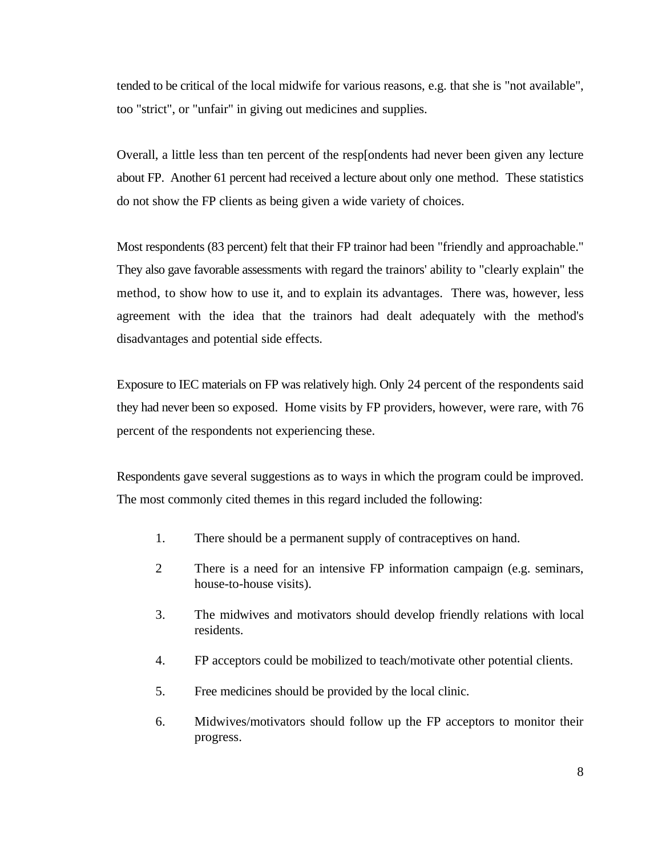tended to be critical of the local midwife for various reasons, e.g. that she is "not available", too "strict", or "unfair" in giving out medicines and supplies.

Overall, a little less than ten percent of the resp[ondents had never been given any lecture about FP. Another 61 percent had received a lecture about only one method. These statistics do not show the FP clients as being given a wide variety of choices.

Most respondents (83 percent) felt that their FP trainor had been "friendly and approachable." They also gave favorable assessments with regard the trainors' ability to "clearly explain" the method, to show how to use it, and to explain its advantages. There was, however, less agreement with the idea that the trainors had dealt adequately with the method's disadvantages and potential side effects.

Exposure to IEC materials on FP was relatively high. Only 24 percent of the respondents said they had never been so exposed. Home visits by FP providers, however, were rare, with 76 percent of the respondents not experiencing these.

Respondents gave several suggestions as to ways in which the program could be improved. The most commonly cited themes in this regard included the following:

- 1. There should be a permanent supply of contraceptives on hand.
- 2 There is a need for an intensive FP information campaign (e.g. seminars, house-to-house visits).
- 3. The midwives and motivators should develop friendly relations with local residents.
- 4. FP acceptors could be mobilized to teach/motivate other potential clients.
- 5. Free medicines should be provided by the local clinic.
- 6. Midwives/motivators should follow up the FP acceptors to monitor their progress.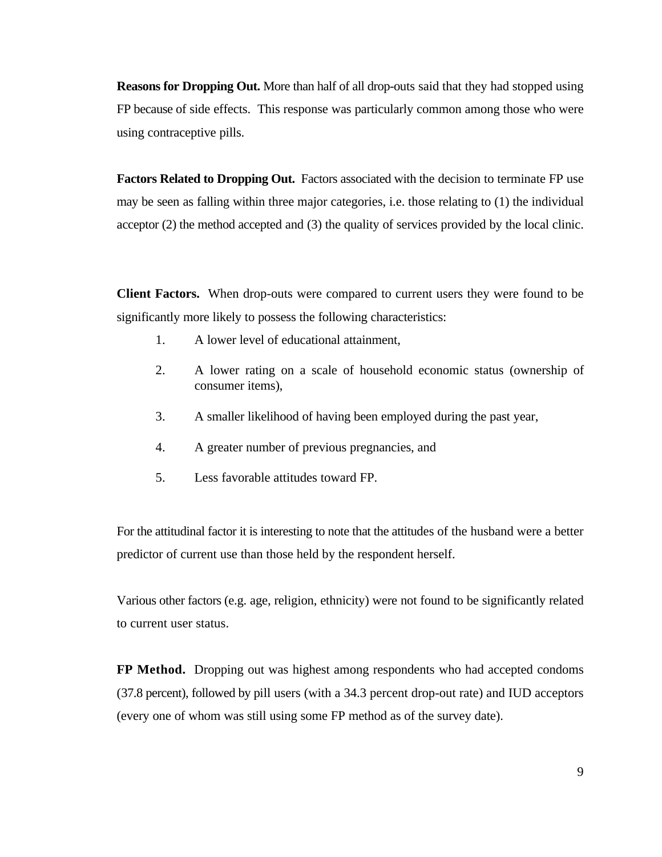**Reasons for Dropping Out.** More than half of all drop-outs said that they had stopped using FP because of side effects. This response was particularly common among those who were using contraceptive pills.

**Factors Related to Dropping Out.** Factors associated with the decision to terminate FP use may be seen as falling within three major categories, i.e. those relating to (1) the individual acceptor (2) the method accepted and (3) the quality of services provided by the local clinic.

**Client Factors.** When drop-outs were compared to current users they were found to be significantly more likely to possess the following characteristics:

- 1. A lower level of educational attainment,
- 2. A lower rating on a scale of household economic status (ownership of consumer items),
- 3. A smaller likelihood of having been employed during the past year,
- 4. A greater number of previous pregnancies, and
- 5. Less favorable attitudes toward FP.

For the attitudinal factor it is interesting to note that the attitudes of the husband were a better predictor of current use than those held by the respondent herself.

Various other factors (e.g. age, religion, ethnicity) were not found to be significantly related to current user status.

**FP Method.** Dropping out was highest among respondents who had accepted condoms (37.8 percent), followed by pill users (with a 34.3 percent drop-out rate) and IUD acceptors (every one of whom was still using some FP method as of the survey date).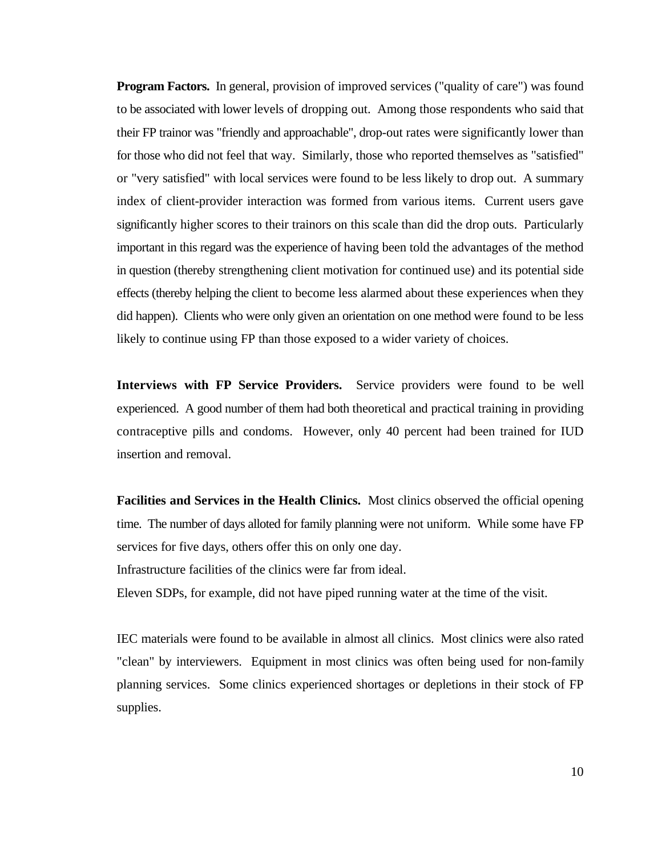**Program Factors.** In general, provision of improved services ("quality of care") was found to be associated with lower levels of dropping out. Among those respondents who said that their FP trainor was "friendly and approachable", drop-out rates were significantly lower than for those who did not feel that way. Similarly, those who reported themselves as "satisfied" or "very satisfied" with local services were found to be less likely to drop out. A summary index of client-provider interaction was formed from various items. Current users gave significantly higher scores to their trainors on this scale than did the drop outs. Particularly important in this regard was the experience of having been told the advantages of the method in question (thereby strengthening client motivation for continued use) and its potential side effects (thereby helping the client to become less alarmed about these experiences when they did happen). Clients who were only given an orientation on one method were found to be less likely to continue using FP than those exposed to a wider variety of choices.

**Interviews with FP Service Providers.** Service providers were found to be well experienced. A good number of them had both theoretical and practical training in providing contraceptive pills and condoms. However, only 40 percent had been trained for IUD insertion and removal.

**Facilities and Services in the Health Clinics.** Most clinics observed the official opening time. The number of days alloted for family planning were not uniform. While some have FP services for five days, others offer this on only one day.

Infrastructure facilities of the clinics were far from ideal.

Eleven SDPs, for example, did not have piped running water at the time of the visit.

IEC materials were found to be available in almost all clinics. Most clinics were also rated "clean" by interviewers. Equipment in most clinics was often being used for non-family planning services. Some clinics experienced shortages or depletions in their stock of FP supplies.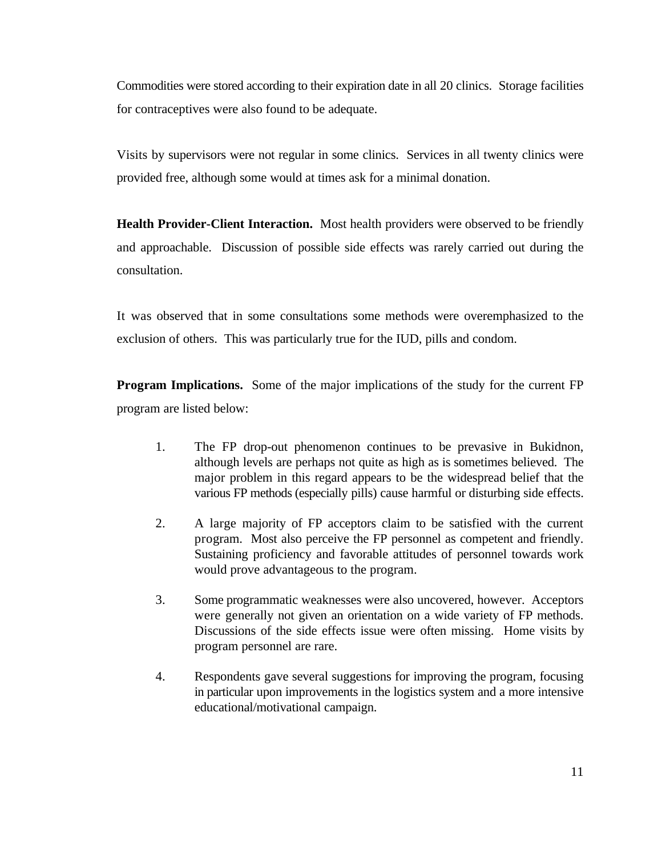Commodities were stored according to their expiration date in all 20 clinics. Storage facilities for contraceptives were also found to be adequate.

Visits by supervisors were not regular in some clinics. Services in all twenty clinics were provided free, although some would at times ask for a minimal donation.

**Health Provider-Client Interaction.** Most health providers were observed to be friendly and approachable. Discussion of possible side effects was rarely carried out during the consultation.

It was observed that in some consultations some methods were overemphasized to the exclusion of others. This was particularly true for the IUD, pills and condom.

**Program Implications.** Some of the major implications of the study for the current FP program are listed below:

- 1. The FP drop-out phenomenon continues to be prevasive in Bukidnon, although levels are perhaps not quite as high as is sometimes believed. The major problem in this regard appears to be the widespread belief that the various FP methods (especially pills) cause harmful or disturbing side effects.
- 2. A large majority of FP acceptors claim to be satisfied with the current program. Most also perceive the FP personnel as competent and friendly. Sustaining proficiency and favorable attitudes of personnel towards work would prove advantageous to the program.
- 3. Some programmatic weaknesses were also uncovered, however. Acceptors were generally not given an orientation on a wide variety of FP methods. Discussions of the side effects issue were often missing. Home visits by program personnel are rare.
- 4. Respondents gave several suggestions for improving the program, focusing in particular upon improvements in the logistics system and a more intensive educational/motivational campaign.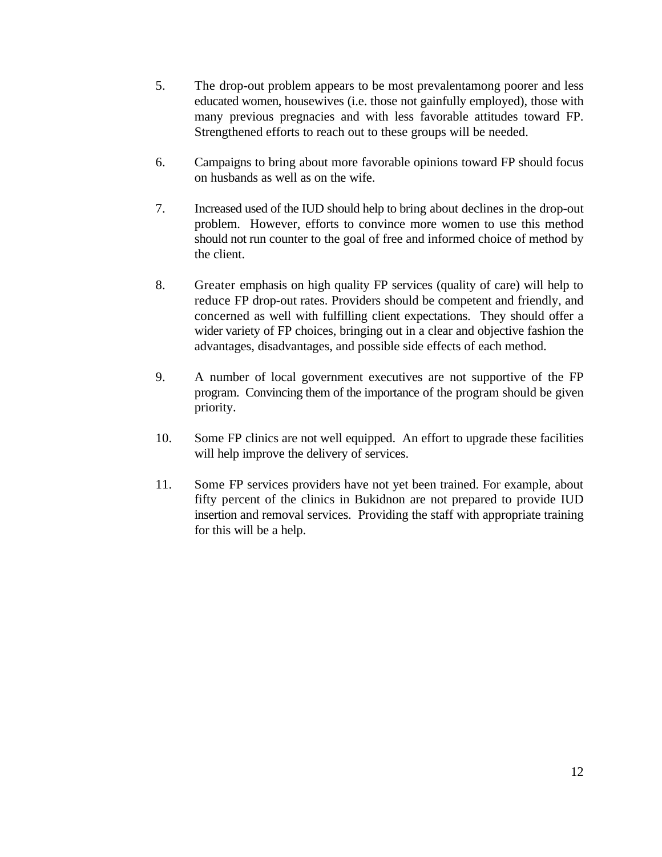- 5. The drop-out problem appears to be most prevalentamong poorer and less educated women, housewives (i.e. those not gainfully employed), those with many previous pregnacies and with less favorable attitudes toward FP. Strengthened efforts to reach out to these groups will be needed.
- 6. Campaigns to bring about more favorable opinions toward FP should focus on husbands as well as on the wife.
- 7. Increased used of the IUD should help to bring about declines in the drop-out problem. However, efforts to convince more women to use this method should not run counter to the goal of free and informed choice of method by the client.
- 8. Greater emphasis on high quality FP services (quality of care) will help to reduce FP drop-out rates. Providers should be competent and friendly, and concerned as well with fulfilling client expectations. They should offer a wider variety of FP choices, bringing out in a clear and objective fashion the advantages, disadvantages, and possible side effects of each method.
- 9. A number of local government executives are not supportive of the FP program. Convincing them of the importance of the program should be given priority.
- 10. Some FP clinics are not well equipped. An effort to upgrade these facilities will help improve the delivery of services.
- 11. Some FP services providers have not yet been trained. For example, about fifty percent of the clinics in Bukidnon are not prepared to provide IUD insertion and removal services. Providing the staff with appropriate training for this will be a help.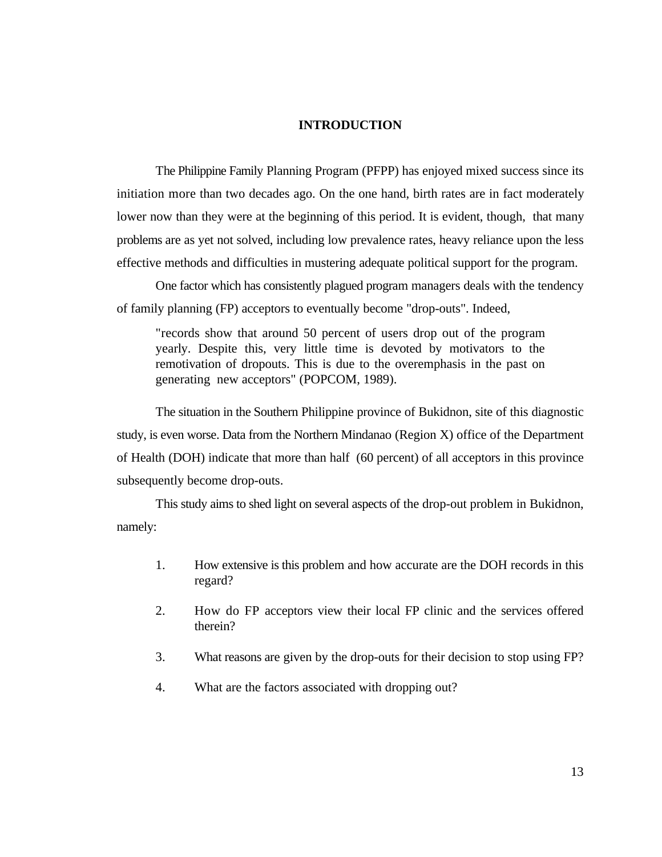#### **INTRODUCTION**

The Philippine Family Planning Program (PFPP) has enjoyed mixed success since its initiation more than two decades ago. On the one hand, birth rates are in fact moderately lower now than they were at the beginning of this period. It is evident, though, that many problems are as yet not solved, including low prevalence rates, heavy reliance upon the less effective methods and difficulties in mustering adequate political support for the program.

One factor which has consistently plagued program managers deals with the tendency of family planning (FP) acceptors to eventually become "drop-outs". Indeed,

"records show that around 50 percent of users drop out of the program yearly. Despite this, very little time is devoted by motivators to the remotivation of dropouts. This is due to the overemphasis in the past on generating new acceptors" (POPCOM, 1989).

The situation in the Southern Philippine province of Bukidnon, site of this diagnostic study, is even worse. Data from the Northern Mindanao (Region X) office of the Department of Health (DOH) indicate that more than half (60 percent) of all acceptors in this province subsequently become drop-outs.

This study aims to shed light on several aspects of the drop-out problem in Bukidnon, namely:

- 1. How extensive is this problem and how accurate are the DOH records in this regard?
- 2. How do FP acceptors view their local FP clinic and the services offered therein?
- 3. What reasons are given by the drop-outs for their decision to stop using FP?
- 4. What are the factors associated with dropping out?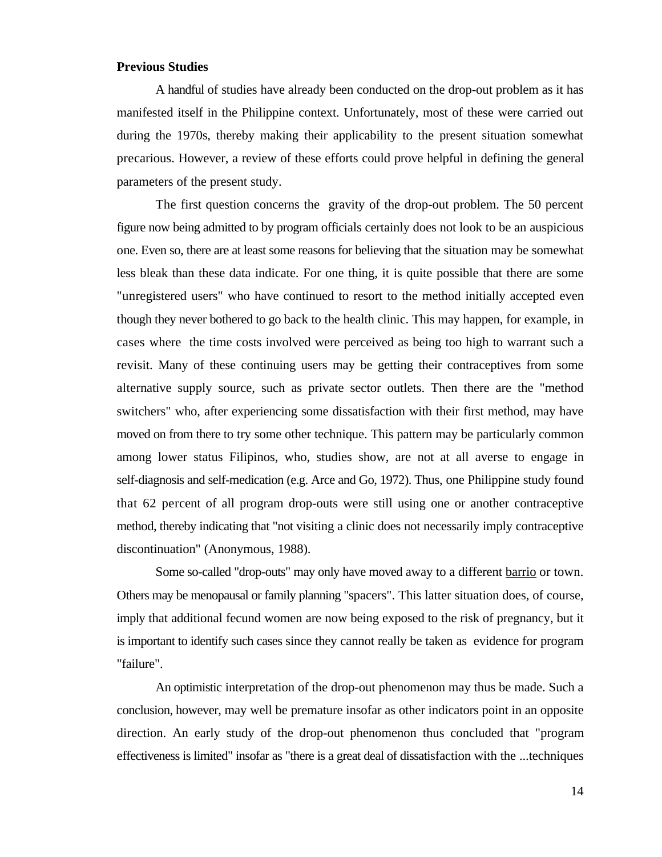#### **Previous Studies**

A handful of studies have already been conducted on the drop-out problem as it has manifested itself in the Philippine context. Unfortunately, most of these were carried out during the 1970s, thereby making their applicability to the present situation somewhat precarious. However, a review of these efforts could prove helpful in defining the general parameters of the present study.

The first question concerns the gravity of the drop-out problem. The 50 percent figure now being admitted to by program officials certainly does not look to be an auspicious one. Even so, there are at least some reasons for believing that the situation may be somewhat less bleak than these data indicate. For one thing, it is quite possible that there are some "unregistered users" who have continued to resort to the method initially accepted even though they never bothered to go back to the health clinic. This may happen, for example, in cases where the time costs involved were perceived as being too high to warrant such a revisit. Many of these continuing users may be getting their contraceptives from some alternative supply source, such as private sector outlets. Then there are the "method switchers" who, after experiencing some dissatisfaction with their first method, may have moved on from there to try some other technique. This pattern may be particularly common among lower status Filipinos, who, studies show, are not at all averse to engage in self-diagnosis and self-medication (e.g. Arce and Go, 1972). Thus, one Philippine study found that 62 percent of all program drop-outs were still using one or another contraceptive method, thereby indicating that "not visiting a clinic does not necessarily imply contraceptive discontinuation" (Anonymous, 1988).

Some so-called "drop-outs" may only have moved away to a different barrio or town. Others may be menopausal or family planning "spacers". This latter situation does, of course, imply that additional fecund women are now being exposed to the risk of pregnancy, but it is important to identify such cases since they cannot really be taken as evidence for program "failure".

An optimistic interpretation of the drop-out phenomenon may thus be made. Such a conclusion, however, may well be premature insofar as other indicators point in an opposite direction. An early study of the drop-out phenomenon thus concluded that "program effectiveness is limited" insofar as "there is a great deal of dissatisfaction with the ...techniques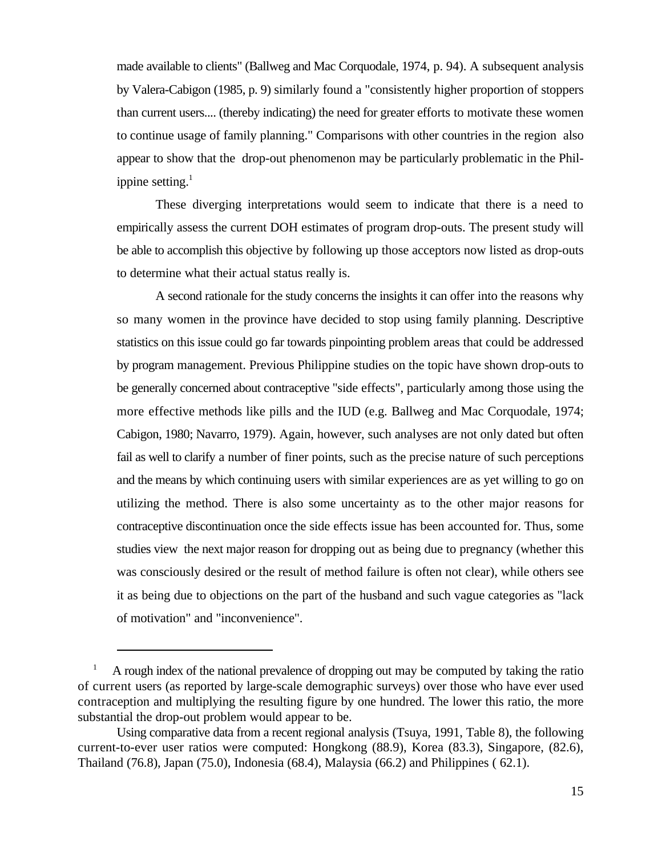made available to clients" (Ballweg and Mac Corquodale, 1974, p. 94). A subsequent analysis by Valera-Cabigon (1985, p. 9) similarly found a "consistently higher proportion of stoppers than current users.... (thereby indicating) the need for greater efforts to motivate these women to continue usage of family planning." Comparisons with other countries in the region also appear to show that the drop-out phenomenon may be particularly problematic in the Philippine setting. $<sup>1</sup>$ </sup>

These diverging interpretations would seem to indicate that there is a need to empirically assess the current DOH estimates of program drop-outs. The present study will be able to accomplish this objective by following up those acceptors now listed as drop-outs to determine what their actual status really is.

A second rationale for the study concerns the insights it can offer into the reasons why so many women in the province have decided to stop using family planning. Descriptive statistics on this issue could go far towards pinpointing problem areas that could be addressed by program management. Previous Philippine studies on the topic have shown drop-outs to be generally concerned about contraceptive "side effects", particularly among those using the more effective methods like pills and the IUD (e.g. Ballweg and Mac Corquodale, 1974; Cabigon, 1980; Navarro, 1979). Again, however, such analyses are not only dated but often fail as well to clarify a number of finer points, such as the precise nature of such perceptions and the means by which continuing users with similar experiences are as yet willing to go on utilizing the method. There is also some uncertainty as to the other major reasons for contraceptive discontinuation once the side effects issue has been accounted for. Thus, some studies view the next major reason for dropping out as being due to pregnancy (whether this was consciously desired or the result of method failure is often not clear), while others see it as being due to objections on the part of the husband and such vague categories as "lack of motivation" and "inconvenience".

A rough index of the national prevalence of dropping out may be computed by taking the ratio <sup>1</sup> of current users (as reported by large-scale demographic surveys) over those who have ever used contraception and multiplying the resulting figure by one hundred. The lower this ratio, the more substantial the drop-out problem would appear to be.

Using comparative data from a recent regional analysis (Tsuya, 1991, Table 8), the following current-to-ever user ratios were computed: Hongkong (88.9), Korea (83.3), Singapore, (82.6), Thailand (76.8), Japan (75.0), Indonesia (68.4), Malaysia (66.2) and Philippines ( 62.1).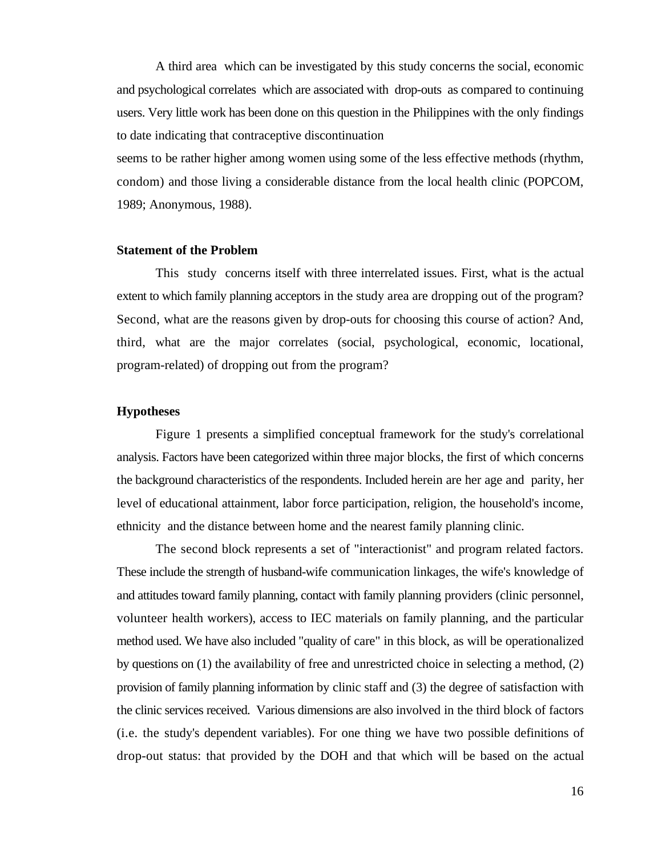A third area which can be investigated by this study concerns the social, economic and psychological correlates which are associated with drop-outs as compared to continuing users. Very little work has been done on this question in the Philippines with the only findings to date indicating that contraceptive discontinuation

seems to be rather higher among women using some of the less effective methods (rhythm, condom) and those living a considerable distance from the local health clinic (POPCOM, 1989; Anonymous, 1988).

#### **Statement of the Problem**

This study concerns itself with three interrelated issues. First, what is the actual extent to which family planning acceptors in the study area are dropping out of the program? Second, what are the reasons given by drop-outs for choosing this course of action? And, third, what are the major correlates (social, psychological, economic, locational, program-related) of dropping out from the program?

#### **Hypotheses**

Figure 1 presents a simplified conceptual framework for the study's correlational analysis. Factors have been categorized within three major blocks, the first of which concerns the background characteristics of the respondents. Included herein are her age and parity, her level of educational attainment, labor force participation, religion, the household's income, ethnicity and the distance between home and the nearest family planning clinic.

The second block represents a set of "interactionist" and program related factors. These include the strength of husband-wife communication linkages, the wife's knowledge of and attitudes toward family planning, contact with family planning providers (clinic personnel, volunteer health workers), access to IEC materials on family planning, and the particular method used. We have also included "quality of care" in this block, as will be operationalized by questions on (1) the availability of free and unrestricted choice in selecting a method, (2) provision of family planning information by clinic staff and (3) the degree of satisfaction with the clinic services received. Various dimensions are also involved in the third block of factors (i.e. the study's dependent variables). For one thing we have two possible definitions of drop-out status: that provided by the DOH and that which will be based on the actual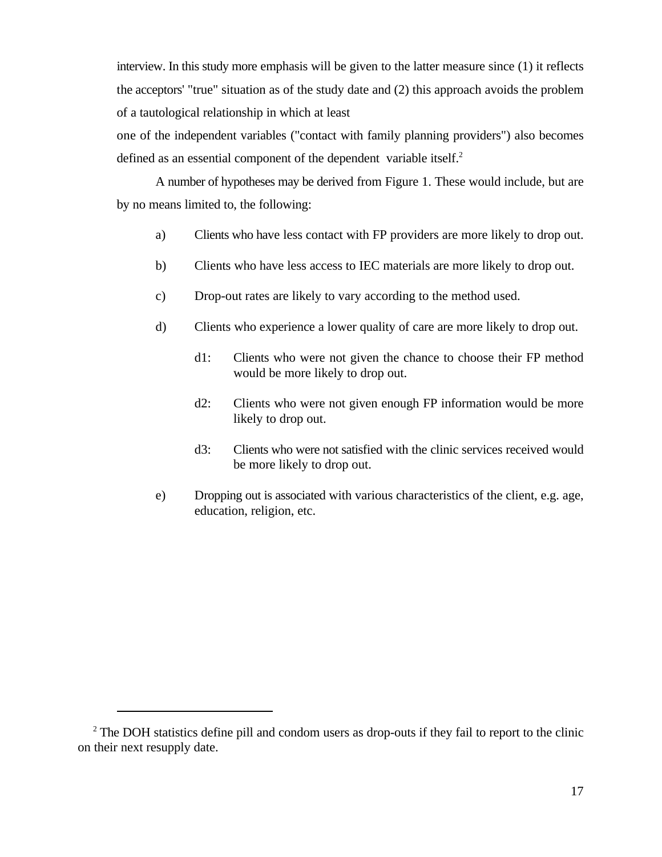interview. In this study more emphasis will be given to the latter measure since (1) it reflects the acceptors' "true" situation as of the study date and (2) this approach avoids the problem of a tautological relationship in which at least

one of the independent variables ("contact with family planning providers") also becomes defined as an essential component of the dependent variable itself.<sup>2</sup>

A number of hypotheses may be derived from Figure 1. These would include, but are by no means limited to, the following:

- a) Clients who have less contact with FP providers are more likely to drop out.
- b) Clients who have less access to IEC materials are more likely to drop out.
- c) Drop-out rates are likely to vary according to the method used.
- d) Clients who experience a lower quality of care are more likely to drop out.
	- d1: Clients who were not given the chance to choose their FP method would be more likely to drop out.
	- d2: Clients who were not given enough FP information would be more likely to drop out.
	- d3: Clients who were not satisfied with the clinic services received would be more likely to drop out.
- e) Dropping out is associated with various characteristics of the client, e.g. age, education, religion, etc.

<sup>&</sup>lt;sup>2</sup> The DOH statistics define pill and condom users as drop-outs if they fail to report to the clinic on their next resupply date.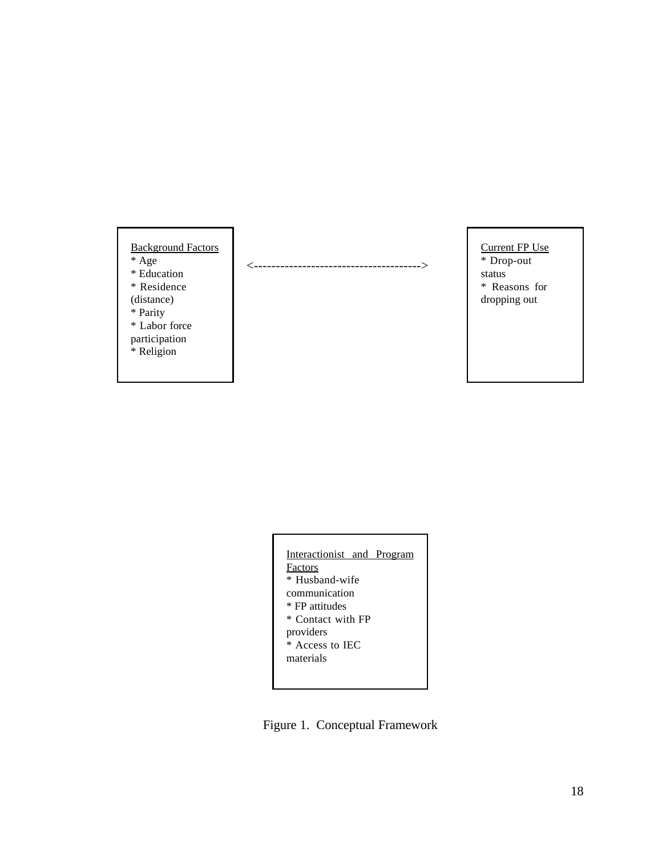#### Background Factors \* Age \* Education \* Residence (distance) \* Parity \* Labor force participation

\* Religion

<-------------------------------------->

Current FP Use \* Drop-out status

\* Reasons for dropping out

| Interactionist and Program |
|----------------------------|
| Factors                    |
| * Husband-wife             |
| communication              |
| * FP attitudes             |
| * Contact with FP          |
| providers                  |
| * Access to IEC            |
| materials                  |
|                            |
|                            |

Figure 1. Conceptual Framework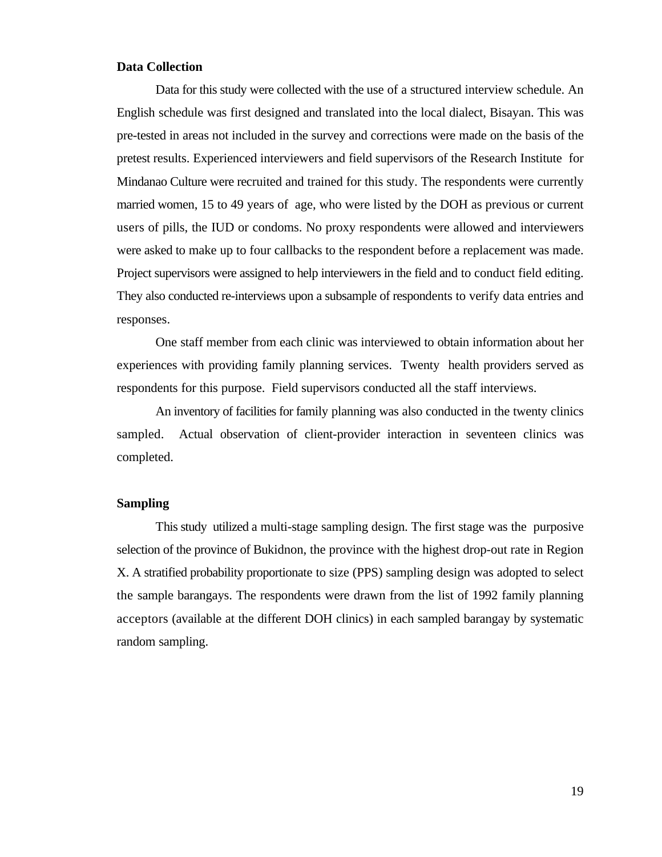#### **Data Collection**

Data for this study were collected with the use of a structured interview schedule. An English schedule was first designed and translated into the local dialect, Bisayan. This was pre-tested in areas not included in the survey and corrections were made on the basis of the pretest results. Experienced interviewers and field supervisors of the Research Institute for Mindanao Culture were recruited and trained for this study. The respondents were currently married women, 15 to 49 years of age, who were listed by the DOH as previous or current users of pills, the IUD or condoms. No proxy respondents were allowed and interviewers were asked to make up to four callbacks to the respondent before a replacement was made. Project supervisors were assigned to help interviewers in the field and to conduct field editing. They also conducted re-interviews upon a subsample of respondents to verify data entries and responses.

One staff member from each clinic was interviewed to obtain information about her experiences with providing family planning services. Twenty health providers served as respondents for this purpose. Field supervisors conducted all the staff interviews.

An inventory of facilities for family planning was also conducted in the twenty clinics sampled. Actual observation of client-provider interaction in seventeen clinics was completed.

#### **Sampling**

This study utilized a multi-stage sampling design. The first stage was the purposive selection of the province of Bukidnon, the province with the highest drop-out rate in Region X. A stratified probability proportionate to size (PPS) sampling design was adopted to select the sample barangays. The respondents were drawn from the list of 1992 family planning acceptors (available at the different DOH clinics) in each sampled barangay by systematic random sampling.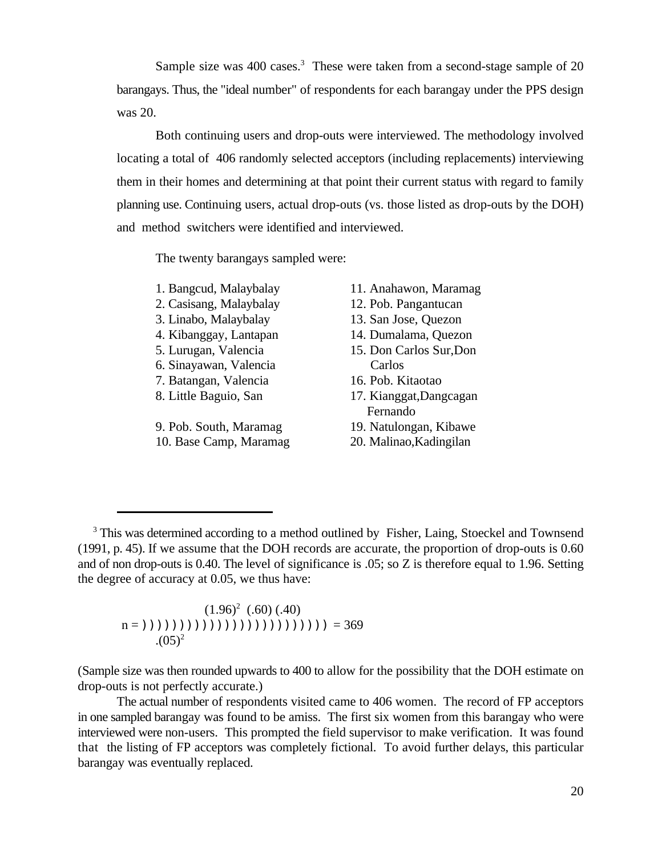Sample size was  $400$  cases.<sup>3</sup> These were taken from a second-stage sample of  $20$ barangays. Thus, the "ideal number" of respondents for each barangay under the PPS design was 20.

Both continuing users and drop-outs were interviewed. The methodology involved locating a total of 406 randomly selected acceptors (including replacements) interviewing them in their homes and determining at that point their current status with regard to family planning use. Continuing users, actual drop-outs (vs. those listed as drop-outs by the DOH) and method switchers were identified and interviewed.

The twenty barangays sampled were:

2. Casisang, Malaybalay 12. Pob. Pangantucan

- 
- 
- 
- 6. Sinayawan, Valencia Carlos
- 7. Batangan, Valencia 16. Pob. Kitaotao
- 

9. Pob. South, Maramag 19. Natulongan, Kibawe

- 1. Bangcud, Malaybalay 11. Anahawon, Maramag
	-
- 3. Linabo, Malaybalay 13. San Jose, Quezon
- 4. Kibanggay, Lantapan 14. Dumalama, Quezon
- 5. Lurugan, Valencia 15. Don Carlos Sur,Don
	-
- 8. Little Baguio, San 17. Kianggat,Dangcagan Fernando
	-
- 10. Base Camp, Maramag 20. Malinao,Kadingilan

 $(1.96)^2$  (.60) (.40)  $n = (1)(1)(1)(1)(1)(1)(1)(1)(1)(1) = 369$  $(0.05)^2$ 

(Sample size was then rounded upwards to 400 to allow for the possibility that the DOH estimate on drop-outs is not perfectly accurate.)

The actual number of respondents visited came to 406 women. The record of FP acceptors in one sampled barangay was found to be amiss. The first six women from this barangay who were interviewed were non-users. This prompted the field supervisor to make verification. It was found that the listing of FP acceptors was completely fictional. To avoid further delays, this particular barangay was eventually replaced.

<sup>&</sup>lt;sup>3</sup> This was determined according to a method outlined by Fisher, Laing, Stoeckel and Townsend (1991, p. 45). If we assume that the DOH records are accurate, the proportion of drop-outs is 0.60 and of non drop-outs is 0.40. The level of significance is .05; so Z is therefore equal to 1.96. Setting the degree of accuracy at 0.05, we thus have: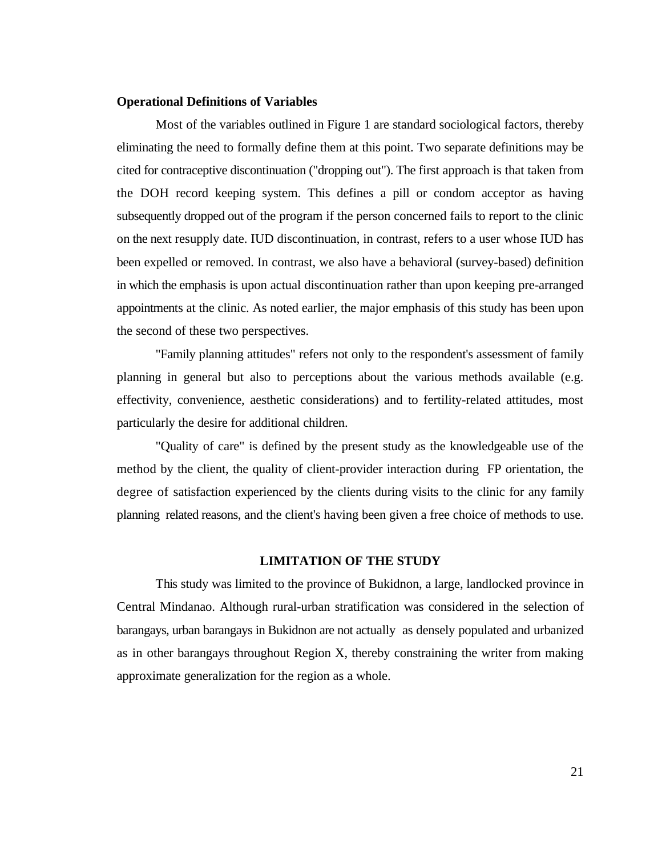#### **Operational Definitions of Variables**

Most of the variables outlined in Figure 1 are standard sociological factors, thereby eliminating the need to formally define them at this point. Two separate definitions may be cited for contraceptive discontinuation ("dropping out"). The first approach is that taken from the DOH record keeping system. This defines a pill or condom acceptor as having subsequently dropped out of the program if the person concerned fails to report to the clinic on the next resupply date. IUD discontinuation, in contrast, refers to a user whose IUD has been expelled or removed. In contrast, we also have a behavioral (survey-based) definition in which the emphasis is upon actual discontinuation rather than upon keeping pre-arranged appointments at the clinic. As noted earlier, the major emphasis of this study has been upon the second of these two perspectives.

"Family planning attitudes" refers not only to the respondent's assessment of family planning in general but also to perceptions about the various methods available (e.g. effectivity, convenience, aesthetic considerations) and to fertility-related attitudes, most particularly the desire for additional children.

"Quality of care" is defined by the present study as the knowledgeable use of the method by the client, the quality of client-provider interaction during FP orientation, the degree of satisfaction experienced by the clients during visits to the clinic for any family planning related reasons, and the client's having been given a free choice of methods to use.

#### **LIMITATION OF THE STUDY**

This study was limited to the province of Bukidnon, a large, landlocked province in Central Mindanao. Although rural-urban stratification was considered in the selection of barangays, urban barangays in Bukidnon are not actually as densely populated and urbanized as in other barangays throughout Region X, thereby constraining the writer from making approximate generalization for the region as a whole.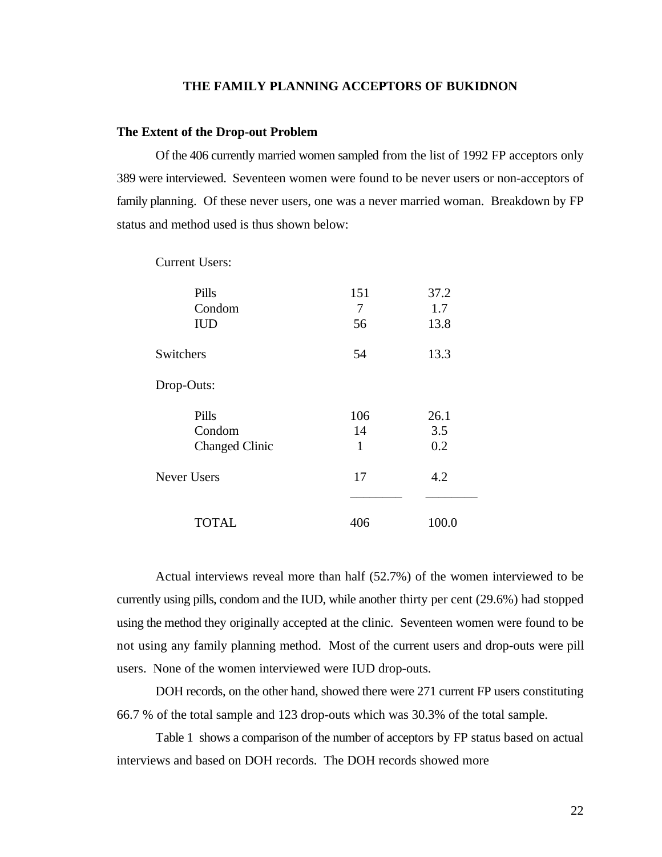#### **THE FAMILY PLANNING ACCEPTORS OF BUKIDNON**

#### **The Extent of the Drop-out Problem**

Of the 406 currently married women sampled from the list of 1992 FP acceptors only 389 were interviewed. Seventeen women were found to be never users or non-acceptors of family planning. Of these never users, one was a never married woman. Breakdown by FP status and method used is thus shown below:

| Pills<br>Condom<br><b>IUD</b>            | 151<br>7<br>56 | 37.2<br>1.7<br>13.8 |
|------------------------------------------|----------------|---------------------|
| Switchers                                | 54             | 13.3                |
| Drop-Outs:                               |                |                     |
| Pills<br>Condom<br><b>Changed Clinic</b> | 106<br>14<br>1 | 26.1<br>3.5<br>0.2  |
| <b>Never Users</b>                       | 17             | 4.2                 |
| <b>TOTAL</b>                             | 406            | 100.0               |

Current Users:

Actual interviews reveal more than half (52.7%) of the women interviewed to be currently using pills, condom and the IUD, while another thirty per cent (29.6%) had stopped using the method they originally accepted at the clinic. Seventeen women were found to be not using any family planning method. Most of the current users and drop-outs were pill users. None of the women interviewed were IUD drop-outs.

DOH records, on the other hand, showed there were 271 current FP users constituting 66.7 % of the total sample and 123 drop-outs which was 30.3% of the total sample.

Table 1 shows a comparison of the number of acceptors by FP status based on actual interviews and based on DOH records. The DOH records showed more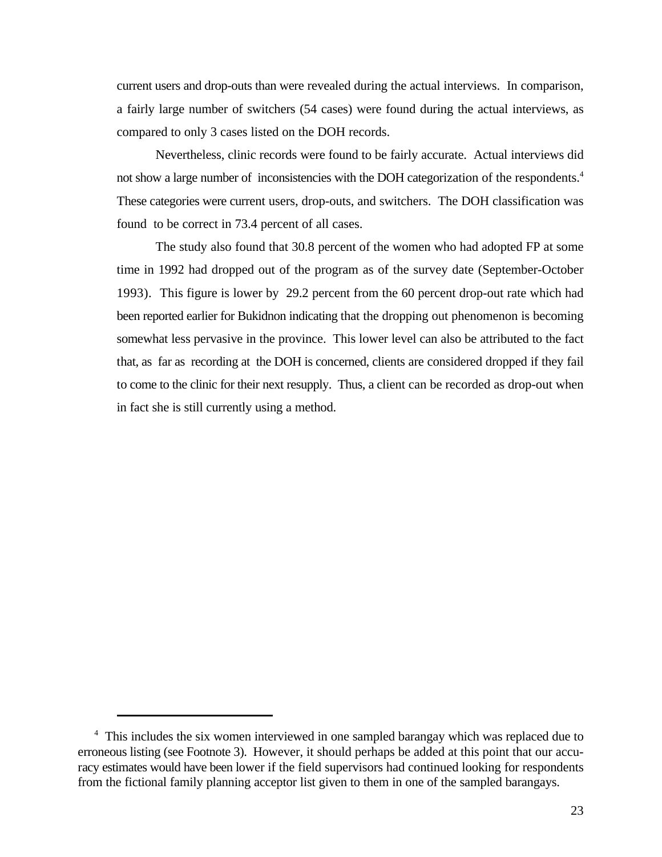current users and drop-outs than were revealed during the actual interviews. In comparison, a fairly large number of switchers (54 cases) were found during the actual interviews, as compared to only 3 cases listed on the DOH records.

Nevertheless, clinic records were found to be fairly accurate. Actual interviews did not show a large number of inconsistencies with the DOH categorization of the respondents.<sup>4</sup> These categories were current users, drop-outs, and switchers. The DOH classification was found to be correct in 73.4 percent of all cases.

The study also found that 30.8 percent of the women who had adopted FP at some time in 1992 had dropped out of the program as of the survey date (September-October 1993). This figure is lower by 29.2 percent from the 60 percent drop-out rate which had been reported earlier for Bukidnon indicating that the dropping out phenomenon is becoming somewhat less pervasive in the province. This lower level can also be attributed to the fact that, as far as recording at the DOH is concerned, clients are considered dropped if they fail to come to the clinic for their next resupply. Thus, a client can be recorded as drop-out when in fact she is still currently using a method.

<sup>&</sup>lt;sup>4</sup> This includes the six women interviewed in one sampled barangay which was replaced due to erroneous listing (see Footnote 3). However, it should perhaps be added at this point that our accuracy estimates would have been lower if the field supervisors had continued looking for respondents from the fictional family planning acceptor list given to them in one of the sampled barangays.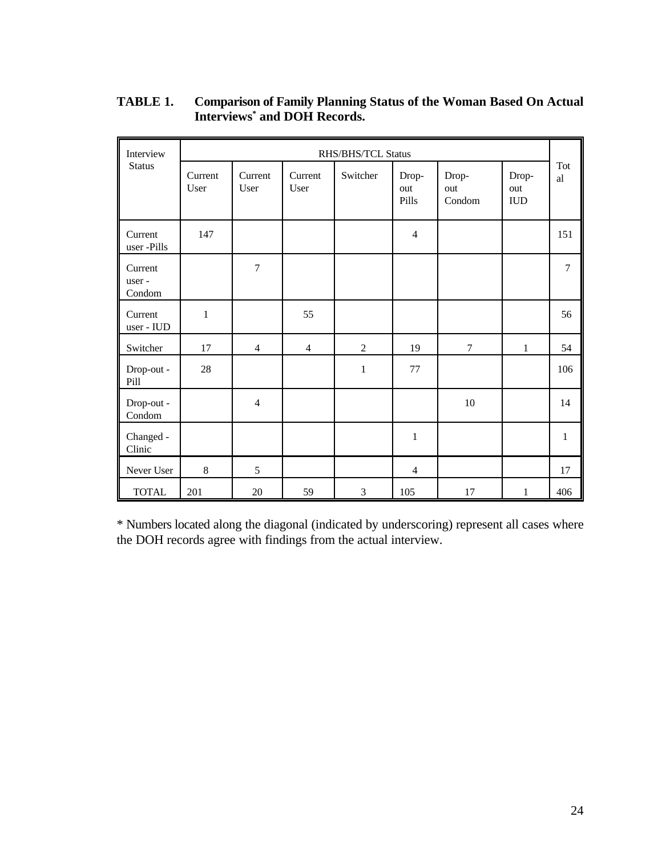| Interview                  |                 | RHS/BHS/TCL Status |                 |                |                       |                        |                             |                |
|----------------------------|-----------------|--------------------|-----------------|----------------|-----------------------|------------------------|-----------------------------|----------------|
| <b>Status</b>              | Current<br>User | Current<br>User    | Current<br>User | Switcher       | Drop-<br>out<br>Pills | Drop-<br>out<br>Condom | Drop-<br>out<br>${\rm IUD}$ | Tot<br>al      |
| Current<br>user -Pills     | 147             |                    |                 |                | $\overline{4}$        |                        |                             | 151            |
| Current<br>user-<br>Condom |                 | $\overline{7}$     |                 |                |                       |                        |                             | $\overline{7}$ |
| Current<br>user - IUD      | $\mathbf{1}$    |                    | 55              |                |                       |                        |                             | 56             |
| Switcher                   | 17              | $\overline{4}$     | $\overline{4}$  | $\overline{2}$ | 19                    | $\overline{7}$         | $\mathbf{1}$                | 54             |
| Drop-out -<br>Pill         | 28              |                    |                 | $\mathbf{1}$   | 77                    |                        |                             | 106            |
| Drop-out -<br>Condom       |                 | $\overline{4}$     |                 |                |                       | 10                     |                             | 14             |
| Changed -<br>Clinic        |                 |                    |                 |                | $\mathbf{1}$          |                        |                             | $\mathbf{1}$   |
| Never User                 | 8               | 5                  |                 |                | $\overline{4}$        |                        |                             | 17             |
| <b>TOTAL</b>               | 201             | 20                 | 59              | 3              | 105                   | 17                     | 1                           | 406            |

**TABLE 1. Comparison of Family Planning Status of the Woman Based On Actual** Interviews<sup>\*</sup> and DOH Records.

\* Numbers located along the diagonal (indicated by underscoring) represent all cases where the DOH records agree with findings from the actual interview.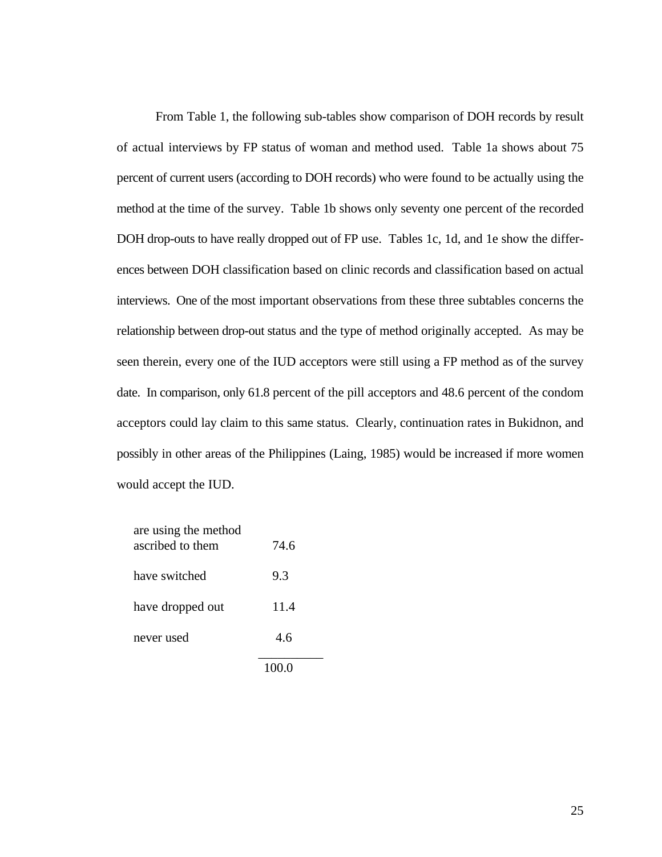From Table 1, the following sub-tables show comparison of DOH records by result of actual interviews by FP status of woman and method used. Table 1a shows about 75 percent of current users (according to DOH records) who were found to be actually using the method at the time of the survey. Table 1b shows only seventy one percent of the recorded DOH drop-outs to have really dropped out of FP use. Tables 1c, 1d, and 1e show the differences between DOH classification based on clinic records and classification based on actual interviews. One of the most important observations from these three subtables concerns the relationship between drop-out status and the type of method originally accepted. As may be seen therein, every one of the IUD acceptors were still using a FP method as of the survey date. In comparison, only 61.8 percent of the pill acceptors and 48.6 percent of the condom acceptors could lay claim to this same status. Clearly, continuation rates in Bukidnon, and possibly in other areas of the Philippines (Laing, 1985) would be increased if more women would accept the IUD.

| are using the method<br>ascribed to them | 74.6 |
|------------------------------------------|------|
| have switched                            | 9.3  |
| have dropped out                         | 11.4 |
| never used                               | 4.6  |
|                                          |      |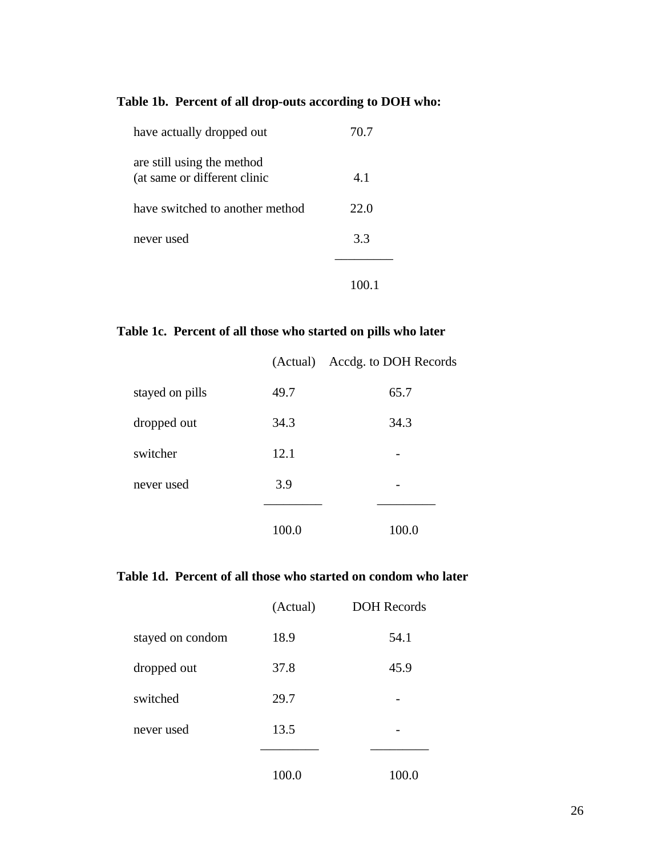## **Table 1b. Percent of all drop-outs according to DOH who:**

| have actually dropped out                                  | 70.7 |
|------------------------------------------------------------|------|
| are still using the method<br>(at same or different clinic | 4.1  |
| have switched to another method                            | 22.0 |
| never used                                                 | 3.3  |
|                                                            |      |

## **Table 1c. Percent of all those who started on pills who later**

|                 |       | (Actual) Accdg. to DOH Records |
|-----------------|-------|--------------------------------|
| stayed on pills | 49.7  | 65.7                           |
| dropped out     | 34.3  | 34.3                           |
| switcher        | 12.1  |                                |
| never used      | 3.9   |                                |
|                 | 100.0 | 100.0                          |

## **Table 1d. Percent of all those who started on condom who later**

|                  | (Actual) | <b>DOH</b> Records |
|------------------|----------|--------------------|
| stayed on condom | 18.9     | 54.1               |
| dropped out      | 37.8     | 45.9               |
| switched         | 29.7     |                    |
| never used       | 13.5     |                    |
|                  |          |                    |
|                  | 100.0    | 100                |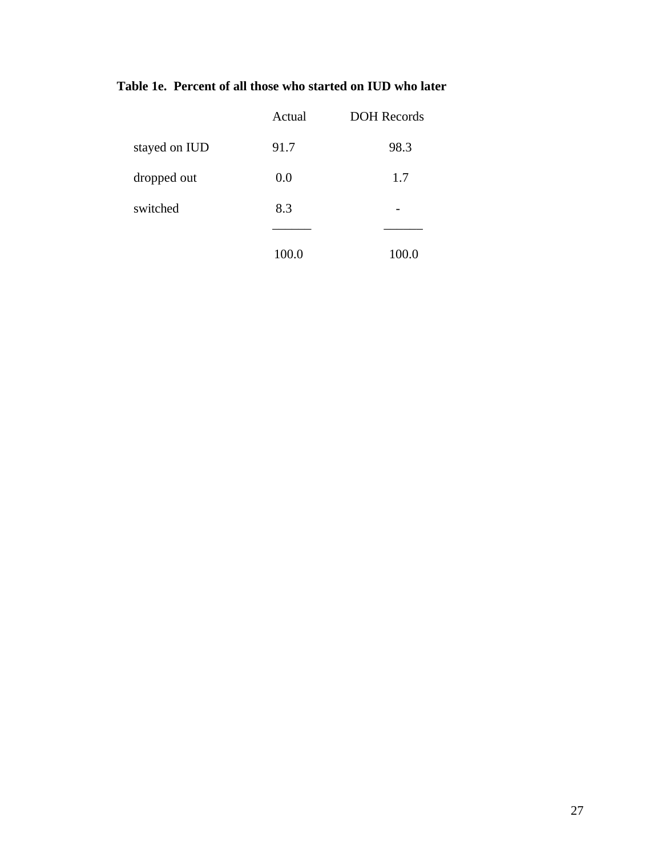## **Table 1e. Percent of all those who started on IUD who later**

|               | Actual | <b>DOH</b> Records |
|---------------|--------|--------------------|
| stayed on IUD | 91.7   | 98.3               |
| dropped out   | 0.0    | 1.7                |
| switched      | 8.3    |                    |
|               |        |                    |
|               | 100.0  |                    |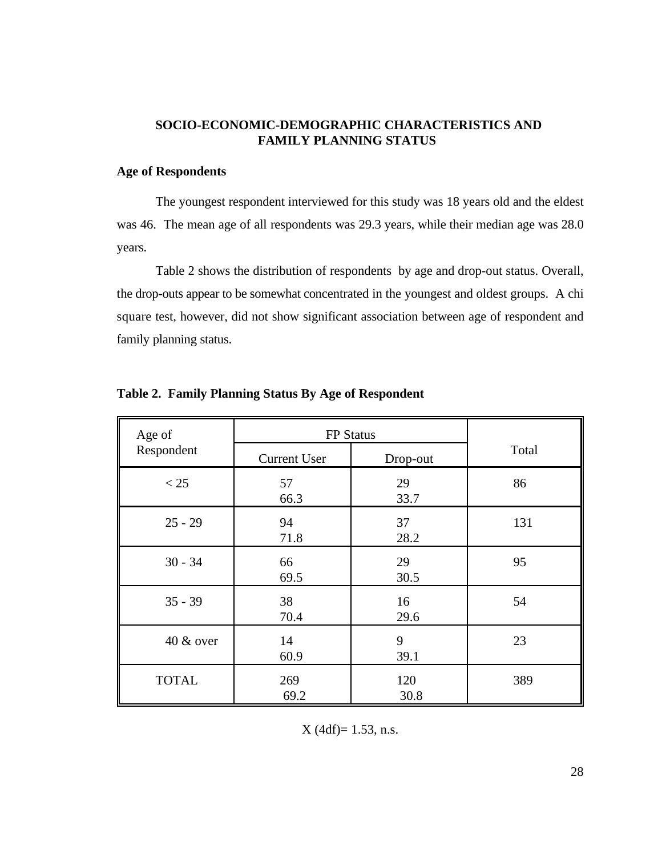### **SOCIO-ECONOMIC-DEMOGRAPHIC CHARACTERISTICS AND FAMILY PLANNING STATUS**

#### **Age of Respondents**

The youngest respondent interviewed for this study was 18 years old and the eldest was 46. The mean age of all respondents was 29.3 years, while their median age was 28.0 years.

Table 2 shows the distribution of respondents by age and drop-out status. Overall, the drop-outs appear to be somewhat concentrated in the youngest and oldest groups. A chi square test, however, did not show significant association between age of respondent and family planning status.

| Age of       | FP Status           |             |       |
|--------------|---------------------|-------------|-------|
| Respondent   | <b>Current User</b> | Drop-out    | Total |
| < 25         | 57<br>66.3          | 29<br>33.7  | 86    |
| $25 - 29$    | 94<br>71.8          | 37<br>28.2  | 131   |
| $30 - 34$    | 66<br>69.5          | 29<br>30.5  | 95    |
| $35 - 39$    | 38<br>70.4          | 16<br>29.6  | 54    |
| 40 & over    | 14<br>60.9          | 9<br>39.1   | 23    |
| <b>TOTAL</b> | 269<br>69.2         | 120<br>30.8 | 389   |

**Table 2. Family Planning Status By Age of Respondent**

 $X$  (4df)= 1.53, n.s.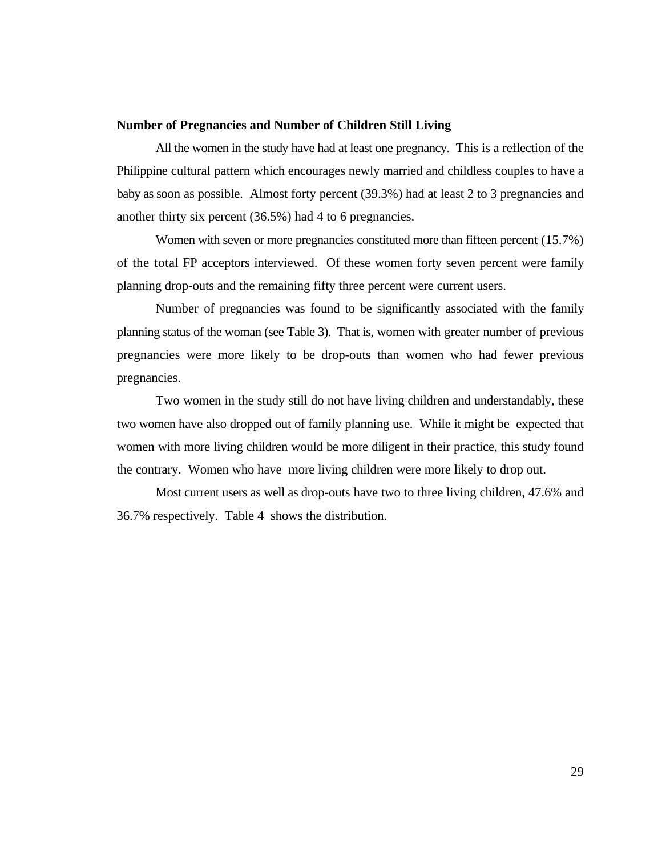#### **Number of Pregnancies and Number of Children Still Living**

All the women in the study have had at least one pregnancy. This is a reflection of the Philippine cultural pattern which encourages newly married and childless couples to have a baby as soon as possible. Almost forty percent (39.3%) had at least 2 to 3 pregnancies and another thirty six percent (36.5%) had 4 to 6 pregnancies.

Women with seven or more pregnancies constituted more than fifteen percent (15.7%) of the total FP acceptors interviewed. Of these women forty seven percent were family planning drop-outs and the remaining fifty three percent were current users.

Number of pregnancies was found to be significantly associated with the family planning status of the woman (see Table 3). That is, women with greater number of previous pregnancies were more likely to be drop-outs than women who had fewer previous pregnancies.

Two women in the study still do not have living children and understandably, these two women have also dropped out of family planning use. While it might be expected that women with more living children would be more diligent in their practice, this study found the contrary. Women who have more living children were more likely to drop out.

Most current users as well as drop-outs have two to three living children, 47.6% and 36.7% respectively. Table 4 shows the distribution.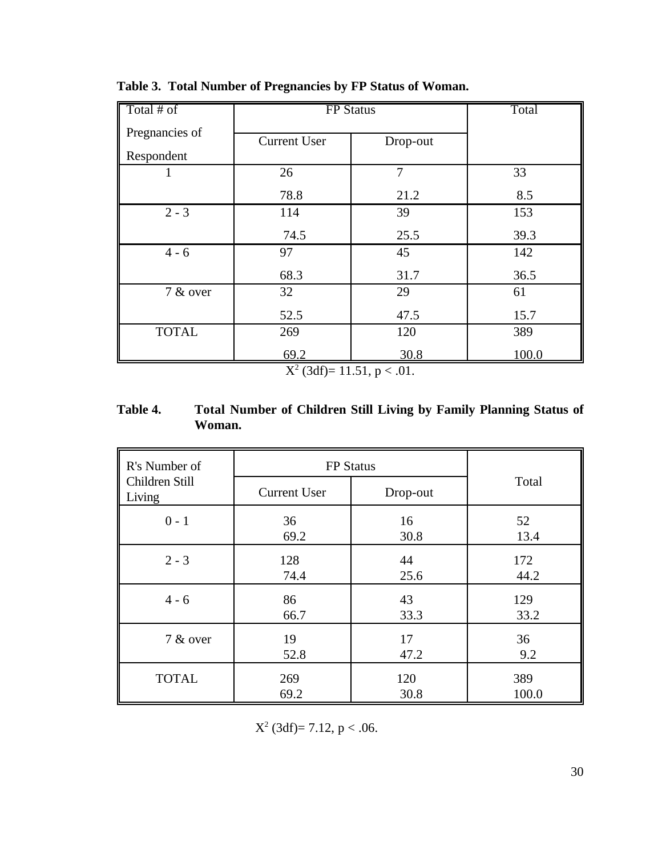| Total # of     | <b>FP</b> Status    |          | Total |
|----------------|---------------------|----------|-------|
| Pregnancies of |                     |          |       |
|                | <b>Current User</b> | Drop-out |       |
| Respondent     |                     |          |       |
|                | 26                  | 7        | 33    |
|                | 78.8                | 21.2     | 8.5   |
| $2 - 3$        | 114                 | 39       | 153   |
|                | 74.5                | 25.5     | 39.3  |
| $4 - 6$        | 97                  | 45       | 142   |
|                | 68.3                | 31.7     | 36.5  |
| 7 & over       | 32                  | 29       | 61    |
|                | 52.5                | 47.5     | 15.7  |
| <b>TOTAL</b>   | 269                 | 120      | 389   |
|                | 69.2<br>$-2$        | 30.8     | 100.0 |

**Table 3. Total Number of Pregnancies by FP Status of Woman.**

 $X^2$  (3df)= 11.51, p < .01.

## **Table 4. Total Number of Children Still Living by Family Planning Status of Woman.**

| R's Number of            | <b>FP</b> Status    |          |       |
|--------------------------|---------------------|----------|-------|
| Children Still<br>Living | <b>Current User</b> | Drop-out | Total |
| $0 - 1$                  | 36                  | 16       | 52    |
|                          | 69.2                | 30.8     | 13.4  |
| $2 - 3$                  | 128                 | 44       | 172   |
|                          | 74.4                | 25.6     | 44.2  |
| $4 - 6$                  | 86                  | 43       | 129   |
|                          | 66.7                | 33.3     | 33.2  |
| 7 & over                 | 19                  | 17       | 36    |
|                          | 52.8                | 47.2     | 9.2   |
| <b>TOTAL</b>             | 269                 | 120      | 389   |
|                          | 69.2                | 30.8     | 100.0 |

 $X^2$  (3df)= 7.12, p < .06.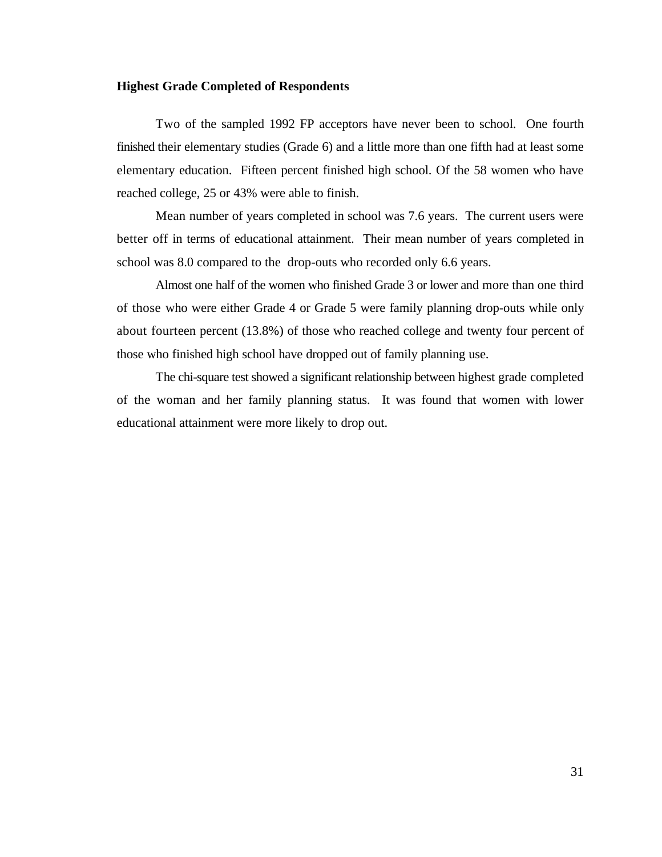#### **Highest Grade Completed of Respondents**

Two of the sampled 1992 FP acceptors have never been to school. One fourth finished their elementary studies (Grade 6) and a little more than one fifth had at least some elementary education. Fifteen percent finished high school. Of the 58 women who have reached college, 25 or 43% were able to finish.

Mean number of years completed in school was 7.6 years. The current users were better off in terms of educational attainment. Their mean number of years completed in school was 8.0 compared to the drop-outs who recorded only 6.6 years.

Almost one half of the women who finished Grade 3 or lower and more than one third of those who were either Grade 4 or Grade 5 were family planning drop-outs while only about fourteen percent (13.8%) of those who reached college and twenty four percent of those who finished high school have dropped out of family planning use.

The chi-square test showed a significant relationship between highest grade completed of the woman and her family planning status. It was found that women with lower educational attainment were more likely to drop out.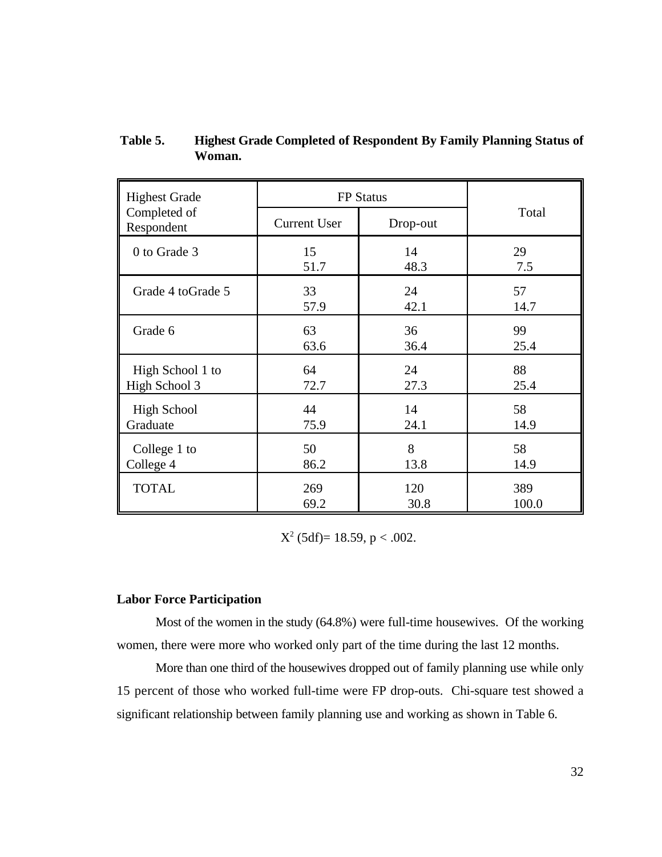| <b>Highest Grade</b>       | <b>FP</b> Status    |          |       |
|----------------------------|---------------------|----------|-------|
| Completed of<br>Respondent | <b>Current User</b> | Drop-out | Total |
| 0 to Grade 3               | 15                  | 14       | 29    |
|                            | 51.7                | 48.3     | 7.5   |
| Grade 4 to Grade 5         | 33                  | 24       | 57    |
|                            | 57.9                | 42.1     | 14.7  |
| Grade 6                    | 63                  | 36       | 99    |
|                            | 63.6                | 36.4     | 25.4  |
| High School 1 to           | 64                  | 24       | 88    |
| High School 3              | 72.7                | 27.3     | 25.4  |
| <b>High School</b>         | 44                  | 14       | 58    |
| Graduate                   | 75.9                | 24.1     | 14.9  |
| College 1 to               | 50                  | 8        | 58    |
| College 4                  | 86.2                | 13.8     | 14.9  |
| <b>TOTAL</b>               | 269                 | 120      | 389   |
|                            | 69.2                | 30.8     | 100.0 |

 **Table 5. Highest Grade Completed of Respondent By Family Planning Status of Woman.**

 $X^2$  (5df)= 18.59, p < .002.

#### **Labor Force Participation**

Most of the women in the study (64.8%) were full-time housewives. Of the working women, there were more who worked only part of the time during the last 12 months.

More than one third of the housewives dropped out of family planning use while only 15 percent of those who worked full-time were FP drop-outs. Chi-square test showed a significant relationship between family planning use and working as shown in Table 6.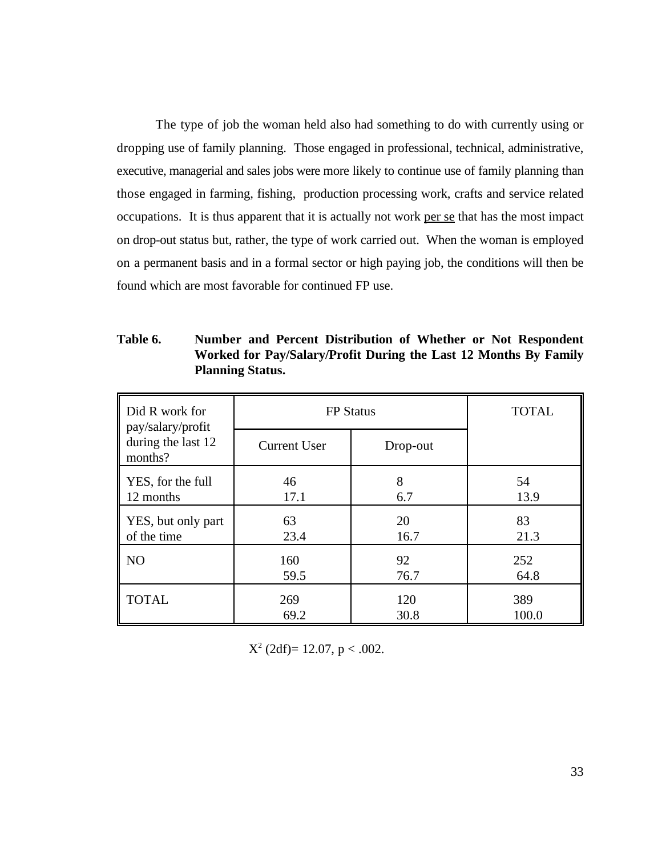The type of job the woman held also had something to do with currently using or dropping use of family planning. Those engaged in professional, technical, administrative, executive, managerial and sales jobs were more likely to continue use of family planning than those engaged in farming, fishing, production processing work, crafts and service related occupations. It is thus apparent that it is actually not work per se that has the most impact on drop-out status but, rather, the type of work carried out. When the woman is employed on a permanent basis and in a formal sector or high paying job, the conditions will then be found which are most favorable for continued FP use.

| Did R work for<br>pay/salary/profit | <b>FP</b> Status    |          | <b>TOTAL</b> |
|-------------------------------------|---------------------|----------|--------------|
| during the last 12<br>months?       | <b>Current User</b> | Drop-out |              |
| YES, for the full                   | 46                  | 8        | 54           |
| 12 months                           | 17.1                | 6.7      | 13.9         |
| YES, but only part                  | 63                  | 20       | 83           |
| of the time                         | 23.4                | 16.7     | 21.3         |
| NO                                  | 160                 | 92       | 252          |
|                                     | 59.5                | 76.7     | 64.8         |
| <b>TOTAL</b>                        | 269                 | 120      | 389          |
|                                     | 69.2                | 30.8     | 100.0        |

**Table 6. Number and Percent Distribution of Whether or Not Respondent Worked for Pay/Salary/Profit During the Last 12 Months By Family Planning Status.**

 $X^2$  (2df)= 12.07, p < .002.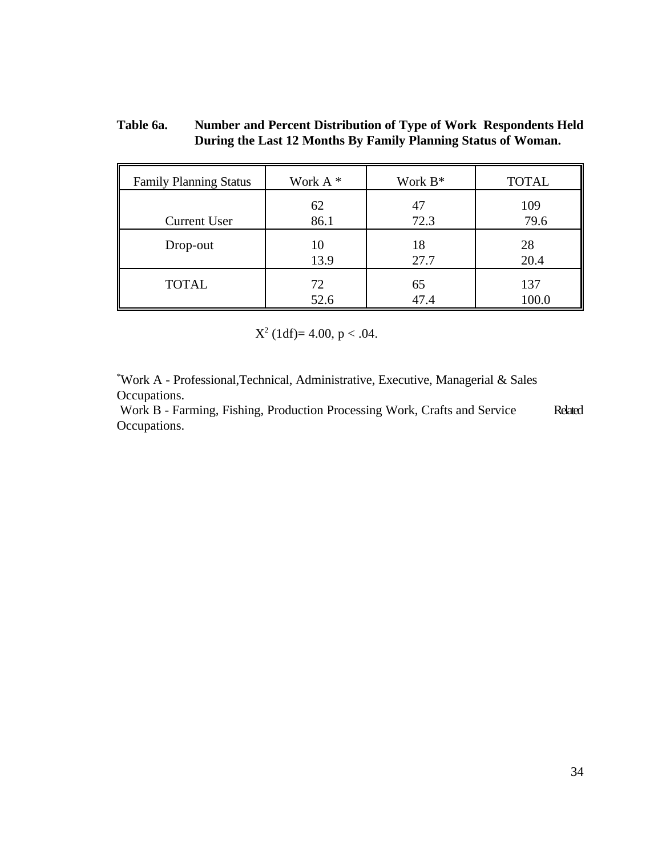### **Table 6a. Number and Percent Distribution of Type of Work Respondents Held During the Last 12 Months By Family Planning Status of Woman.**

| <b>Family Planning Status</b> | Work A <sup>*</sup> | Work $B^*$ | <b>TOTAL</b> |
|-------------------------------|---------------------|------------|--------------|
| <b>Current User</b>           | 62                  | 47         | 109          |
|                               | 86.1                | 72.3       | 79.6         |
| Drop-out                      | 10                  | 18         | 28           |
|                               | 13.9                | 27.7       | 20.4         |
| <b>TOTAL</b>                  | 72                  | 65         | 137          |
|                               | 52.6                | 47.4       | 100.0        |

 $X^2$  (1df)= 4.00, p < .04.

Work A - Professional,Technical, Administrative, Executive, Managerial & Sales \* Occupations.

 Work B - Farming, Fishing, Production Processing Work, Crafts and Service Related Occupations.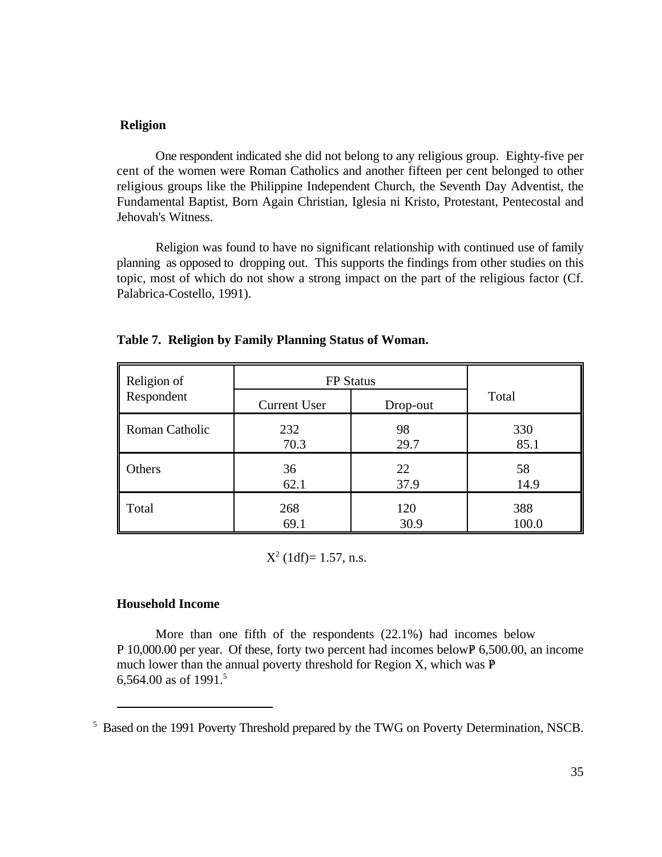### **Religion**

One respondent indicated she did not belong to any religious group. Eighty-five per cent of the women were Roman Catholics and another fifteen per cent belonged to other religious groups like the Philippine Independent Church, the Seventh Day Adventist, the Fundamental Baptist, Born Again Christian, Iglesia ni Kristo, Protestant, Pentecostal and Jehovah's Witness.

Religion was found to have no significant relationship with continued use of family planning as opposed to dropping out. This supports the findings from other studies on this topic, most of which do not show a strong impact on the part of the religious factor (Cf. Palabrica-Costello, 1991).

| Religion of    | <b>FP</b> Status    |          |       |
|----------------|---------------------|----------|-------|
| Respondent     | <b>Current User</b> | Drop-out | Total |
| Roman Catholic | 232                 | 98       | 330   |
|                | 70.3                | 29.7     | 85.1  |
| Others         | 36                  | 22       | 58    |
|                | 62.1                | 37.9     | 14.9  |
| Total          | 268                 | 120      | 388   |
|                | 69.1                | 30.9     | 100.0 |

#### **Table 7. Religion by Family Planning Status of Woman.**

 $X^2$  (1df)= 1.57, n.s.

#### **Household Income**

More than one fifth of the respondents (22.1%) had incomes below P 10,000.00 per year. Of these, forty two percent had incomes below  $P$  6,500.00, an income much lower than the annual poverty threshold for Region X, which was  $P$ 6,564.00 as of 1991.5

<sup>&</sup>lt;sup>5</sup> Based on the 1991 Poverty Threshold prepared by the TWG on Poverty Determination, NSCB.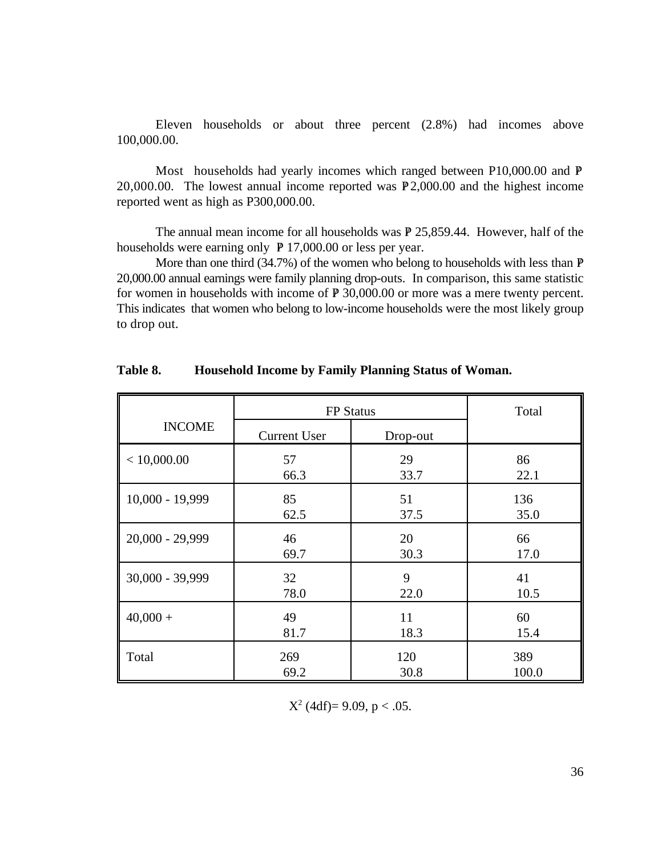Eleven households or about three percent (2.8%) had incomes above 100,000.00.

Most households had yearly incomes which ranged between P10,000.00 and P 20,000.00. The lowest annual income reported was  $P$  2,000.00 and the highest income reported went as high as P300,000.00.

The annual mean income for all households was  $P$  25,859.44. However, half of the households were earning only  $P$  17,000.00 or less per year.

More than one third  $(34.7%)$  of the women who belong to households with less than  $P$ 20,000.00 annual earnings were family planning drop-outs. In comparison, this same statistic for women in households with income of  $P$  30,000.00 or more was a mere twenty percent. This indicates that women who belong to low-income households were the most likely group to drop out.

|                 | <b>FP</b> Status    |          | Total |
|-----------------|---------------------|----------|-------|
| <b>INCOME</b>   | <b>Current User</b> | Drop-out |       |
| < 10,000.00     | 57                  | 29       | 86    |
|                 | 66.3                | 33.7     | 22.1  |
| 10,000 - 19,999 | 85                  | 51       | 136   |
|                 | 62.5                | 37.5     | 35.0  |
| 20,000 - 29,999 | 46                  | 20       | 66    |
|                 | 69.7                | 30.3     | 17.0  |
| 30,000 - 39,999 | 32                  | 9        | 41    |
|                 | 78.0                | 22.0     | 10.5  |
| $40,000 +$      | 49                  | 11       | 60    |
|                 | 81.7                | 18.3     | 15.4  |
| Total           | 269                 | 120      | 389   |
|                 | 69.2                | 30.8     | 100.0 |

**Table 8. Household Income by Family Planning Status of Woman.**

 $X^2$  (4df)= 9.09, p < .05.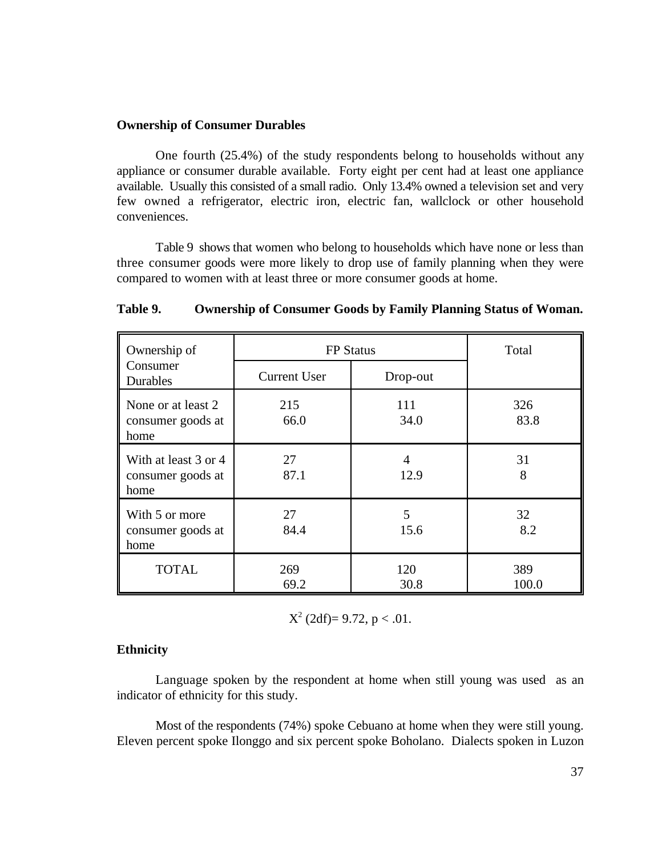### **Ownership of Consumer Durables**

One fourth (25.4%) of the study respondents belong to households without any appliance or consumer durable available. Forty eight per cent had at least one appliance available. Usually this consisted of a small radio. Only 13.4% owned a television set and very few owned a refrigerator, electric iron, electric fan, wallclock or other household conveniences.

Table 9 shows that women who belong to households which have none or less than three consumer goods were more likely to drop use of family planning when they were compared to women with at least three or more consumer goods at home.

| Ownership of                                      | <b>FP</b> Status    |             | Total        |
|---------------------------------------------------|---------------------|-------------|--------------|
| Consumer<br><b>Durables</b>                       | <b>Current User</b> | Drop-out    |              |
| None or at least 2<br>consumer goods at<br>home   | 215<br>66.0         | 111<br>34.0 | 326<br>83.8  |
| With at least 3 or 4<br>consumer goods at<br>home | 27<br>87.1          | 4<br>12.9   | 31<br>8      |
| With 5 or more<br>consumer goods at<br>home       | 27<br>84.4          | 5<br>15.6   | 32<br>8.2    |
| <b>TOTAL</b>                                      | 269<br>69.2         | 120<br>30.8 | 389<br>100.0 |

## **Table 9. Ownership of Consumer Goods by Family Planning Status of Woman.**

 $X^2$  (2df)= 9.72, p < .01.

## **Ethnicity**

Language spoken by the respondent at home when still young was used as an indicator of ethnicity for this study.

Most of the respondents (74%) spoke Cebuano at home when they were still young. Eleven percent spoke Ilonggo and six percent spoke Boholano. Dialects spoken in Luzon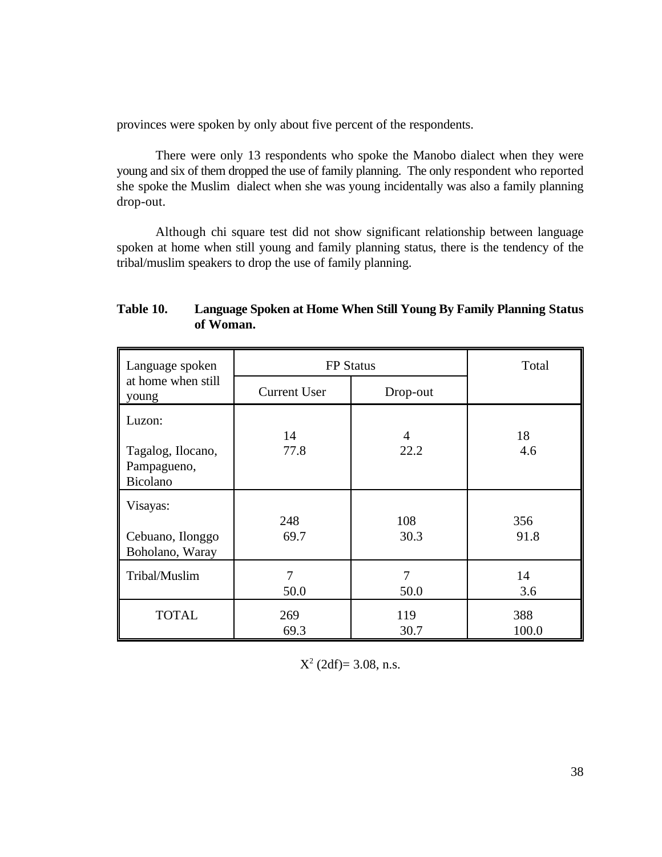provinces were spoken by only about five percent of the respondents.

There were only 13 respondents who spoke the Manobo dialect when they were young and six of them dropped the use of family planning. The only respondent who reported she spoke the Muslim dialect when she was young incidentally was also a family planning drop-out.

Although chi square test did not show significant relationship between language spoken at home when still young and family planning status, there is the tendency of the tribal/muslim speakers to drop the use of family planning.

| Table 10. | Language Spoken at Home When Still Young By Family Planning Status |
|-----------|--------------------------------------------------------------------|
|           | of Woman.                                                          |

| Language spoken                                        |                        | <b>FP</b> Status       |              |
|--------------------------------------------------------|------------------------|------------------------|--------------|
| at home when still<br>young                            | <b>Current User</b>    | Drop-out               |              |
| Luzon:<br>Tagalog, Ilocano,<br>Pampagueno,<br>Bicolano | 14<br>77.8             | $\overline{4}$<br>22.2 | 18<br>4.6    |
| Visayas:<br>Cebuano, Ilonggo<br>Boholano, Waray        | 248<br>69.7            | 108<br>30.3            | 356<br>91.8  |
| Tribal/Muslim                                          | $\overline{7}$<br>50.0 | 7<br>50.0              | 14<br>3.6    |
| <b>TOTAL</b>                                           | 269<br>69.3            | 119<br>30.7            | 388<br>100.0 |

 $X^2$  (2df)= 3.08, n.s.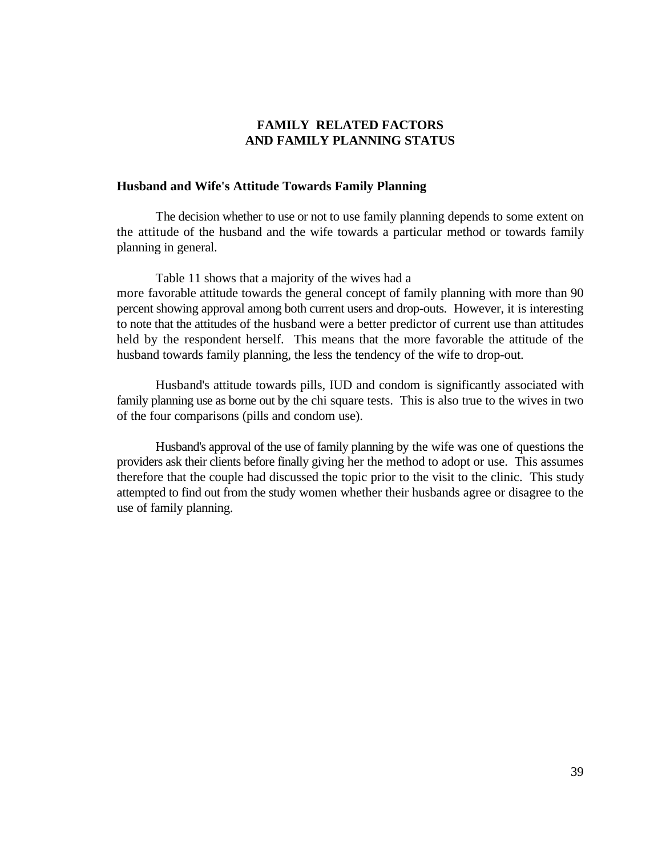# **FAMILY RELATED FACTORS AND FAMILY PLANNING STATUS**

## **Husband and Wife's Attitude Towards Family Planning**

The decision whether to use or not to use family planning depends to some extent on the attitude of the husband and the wife towards a particular method or towards family planning in general.

Table 11 shows that a majority of the wives had a more favorable attitude towards the general concept of family planning with more than 90 percent showing approval among both current users and drop-outs. However, it is interesting to note that the attitudes of the husband were a better predictor of current use than attitudes held by the respondent herself. This means that the more favorable the attitude of the husband towards family planning, the less the tendency of the wife to drop-out.

Husband's attitude towards pills, IUD and condom is significantly associated with family planning use as borne out by the chi square tests. This is also true to the wives in two of the four comparisons (pills and condom use).

Husband's approval of the use of family planning by the wife was one of questions the providers ask their clients before finally giving her the method to adopt or use. This assumes therefore that the couple had discussed the topic prior to the visit to the clinic. This study attempted to find out from the study women whether their husbands agree or disagree to the use of family planning.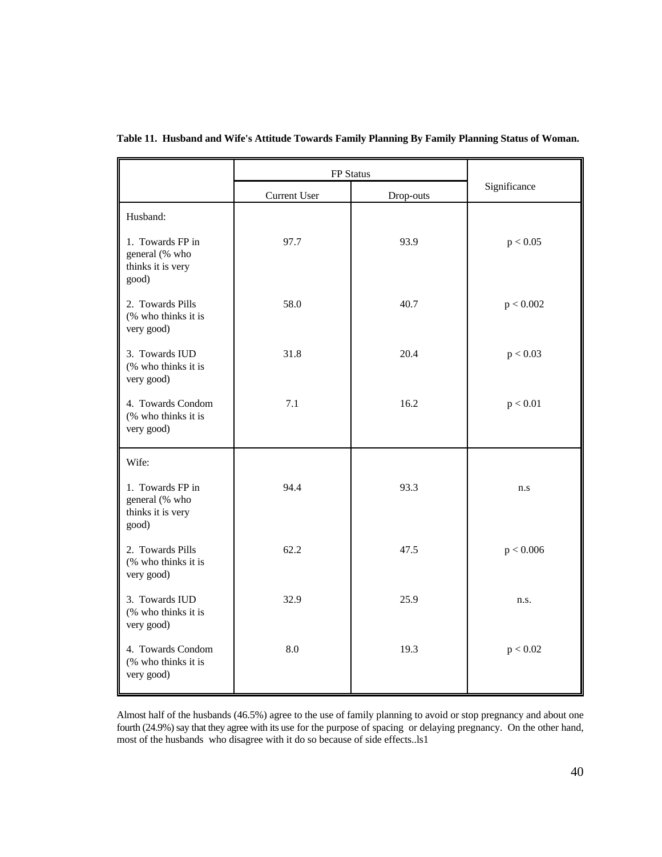|                                                                  | FP Status    |           |              |
|------------------------------------------------------------------|--------------|-----------|--------------|
|                                                                  | Current User | Drop-outs | Significance |
| Husband:                                                         |              |           |              |
| 1. Towards FP in<br>general (% who<br>thinks it is very<br>good) | 97.7         | 93.9      | p < 0.05     |
| 2. Towards Pills<br>(% who thinks it is<br>very good)            | 58.0         | 40.7      | p < 0.002    |
| 3. Towards IUD<br>(% who thinks it is<br>very good)              | 31.8         | 20.4      | p < 0.03     |
| 4. Towards Condom<br>(% who thinks it is<br>very good)           | 7.1          | 16.2      | p < 0.01     |
| Wife:                                                            |              |           |              |
| 1. Towards FP in<br>general (% who<br>thinks it is very<br>good) | 94.4         | 93.3      | n.s          |
| 2. Towards Pills<br>(% who thinks it is<br>very good)            | 62.2         | 47.5      | p < 0.006    |
| 3. Towards IUD<br>(% who thinks it is<br>very good)              | 32.9         | 25.9      | n.s.         |
| 4. Towards Condom<br>(% who thinks it is<br>very good)           | 8.0          | 19.3      | p < 0.02     |

**Table 11. Husband and Wife's Attitude Towards Family Planning By Family Planning Status of Woman.**

Almost half of the husbands (46.5%) agree to the use of family planning to avoid or stop pregnancy and about one fourth (24.9%) say that they agree with its use for the purpose of spacing or delaying pregnancy. On the other hand, most of the husbands who disagree with it do so because of side effects..ls1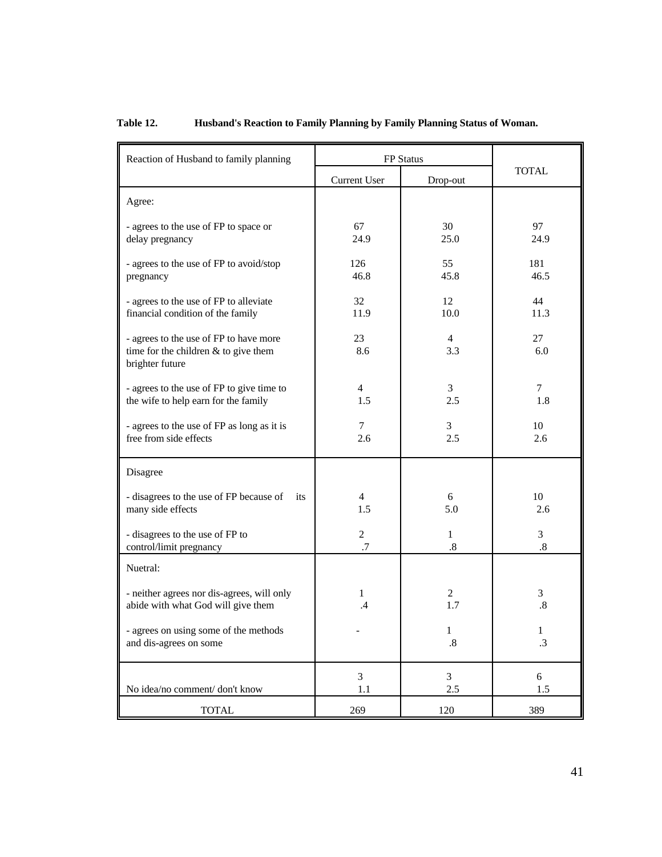# **Table 12. Husband's Reaction to Family Planning by Family Planning Status of Woman.**

| Reaction of Husband to family planning                                                              |                       | FP Status      |                   |
|-----------------------------------------------------------------------------------------------------|-----------------------|----------------|-------------------|
|                                                                                                     | Current User          | Drop-out       | <b>TOTAL</b>      |
| Agree:                                                                                              |                       |                |                   |
| - agrees to the use of FP to space or                                                               | 67                    | 30             | 97                |
| delay pregnancy                                                                                     | 24.9                  | 25.0           | 24.9              |
| - agrees to the use of FP to avoid/stop                                                             | 126                   | 55             | 181               |
| pregnancy                                                                                           | 46.8                  | 45.8           | 46.5              |
| - agrees to the use of FP to alleviate                                                              | 32                    | 12             | 44                |
| financial condition of the family                                                                   | 11.9                  | 10.0           | 11.3              |
| - agrees to the use of FP to have more<br>time for the children $&$ to give them<br>brighter future | 23<br>8.6             | 4<br>3.3       | 27<br>6.0         |
| - agrees to the use of FP to give time to                                                           | $\overline{4}$        | 3              | 7                 |
| the wife to help earn for the family                                                                | 1.5                   | 2.5            | 1.8               |
| - agrees to the use of FP as long as it is                                                          | 7                     | 3              | 10                |
| free from side effects                                                                              | 2.6                   | 2.5            | 2.6               |
| Disagree                                                                                            |                       |                |                   |
| - disagrees to the use of FP because of<br>its<br>many side effects                                 | $\overline{4}$<br>1.5 | 6<br>5.0       | 10<br>2.6         |
| - disagrees to the use of FP to                                                                     | $\overline{2}$        | $\mathbf{1}$   | 3                 |
| control/limit pregnancy                                                                             | .7                    | $.8\,$         | $\boldsymbol{.8}$ |
| Nuetral:                                                                                            |                       |                |                   |
| - neither agrees nor dis-agrees, will only                                                          | 1                     | $\overline{2}$ | 3                 |
| abide with what God will give them                                                                  | .4                    | 1.7            | $.8\,$            |
| - agrees on using some of the methods                                                               |                       | 1              | $\mathbf{1}$      |
| and dis-agrees on some                                                                              |                       | $.8\,$         | $\cdot$ 3         |
| No idea/no comment/ don't know                                                                      | $\overline{3}$        | 3              | 6                 |
|                                                                                                     | 1.1                   | 2.5            | 1.5               |
| <b>TOTAL</b>                                                                                        | 269                   | 120            | 389               |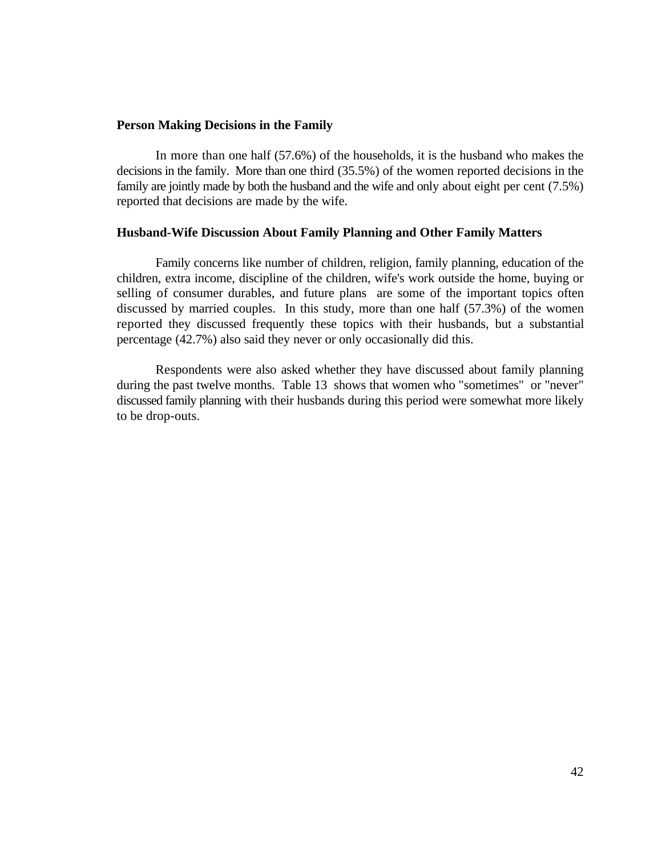## **Person Making Decisions in the Family**

In more than one half (57.6%) of the households, it is the husband who makes the decisions in the family. More than one third (35.5%) of the women reported decisions in the family are jointly made by both the husband and the wife and only about eight per cent (7.5%) reported that decisions are made by the wife.

### **Husband-Wife Discussion About Family Planning and Other Family Matters**

Family concerns like number of children, religion, family planning, education of the children, extra income, discipline of the children, wife's work outside the home, buying or selling of consumer durables, and future plans are some of the important topics often discussed by married couples. In this study, more than one half (57.3%) of the women reported they discussed frequently these topics with their husbands, but a substantial percentage (42.7%) also said they never or only occasionally did this.

Respondents were also asked whether they have discussed about family planning during the past twelve months. Table 13 shows that women who "sometimes" or "never" discussed family planning with their husbands during this period were somewhat more likely to be drop-outs.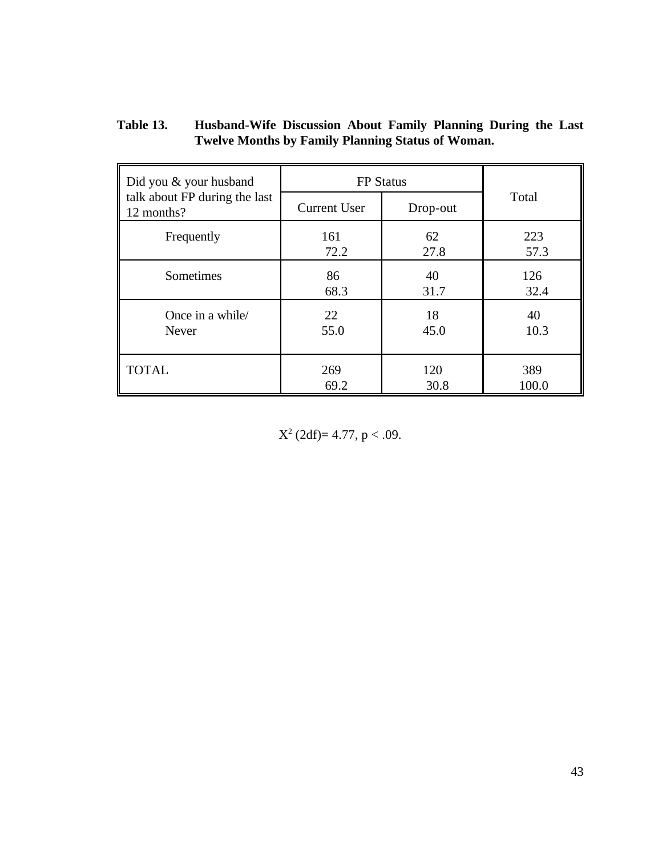| Table 13. | Husband-Wife Discussion About Family Planning During the Last |
|-----------|---------------------------------------------------------------|
|           | <b>Twelve Months by Family Planning Status of Woman.</b>      |

| Did you & your husband                      | <b>FP</b> Status    |          |       |
|---------------------------------------------|---------------------|----------|-------|
| talk about FP during the last<br>12 months? | <b>Current User</b> | Drop-out | Total |
| Frequently                                  | 161                 | 62       | 223   |
|                                             | 72.2                | 27.8     | 57.3  |
| Sometimes                                   | 86                  | 40       | 126   |
|                                             | 68.3                | 31.7     | 32.4  |
| Once in a while/                            | 22                  | 18       | 40    |
| Never                                       | 55.0                | 45.0     | 10.3  |
| <b>TOTAL</b>                                | 269                 | 120      | 389   |
|                                             | 69.2                | 30.8     | 100.0 |

 $X^2$  (2df)= 4.77, p < .09.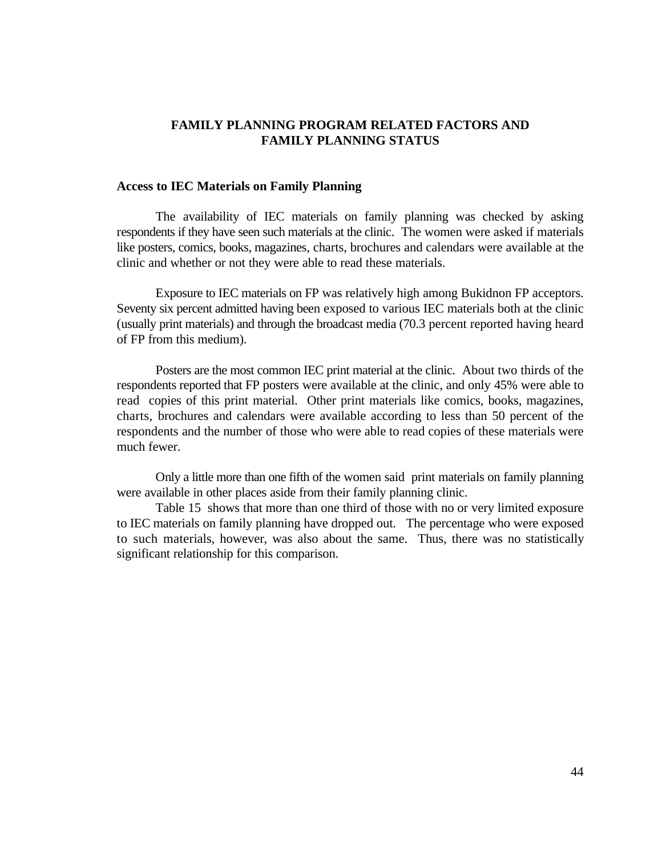# **FAMILY PLANNING PROGRAM RELATED FACTORS AND FAMILY PLANNING STATUS**

## **Access to IEC Materials on Family Planning**

The availability of IEC materials on family planning was checked by asking respondents if they have seen such materials at the clinic. The women were asked if materials like posters, comics, books, magazines, charts, brochures and calendars were available at the clinic and whether or not they were able to read these materials.

Exposure to IEC materials on FP was relatively high among Bukidnon FP acceptors. Seventy six percent admitted having been exposed to various IEC materials both at the clinic (usually print materials) and through the broadcast media (70.3 percent reported having heard of FP from this medium).

Posters are the most common IEC print material at the clinic. About two thirds of the respondents reported that FP posters were available at the clinic, and only 45% were able to read copies of this print material. Other print materials like comics, books, magazines, charts, brochures and calendars were available according to less than 50 percent of the respondents and the number of those who were able to read copies of these materials were much fewer.

Only a little more than one fifth of the women said print materials on family planning were available in other places aside from their family planning clinic.

Table 15 shows that more than one third of those with no or very limited exposure to IEC materials on family planning have dropped out. The percentage who were exposed to such materials, however, was also about the same. Thus, there was no statistically significant relationship for this comparison.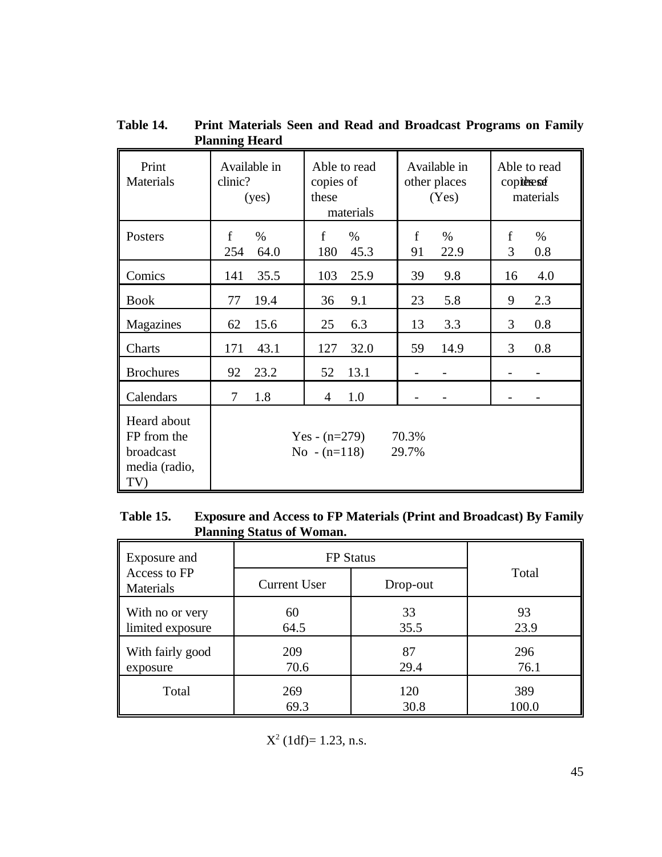| Print<br><b>Materials</b>                                       | ,<br>Available in<br>clinic?<br>(yes) | Able to read<br>copies of<br>these<br>materials | Available in<br>other places<br>(Yes) | Able to read<br>copieresse<br>materials |
|-----------------------------------------------------------------|---------------------------------------|-------------------------------------------------|---------------------------------------|-----------------------------------------|
| Posters                                                         | $\mathbf f$                           | $\mathbf f$                                     | $\mathbf f$                           | f                                       |
|                                                                 | $\%$                                  | $\%$                                            | $\%$                                  | $\%$                                    |
|                                                                 | 254                                   | 180                                             | 22.9                                  | 3                                       |
|                                                                 | 64.0                                  | 45.3                                            | 91                                    | 0.8                                     |
| Comics                                                          | 35.5                                  | 103                                             | 9.8                                   | 4.0                                     |
|                                                                 | 141                                   | 25.9                                            | 39                                    | 16                                      |
| <b>Book</b>                                                     | 19.4                                  | 36                                              | 5.8                                   | 2.3                                     |
|                                                                 | 77                                    | 9.1                                             | 23                                    | 9                                       |
| Magazines                                                       | 15.6                                  | 25                                              | 13                                    | 3                                       |
|                                                                 | 62                                    | 6.3                                             | 3.3                                   | 0.8                                     |
| Charts                                                          | 43.1                                  | 127                                             | 59                                    | 3                                       |
|                                                                 | 171                                   | 32.0                                            | 14.9                                  | 0.8                                     |
| <b>Brochures</b>                                                | 23.2<br>92                            | 52<br>13.1                                      |                                       |                                         |
| Calendars                                                       | 1.8<br>7                              | 1.0<br>4                                        |                                       |                                         |
| Heard about<br>FP from the<br>broadcast<br>media (radio,<br>TV) |                                       | Yes - $(n=279)$<br>$No - (n=118)$               | 70.3%<br>29.7%                        |                                         |

**Table 14. Print Materials Seen and Read and Broadcast Programs on Family Planning Heard** 

# **Table 15. Exposure and Access to FP Materials (Print and Broadcast) By Family Planning Status of Woman.**

| Exposure and              | <b>FP</b> Status    |          |       |
|---------------------------|---------------------|----------|-------|
| Access to FP<br>Materials | <b>Current User</b> | Drop-out | Total |
| With no or very           | 60                  | 33       | 93    |
| limited exposure          | 64.5                | 35.5     | 23.9  |
| With fairly good          | 209                 | 87       | 296   |
| exposure                  | 70.6                | 29.4     | 76.1  |
| Total                     | 269                 | 120      | 389   |
|                           | 69.3                | 30.8     | 100.0 |

 $X^2$  (1df)= 1.23, n.s.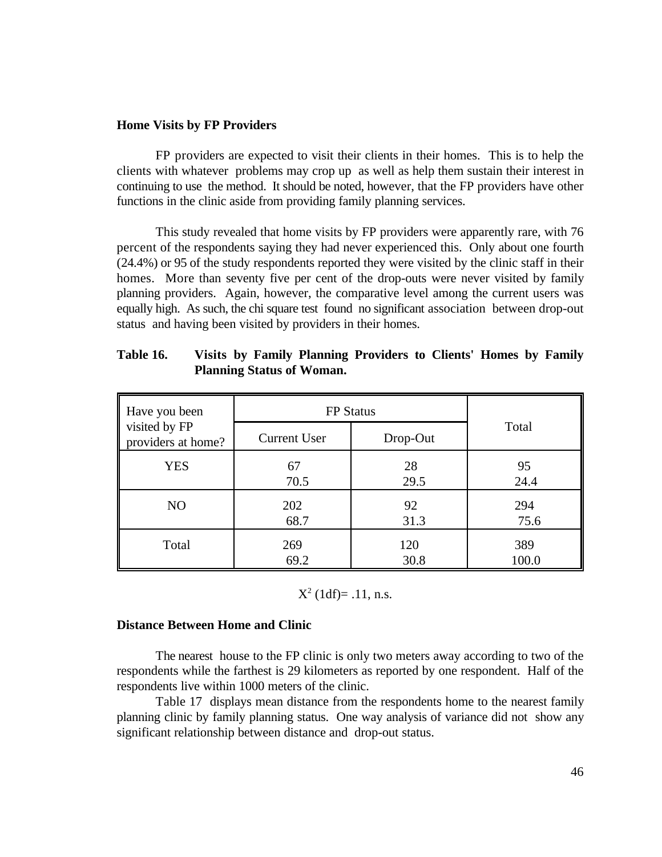## **Home Visits by FP Providers**

FP providers are expected to visit their clients in their homes. This is to help the clients with whatever problems may crop up as well as help them sustain their interest in continuing to use the method. It should be noted, however, that the FP providers have other functions in the clinic aside from providing family planning services.

This study revealed that home visits by FP providers were apparently rare, with 76 percent of the respondents saying they had never experienced this. Only about one fourth (24.4%) or 95 of the study respondents reported they were visited by the clinic staff in their homes. More than seventy five per cent of the drop-outs were never visited by family planning providers. Again, however, the comparative level among the current users was equally high. As such, the chi square test found no significant association between drop-out status and having been visited by providers in their homes.

| Have you been                       | <b>FP</b> Status    |          |       |
|-------------------------------------|---------------------|----------|-------|
| visited by FP<br>providers at home? | <b>Current User</b> | Drop-Out | Total |
| <b>YES</b>                          | 67                  | 28       | 95    |
|                                     | 70.5                | 29.5     | 24.4  |
| NO                                  | 202                 | 92       | 294   |
|                                     | 68.7                | 31.3     | 75.6  |
| Total                               | 269                 | 120      | 389   |
|                                     | 69.2                | 30.8     | 100.0 |

| Table 16. | Visits by Family Planning Providers to Clients' Homes by Family |
|-----------|-----------------------------------------------------------------|
|           | <b>Planning Status of Woman.</b>                                |

$$
X^2
$$
 (1df)= .11, n.s.

## **Distance Between Home and Clinic**

The nearest house to the FP clinic is only two meters away according to two of the respondents while the farthest is 29 kilometers as reported by one respondent. Half of the respondents live within 1000 meters of the clinic.

Table 17 displays mean distance from the respondents home to the nearest family planning clinic by family planning status. One way analysis of variance did not show any significant relationship between distance and drop-out status.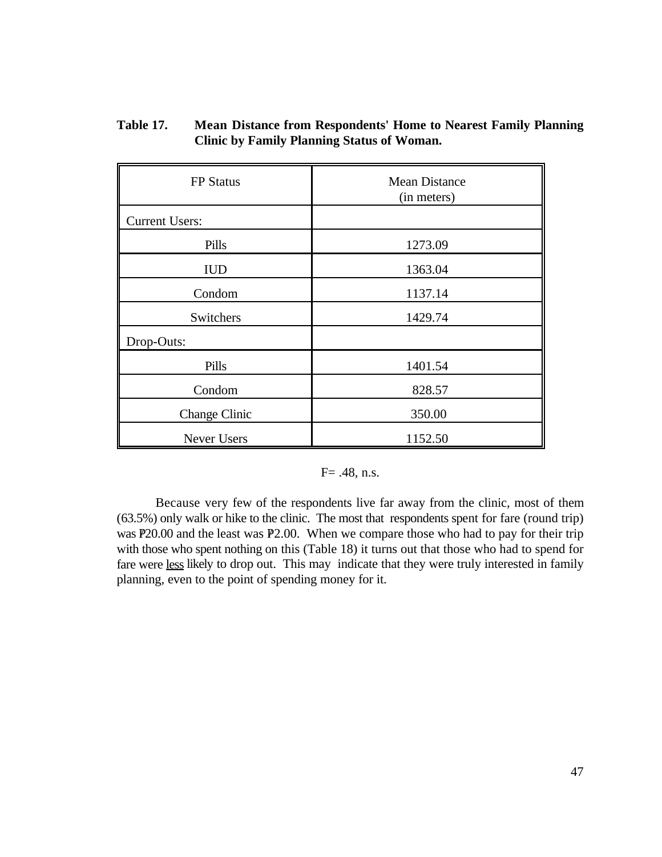| <b>FP</b> Status      | <b>Mean Distance</b><br>(in meters) |
|-----------------------|-------------------------------------|
| <b>Current Users:</b> |                                     |
| Pills                 | 1273.09                             |
| <b>IUD</b>            | 1363.04                             |
| Condom                | 1137.14                             |
| Switchers             | 1429.74                             |
| Drop-Outs:            |                                     |
| Pills                 | 1401.54                             |
| Condom                | 828.57                              |
| <b>Change Clinic</b>  | 350.00                              |
| Never Users           | 1152.50                             |

**Table 17. Mean Distance from Respondents' Home to Nearest Family Planning Clinic by Family Planning Status of Woman.**

## $F = .48$ , n.s.

Because very few of the respondents live far away from the clinic, most of them (63.5%) only walk or hike to the clinic. The most that respondents spent for fare (round trip) was  $P20.00$  and the least was  $P2.00$ . When we compare those who had to pay for their trip with those who spent nothing on this (Table 18) it turns out that those who had to spend for fare were less likely to drop out. This may indicate that they were truly interested in family planning, even to the point of spending money for it.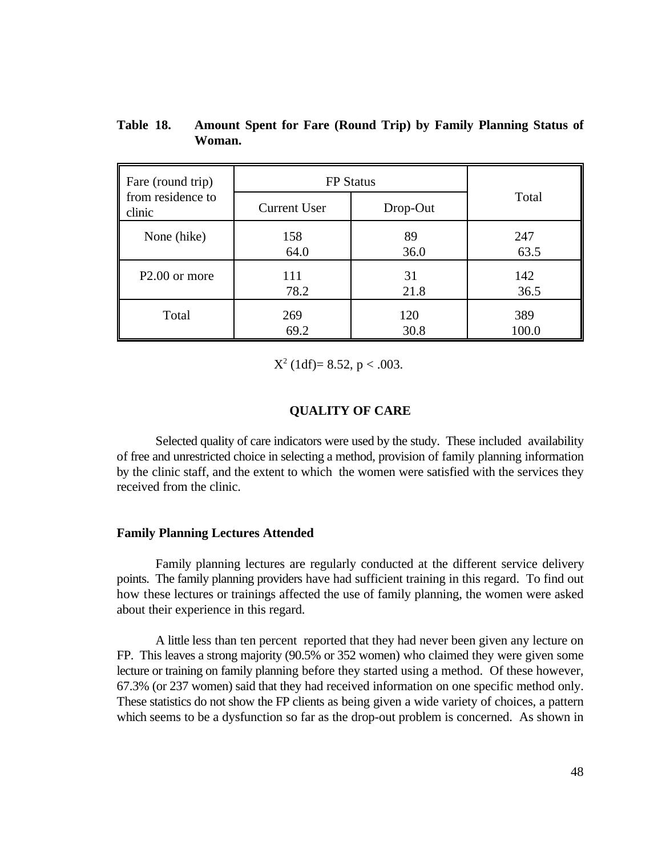| Fare (round trip)           | <b>FP</b> Status    |          |       |
|-----------------------------|---------------------|----------|-------|
| from residence to<br>clinic | <b>Current User</b> | Drop-Out | Total |
| None (hike)                 | 158                 | 89       | 247   |
|                             | 64.0                | 36.0     | 63.5  |
| P <sub>2.00</sub> or more   | 111                 | 31       | 142   |
|                             | 78.2                | 21.8     | 36.5  |
| Total                       | 269                 | 120      | 389   |
|                             | 69.2                | 30.8     | 100.0 |

**Table 18. Amount Spent for Fare (Round Trip) by Family Planning Status of Woman.**

 $X^2$  (1df)= 8.52, p < .003.

## **QUALITY OF CARE**

Selected quality of care indicators were used by the study. These included availability of free and unrestricted choice in selecting a method, provision of family planning information by the clinic staff, and the extent to which the women were satisfied with the services they received from the clinic.

## **Family Planning Lectures Attended**

Family planning lectures are regularly conducted at the different service delivery points. The family planning providers have had sufficient training in this regard. To find out how these lectures or trainings affected the use of family planning, the women were asked about their experience in this regard.

A little less than ten percent reported that they had never been given any lecture on FP. This leaves a strong majority (90.5% or 352 women) who claimed they were given some lecture or training on family planning before they started using a method. Of these however, 67.3% (or 237 women) said that they had received information on one specific method only. These statistics do not show the FP clients as being given a wide variety of choices, a pattern which seems to be a dysfunction so far as the drop-out problem is concerned. As shown in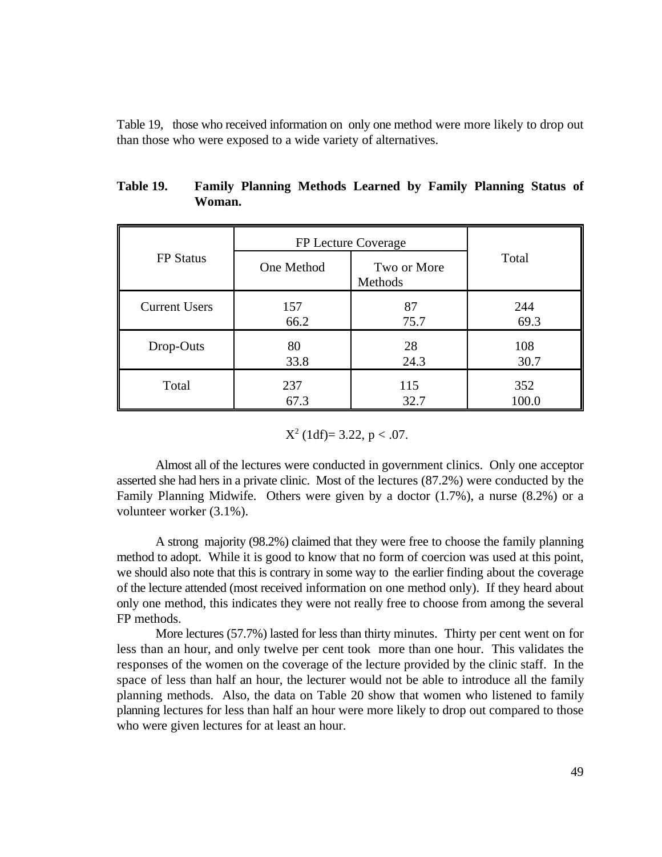Table 19, those who received information on only one method were more likely to drop out than those who were exposed to a wide variety of alternatives.

|                      | FP Lecture Coverage |                        |       |
|----------------------|---------------------|------------------------|-------|
| <b>FP</b> Status     | One Method          | Two or More<br>Methods | Total |
| <b>Current Users</b> | 157                 | 87                     | 244   |
|                      | 66.2                | 75.7                   | 69.3  |
| Drop-Outs            | 80                  | 28                     | 108   |
|                      | 33.8                | 24.3                   | 30.7  |
| Total                | 237                 | 115                    | 352   |
|                      | 67.3                | 32.7                   | 100.0 |

| Table 19. |        |  |  | <b>Family Planning Methods Learned by Family Planning Status of</b> |  |
|-----------|--------|--|--|---------------------------------------------------------------------|--|
|           | Woman. |  |  |                                                                     |  |

 $X^2$  (1df)= 3.22, p < .07.

Almost all of the lectures were conducted in government clinics. Only one acceptor asserted she had hers in a private clinic. Most of the lectures (87.2%) were conducted by the Family Planning Midwife. Others were given by a doctor (1.7%), a nurse (8.2%) or a volunteer worker (3.1%).

A strong majority (98.2%) claimed that they were free to choose the family planning method to adopt. While it is good to know that no form of coercion was used at this point, we should also note that this is contrary in some way to the earlier finding about the coverage of the lecture attended (most received information on one method only). If they heard about only one method, this indicates they were not really free to choose from among the several FP methods.

More lectures (57.7%) lasted for less than thirty minutes. Thirty per cent went on for less than an hour, and only twelve per cent took more than one hour. This validates the responses of the women on the coverage of the lecture provided by the clinic staff. In the space of less than half an hour, the lecturer would not be able to introduce all the family planning methods. Also, the data on Table 20 show that women who listened to family planning lectures for less than half an hour were more likely to drop out compared to those who were given lectures for at least an hour.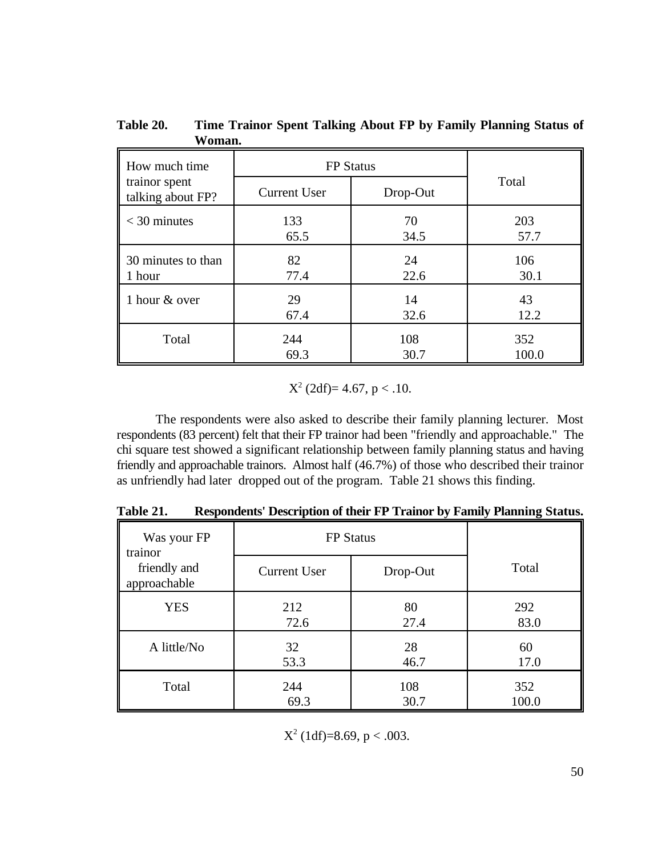| How much time<br>trainor spent<br>talking about FP? | <b>FP</b> Status<br><b>Current User</b> | Total |       |  |  |
|-----------------------------------------------------|-----------------------------------------|-------|-------|--|--|
| $<$ 30 minutes                                      | 133                                     | 70    | 203   |  |  |
|                                                     | 65.5                                    | 34.5  | 57.7  |  |  |
| 30 minutes to than                                  | 82                                      | 24    | 106   |  |  |
| 1 hour                                              | 77.4                                    | 22.6  | 30.1  |  |  |
| 1 hour & over                                       | 29                                      | 14    | 43    |  |  |
|                                                     | 67.4                                    | 32.6  | 12.2  |  |  |
| Total                                               | 244                                     | 108   | 352   |  |  |
|                                                     | 69.3                                    | 30.7  | 100.0 |  |  |

**Table 20. Time Trainor Spent Talking About FP by Family Planning Status of Woman.**

 $X^2$  (2df)= 4.67, p < .10.

The respondents were also asked to describe their family planning lecturer. Most respondents (83 percent) felt that their FP trainor had been "friendly and approachable." The chi square test showed a significant relationship between family planning status and having friendly and approachable trainors. Almost half (46.7%) of those who described their trainor as unfriendly had later dropped out of the program. Table 21 shows this finding.

**Table 21. Respondents' Description of their FP Trainor by Family Planning Status.**

| Was your FP<br>trainor       |                     | <b>FP</b> Status |       |
|------------------------------|---------------------|------------------|-------|
| friendly and<br>approachable | <b>Current User</b> | Drop-Out         | Total |
| <b>YES</b>                   | 212                 | 80               | 292   |
|                              | 72.6                | 27.4             | 83.0  |
| A little/No                  | 32                  | 28               | 60    |
|                              | 53.3                | 46.7             | 17.0  |
| Total                        | 244                 | 108              | 352   |
|                              | 69.3                | 30.7             | 100.0 |

 $X^2$  (1df)=8.69, p < .003.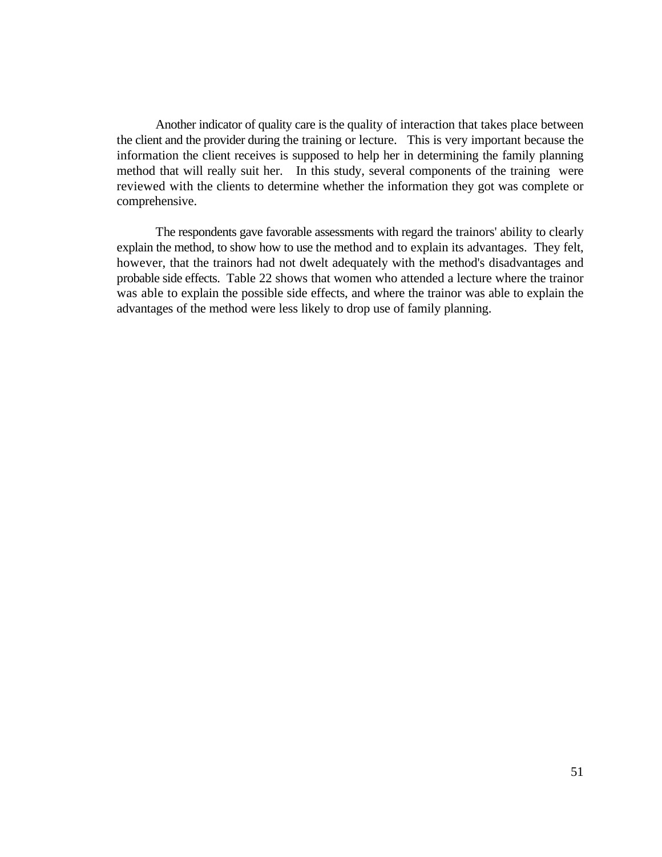Another indicator of quality care is the quality of interaction that takes place between the client and the provider during the training or lecture. This is very important because the information the client receives is supposed to help her in determining the family planning method that will really suit her. In this study, several components of the training were reviewed with the clients to determine whether the information they got was complete or comprehensive.

The respondents gave favorable assessments with regard the trainors' ability to clearly explain the method, to show how to use the method and to explain its advantages. They felt, however, that the trainors had not dwelt adequately with the method's disadvantages and probable side effects. Table 22 shows that women who attended a lecture where the trainor was able to explain the possible side effects, and where the trainor was able to explain the advantages of the method were less likely to drop use of family planning.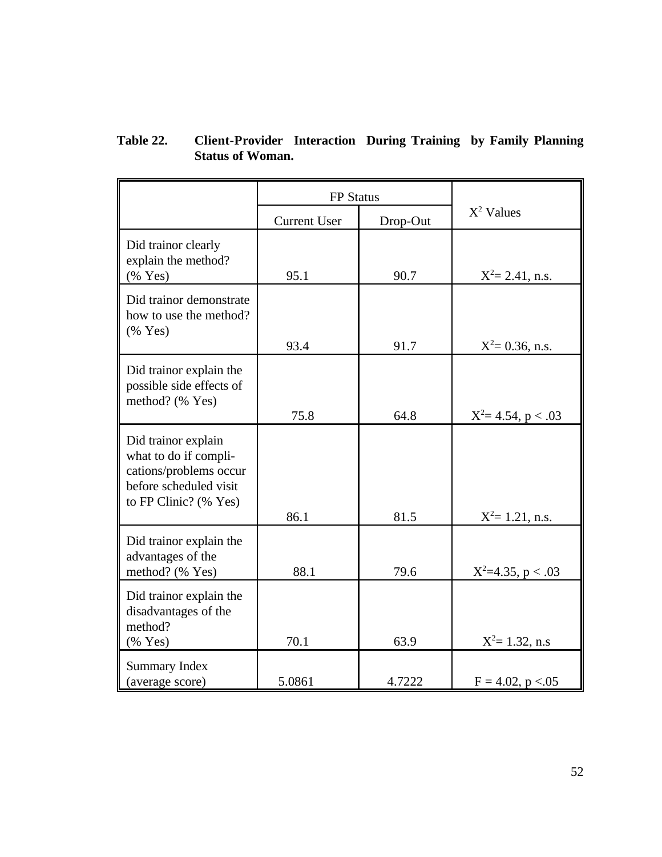| Table 22. | <b>Client-Provider Interaction During Training by Family Planning</b> |  |  |  |
|-----------|-----------------------------------------------------------------------|--|--|--|
|           | <b>Status of Woman.</b>                                               |  |  |  |

|                                                                                                                           | <b>FP</b> Status    |          |                        |
|---------------------------------------------------------------------------------------------------------------------------|---------------------|----------|------------------------|
|                                                                                                                           | <b>Current User</b> | Drop-Out | $X^2$ Values           |
| Did trainor clearly<br>explain the method?<br>(% Yes)                                                                     | 95.1                | 90.7     | $X^2 = 2.41$ , n.s.    |
| Did trainor demonstrate<br>how to use the method?<br>$(%$ (% Yes)                                                         | 93.4                | 91.7     | $X^2 = 0.36$ , n.s.    |
| Did trainor explain the<br>possible side effects of<br>method? (% Yes)                                                    | 75.8                | 64.8     | $X^2 = 4.54$ , p < .03 |
| Did trainor explain<br>what to do if compli-<br>cations/problems occur<br>before scheduled visit<br>to FP Clinic? (% Yes) | 86.1                | 81.5     | $X^2 = 1.21$ , n.s.    |
| Did trainor explain the<br>advantages of the<br>method? (% Yes)                                                           | 88.1                | 79.6     | $X^2=4.35$ , p < .03   |
| Did trainor explain the<br>disadvantages of the<br>method?<br>$(%$ (% Yes)                                                | 70.1                | 63.9     | $X^2 = 1.32$ , n.s.    |
| <b>Summary Index</b><br>(average score)                                                                                   | 5.0861              | 4.7222   | $F = 4.02$ , p < 0.05  |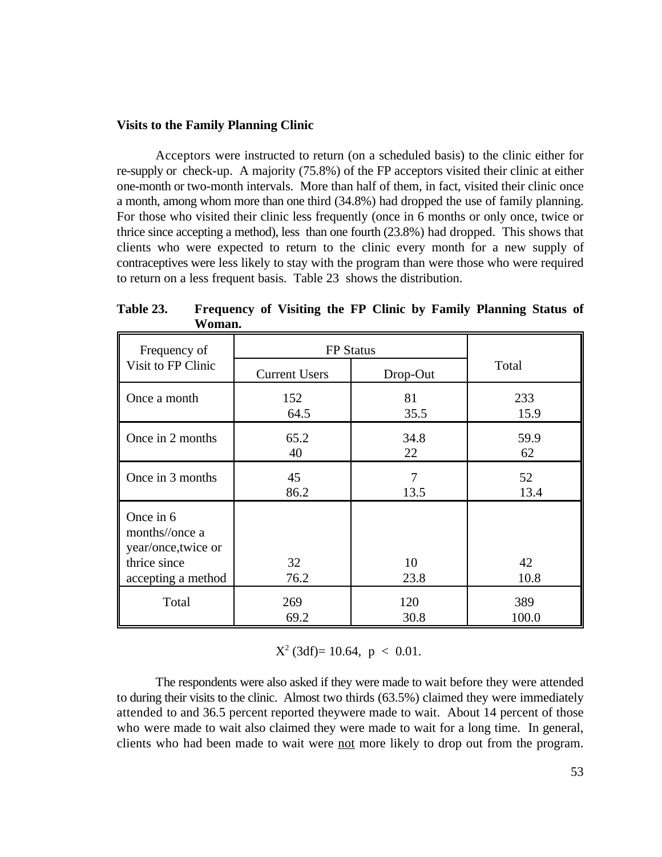## **Visits to the Family Planning Clinic**

Acceptors were instructed to return (on a scheduled basis) to the clinic either for re-supply or check-up. A majority (75.8%) of the FP acceptors visited their clinic at either one-month or two-month intervals. More than half of them, in fact, visited their clinic once a month, among whom more than one third (34.8%) had dropped the use of family planning. For those who visited their clinic less frequently (once in 6 months or only once, twice or thrice since accepting a method), less than one fourth (23.8%) had dropped. This shows that clients who were expected to return to the clinic every month for a new supply of contraceptives were less likely to stay with the program than were those who were required to return on a less frequent basis. Table 23 shows the distribution.

| Frequency of                                                                             | <b>FP</b> Status     |            |            |
|------------------------------------------------------------------------------------------|----------------------|------------|------------|
| Visit to FP Clinic                                                                       | <b>Current Users</b> | Drop-Out   | Total      |
| Once a month                                                                             | 152                  | 81         | 233        |
|                                                                                          | 64.5                 | 35.5       | 15.9       |
| Once in 2 months                                                                         | 65.2                 | 34.8       | 59.9       |
|                                                                                          | 40                   | 22         | 62         |
| Once in 3 months                                                                         | 45                   | 7          | 52         |
|                                                                                          | 86.2                 | 13.5       | 13.4       |
| Once in 6<br>months//once a<br>year/once, twice or<br>thrice since<br>accepting a method | 32<br>76.2           | 10<br>23.8 | 42<br>10.8 |
| Total                                                                                    | 269                  | 120        | 389        |
|                                                                                          | 69.2                 | 30.8       | 100.0      |

**Table 23. Frequency of Visiting the FP Clinic by Family Planning Status of Woman.**

 $X^2$  (3df)= 10.64, p < 0.01.

The respondents were also asked if they were made to wait before they were attended to during their visits to the clinic. Almost two thirds (63.5%) claimed they were immediately attended to and 36.5 percent reported theywere made to wait. About 14 percent of those who were made to wait also claimed they were made to wait for a long time. In general, clients who had been made to wait were not more likely to drop out from the program.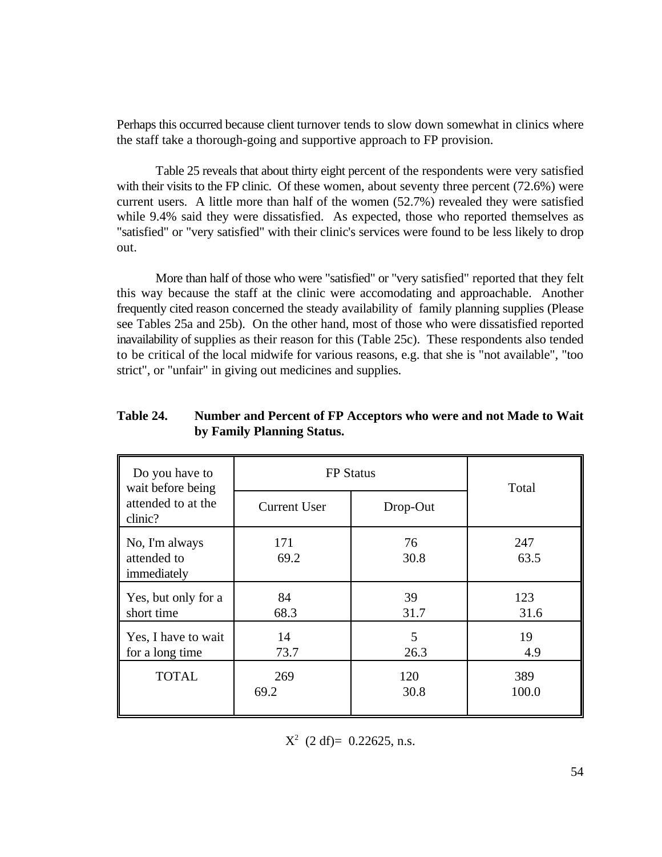Perhaps this occurred because client turnover tends to slow down somewhat in clinics where the staff take a thorough-going and supportive approach to FP provision.

Table 25 reveals that about thirty eight percent of the respondents were very satisfied with their visits to the FP clinic. Of these women, about seventy three percent (72.6%) were current users. A little more than half of the women (52.7%) revealed they were satisfied while 9.4% said they were dissatisfied. As expected, those who reported themselves as "satisfied" or "very satisfied" with their clinic's services were found to be less likely to drop out.

More than half of those who were "satisfied" or "very satisfied" reported that they felt this way because the staff at the clinic were accomodating and approachable. Another frequently cited reason concerned the steady availability of family planning supplies (Please see Tables 25a and 25b). On the other hand, most of those who were dissatisfied reported inavailability of supplies as their reason for this (Table 25c). These respondents also tended to be critical of the local midwife for various reasons, e.g. that she is "not available", "too strict", or "unfair" in giving out medicines and supplies.

| Table 24. | Number and Percent of FP Acceptors who were and not Made to Wait |
|-----------|------------------------------------------------------------------|
|           | by Family Planning Status.                                       |

| Do you have to<br>wait before being          | <b>FP</b> Status    | Total      |             |
|----------------------------------------------|---------------------|------------|-------------|
| attended to at the<br>clinic?                | <b>Current User</b> | Drop-Out   |             |
| No, I'm always<br>attended to<br>immediately | 171<br>69.2         | 76<br>30.8 | 247<br>63.5 |
| Yes, but only for a                          | 84                  | 39         | 123         |
| short time                                   | 68.3                | 31.7       | 31.6        |
| Yes, I have to wait                          | 14                  | 5          | 19          |
| for a long time                              | 73.7                | 26.3       | 4.9         |
| <b>TOTAL</b>                                 | 269                 | 120        | 389         |
|                                              | 69.2                | 30.8       | 100.0       |

 $X^2$  (2 df)= 0.22625, n.s.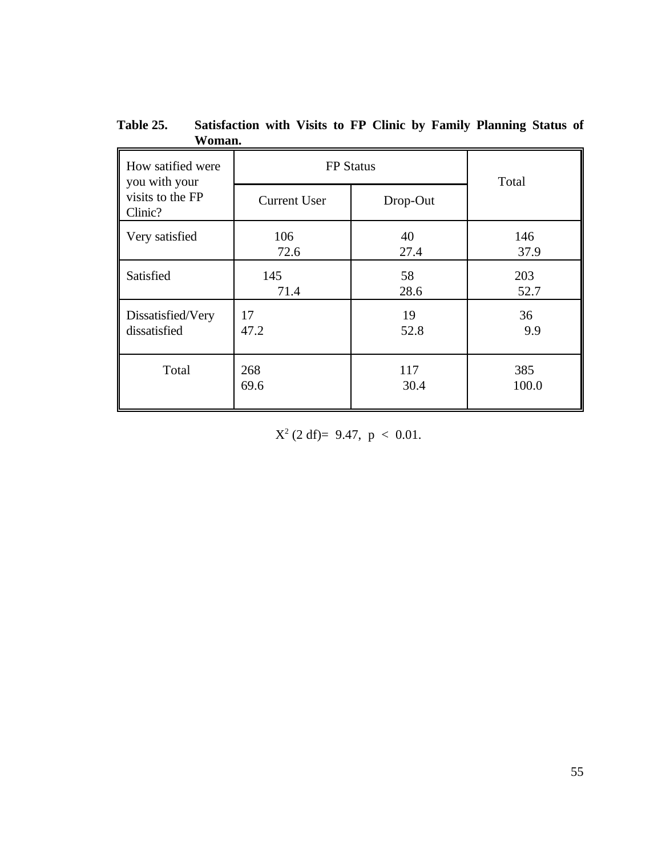| How satified were<br>you with your | <b>FP</b> Status    | Total    |       |
|------------------------------------|---------------------|----------|-------|
| visits to the FP<br>Clinic?        | <b>Current User</b> | Drop-Out |       |
| Very satisfied                     | 106                 | 40       | 146   |
|                                    | 72.6                | 27.4     | 37.9  |
| Satisfied                          | 145                 | 58       | 203   |
|                                    | 71.4                | 28.6     | 52.7  |
| Dissatisfied/Very                  | 17                  | 19       | 36    |
| dissatisfied                       | 47.2                | 52.8     | 9.9   |
| Total                              | 268                 | 117      | 385   |
|                                    | 69.6                | 30.4     | 100.0 |

**Table 25. Satisfaction with Visits to FP Clinic by Family Planning Status of Woman.**

 $X^2$  (2 df)= 9.47, p < 0.01.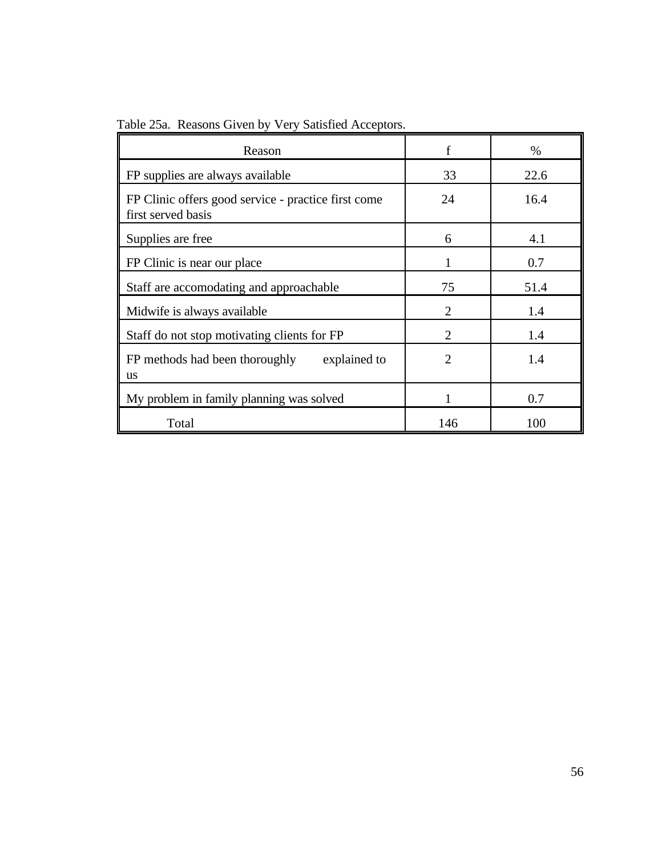| Table 25a. Reasons Given by Very Satisfied Acceptors. |  |  |  |
|-------------------------------------------------------|--|--|--|
|                                                       |  |  |  |

| Reason                                                                    |                             | $\%$ |
|---------------------------------------------------------------------------|-----------------------------|------|
| FP supplies are always available                                          | 33                          | 22.6 |
| FP Clinic offers good service - practice first come<br>first served basis | 24                          | 16.4 |
| Supplies are free                                                         | 6                           | 4.1  |
| FP Clinic is near our place                                               |                             | 0.7  |
| Staff are accomodating and approachable                                   | 75                          | 51.4 |
| Midwife is always available                                               | $\mathcal{D}_{\mathcal{L}}$ | 1.4  |
| Staff do not stop motivating clients for FP                               | $\mathcal{D}_{\mathcal{L}}$ | 1.4  |
| FP methods had been thoroughly<br>explained to<br><b>us</b>               | $\mathcal{D}_{\mathcal{L}}$ | 1.4  |
| My problem in family planning was solved                                  |                             | 0.7  |
| Total                                                                     | 146                         | 100  |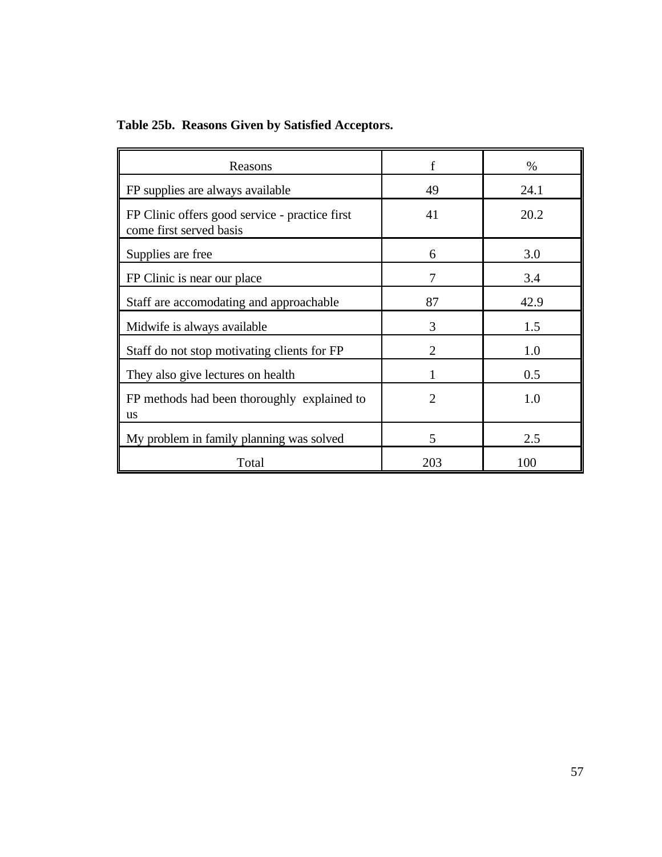|  | Table 25b. Reasons Given by Satisfied Acceptors. |  |  |  |
|--|--------------------------------------------------|--|--|--|
|  |                                                  |  |  |  |

| Reasons                                                                   | $\mathbf f$                 | $\%$ |
|---------------------------------------------------------------------------|-----------------------------|------|
| FP supplies are always available                                          | 49                          | 24.1 |
| FP Clinic offers good service - practice first<br>come first served basis | 41                          | 20.2 |
| Supplies are free                                                         | 6                           | 3.0  |
| FP Clinic is near our place                                               | 7                           | 3.4  |
| Staff are accomodating and approachable                                   | 87                          | 42.9 |
| Midwife is always available                                               | $\mathcal{R}$               | 1.5  |
| Staff do not stop motivating clients for FP                               | $\mathcal{D}_{\mathcal{L}}$ | 1.0  |
| They also give lectures on health                                         |                             | 0.5  |
| FP methods had been thoroughly explained to<br><b>us</b>                  | $\overline{2}$              | 1.0  |
| My problem in family planning was solved                                  | 5                           | 2.5  |
| Total                                                                     | 203                         | 100  |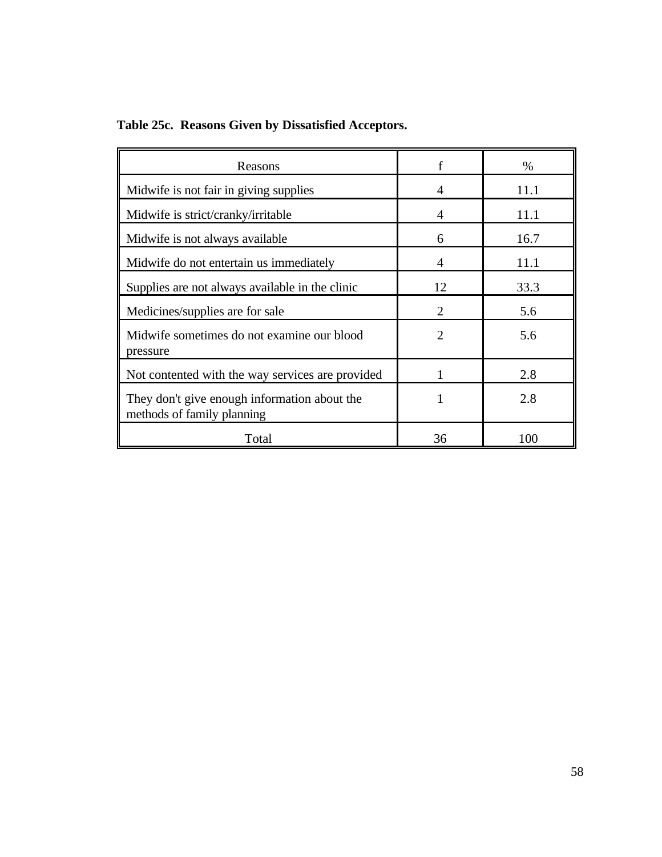**Table 25c. Reasons Given by Dissatisfied Acceptors.**

| Reasons                                                                    | f                           | $\%$ |
|----------------------------------------------------------------------------|-----------------------------|------|
| Midwife is not fair in giving supplies                                     | 4                           | 11.1 |
| Midwife is strict/cranky/irritable                                         | 4                           | 11.1 |
| Midwife is not always available                                            | 6                           | 16.7 |
| Midwife do not entertain us immediately                                    | 4                           | 11.1 |
| Supplies are not always available in the clinic                            | 12                          | 33.3 |
| Medicines/supplies are for sale                                            | $\mathcal{D}_{\mathcal{L}}$ | 5.6  |
| Midwife sometimes do not examine our blood<br>pressure                     | $\mathfrak{D}$              | 5.6  |
| Not contented with the way services are provided                           |                             | 2.8  |
| They don't give enough information about the<br>methods of family planning |                             | 2.8  |
| Total                                                                      | 36                          | 100  |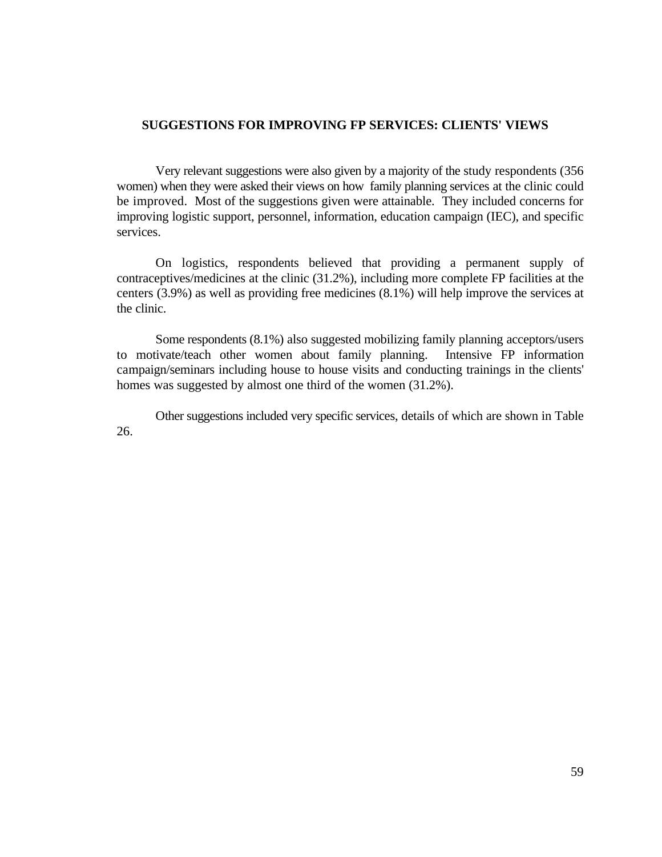## **SUGGESTIONS FOR IMPROVING FP SERVICES: CLIENTS' VIEWS**

Very relevant suggestions were also given by a majority of the study respondents (356 women) when they were asked their views on how family planning services at the clinic could be improved. Most of the suggestions given were attainable. They included concerns for improving logistic support, personnel, information, education campaign (IEC), and specific services.

On logistics, respondents believed that providing a permanent supply of contraceptives/medicines at the clinic (31.2%), including more complete FP facilities at the centers (3.9%) as well as providing free medicines (8.1%) will help improve the services at the clinic.

Some respondents (8.1%) also suggested mobilizing family planning acceptors/users to motivate/teach other women about family planning. Intensive FP information campaign/seminars including house to house visits and conducting trainings in the clients' homes was suggested by almost one third of the women (31.2%).

Other suggestions included very specific services, details of which are shown in Table 26.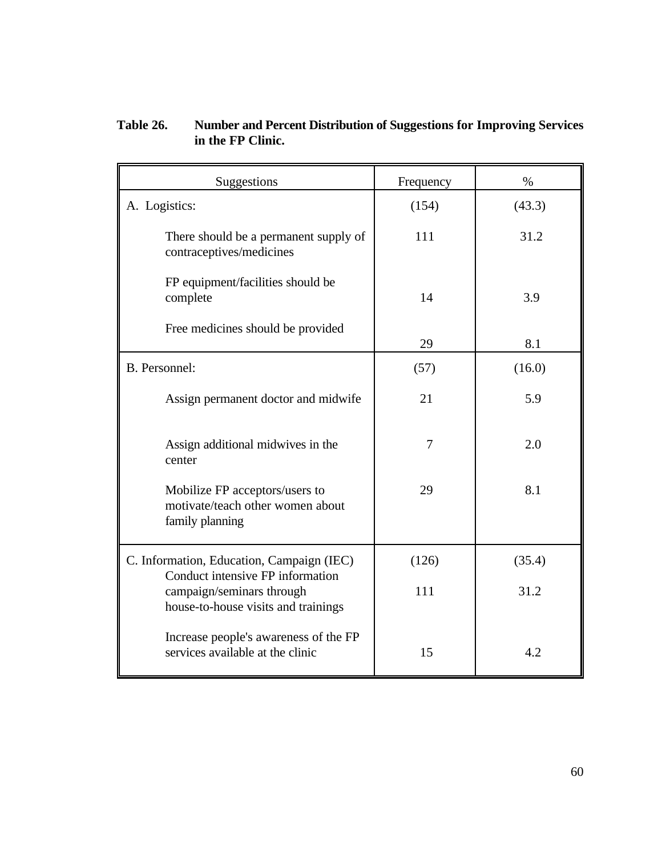# **Table 26. Number and Percent Distribution of Suggestions for Improving Services in the FP Clinic.**

| Suggestions                                                                                          | Frequency      | $\%$   |  |
|------------------------------------------------------------------------------------------------------|----------------|--------|--|
| A. Logistics:                                                                                        | (154)          | (43.3) |  |
| There should be a permanent supply of<br>contraceptives/medicines                                    | 111            | 31.2   |  |
| FP equipment/facilities should be<br>complete                                                        | 14             | 3.9    |  |
| Free medicines should be provided                                                                    | 29             | 8.1    |  |
| B. Personnel:                                                                                        | (57)           | (16.0) |  |
| Assign permanent doctor and midwife                                                                  | 21             | 5.9    |  |
| Assign additional midwives in the<br>center                                                          | $\overline{7}$ | 2.0    |  |
| Mobilize FP acceptors/users to<br>motivate/teach other women about<br>family planning                | 29             | 8.1    |  |
| C. Information, Education, Campaign (IEC)                                                            | (126)          | (35.4) |  |
| Conduct intensive FP information<br>campaign/seminars through<br>house-to-house visits and trainings | 111            | 31.2   |  |
| Increase people's awareness of the FP<br>services available at the clinic                            | 15             | 4.2    |  |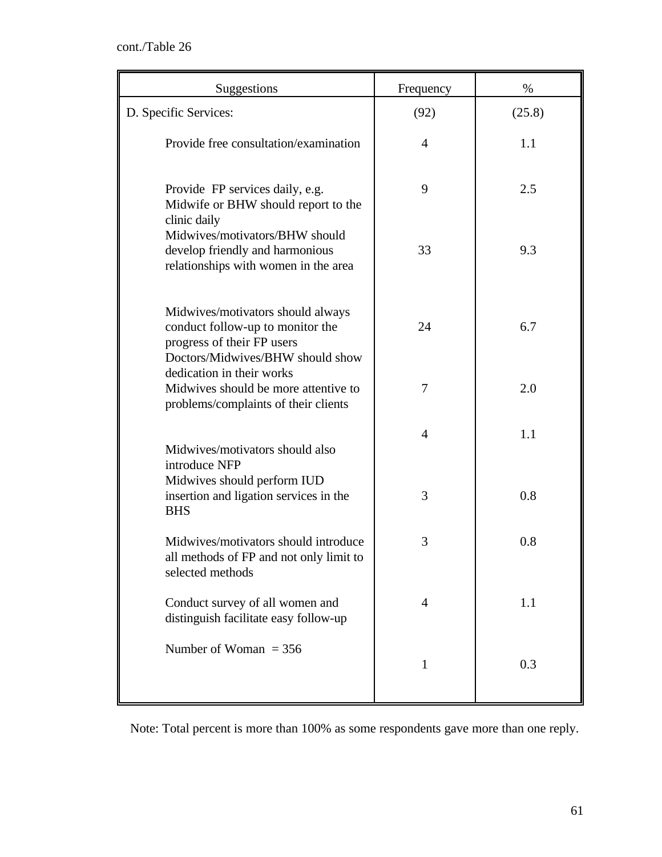| Suggestions                                                                                                                             | Frequency      | %      |
|-----------------------------------------------------------------------------------------------------------------------------------------|----------------|--------|
| D. Specific Services:                                                                                                                   | (92)           | (25.8) |
| Provide free consultation/examination                                                                                                   | $\overline{4}$ | 1.1    |
| Provide FP services daily, e.g.<br>Midwife or BHW should report to the<br>clinic daily                                                  | 9              | 2.5    |
| Midwives/motivators/BHW should<br>develop friendly and harmonious<br>relationships with women in the area                               | 33             | 9.3    |
| Midwives/motivators should always<br>conduct follow-up to monitor the<br>progress of their FP users<br>Doctors/Midwives/BHW should show | 24             | 6.7    |
| dedication in their works<br>Midwives should be more attentive to<br>problems/complaints of their clients                               | 7              | 2.0    |
| Midwives/motivators should also<br>introduce NFP                                                                                        | $\overline{4}$ | 1.1    |
| Midwives should perform IUD<br>insertion and ligation services in the<br><b>BHS</b>                                                     | 3              | 0.8    |
| Midwives/motivators should introduce<br>all methods of FP and not only limit to<br>selected methods                                     | 3              | 0.8    |
| Conduct survey of all women and<br>distinguish facilitate easy follow-up                                                                | 4              | 1.1    |
| Number of Woman $=$ 356                                                                                                                 | $\mathbf{1}$   | 0.3    |

Note: Total percent is more than 100% as some respondents gave more than one reply.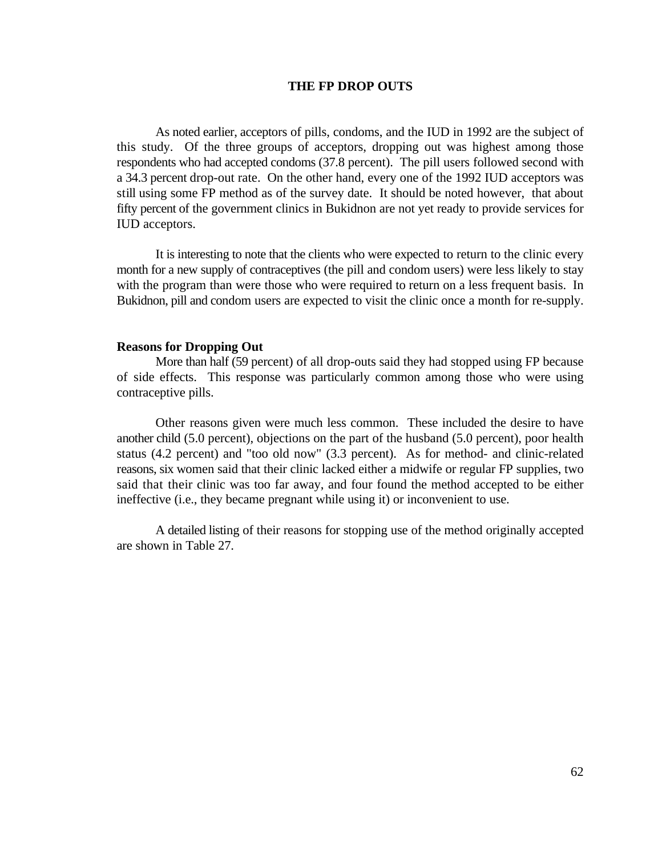### **THE FP DROP OUTS**

As noted earlier, acceptors of pills, condoms, and the IUD in 1992 are the subject of this study. Of the three groups of acceptors, dropping out was highest among those respondents who had accepted condoms (37.8 percent). The pill users followed second with a 34.3 percent drop-out rate. On the other hand, every one of the 1992 IUD acceptors was still using some FP method as of the survey date. It should be noted however, that about fifty percent of the government clinics in Bukidnon are not yet ready to provide services for IUD acceptors.

It is interesting to note that the clients who were expected to return to the clinic every month for a new supply of contraceptives (the pill and condom users) were less likely to stay with the program than were those who were required to return on a less frequent basis. In Bukidnon, pill and condom users are expected to visit the clinic once a month for re-supply.

## **Reasons for Dropping Out**

More than half (59 percent) of all drop-outs said they had stopped using FP because of side effects. This response was particularly common among those who were using contraceptive pills.

Other reasons given were much less common. These included the desire to have another child (5.0 percent), objections on the part of the husband (5.0 percent), poor health status (4.2 percent) and "too old now" (3.3 percent). As for method- and clinic-related reasons, six women said that their clinic lacked either a midwife or regular FP supplies, two said that their clinic was too far away, and four found the method accepted to be either ineffective (i.e., they became pregnant while using it) or inconvenient to use.

A detailed listing of their reasons for stopping use of the method originally accepted are shown in Table 27.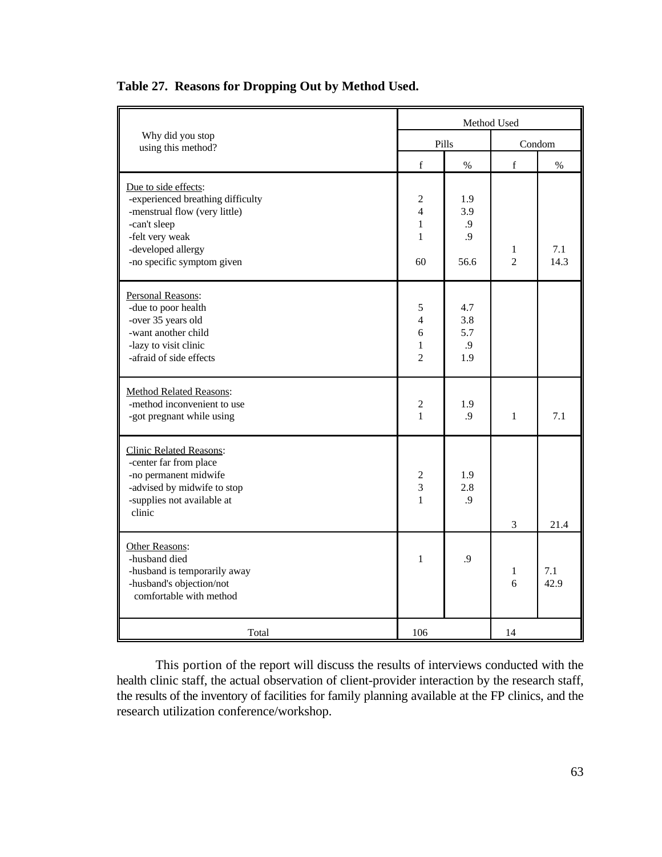|                                                                                                                                                                                   | Method Used                                                            |                                |                     |             |
|-----------------------------------------------------------------------------------------------------------------------------------------------------------------------------------|------------------------------------------------------------------------|--------------------------------|---------------------|-------------|
| Why did you stop<br>using this method?                                                                                                                                            | Pills                                                                  |                                | Condom              |             |
|                                                                                                                                                                                   | $\mathbf f$                                                            | $\%$                           | $\mathbf f$         | $\%$        |
| Due to side effects:<br>-experienced breathing difficulty<br>-menstrual flow (very little)<br>-can't sleep<br>-felt very weak<br>-developed allergy<br>-no specific symptom given | $\overline{c}$<br>$\overline{4}$<br>$\mathbf{1}$<br>$\mathbf{1}$<br>60 | 1.9<br>3.9<br>.9<br>.9<br>56.6 | 1<br>$\overline{2}$ | 7.1<br>14.3 |
| Personal Reasons:<br>-due to poor health<br>-over 35 years old<br>-want another child<br>-lazy to visit clinic<br>-afraid of side effects                                         | 5<br>$\overline{4}$<br>6<br>$\mathbf{1}$<br>$\overline{2}$             | 4.7<br>3.8<br>5.7<br>.9<br>1.9 |                     |             |
| <b>Method Related Reasons:</b><br>-method inconvenient to use<br>-got pregnant while using                                                                                        | 2<br>$\mathbf{1}$                                                      | 1.9<br>.9                      | 1                   | 7.1         |
| <b>Clinic Related Reasons:</b><br>-center far from place<br>-no permanent midwife<br>-advised by midwife to stop<br>-supplies not available at<br>clinic                          | 2<br>$\ensuremath{\mathfrak{Z}}$<br>$\mathbf{1}$                       | 1.9<br>2.8<br>.9               | 3                   | 21.4        |
| Other Reasons:<br>-husband died<br>-husband is temporarily away<br>-husband's objection/not<br>comfortable with method                                                            | $\mathbf{1}$                                                           | .9                             | 1<br>6              | 7.1<br>42.9 |
| Total                                                                                                                                                                             | 106                                                                    |                                | 14                  |             |

# **Table 27. Reasons for Dropping Out by Method Used.**

This portion of the report will discuss the results of interviews conducted with the health clinic staff, the actual observation of client-provider interaction by the research staff, the results of the inventory of facilities for family planning available at the FP clinics, and the research utilization conference/workshop.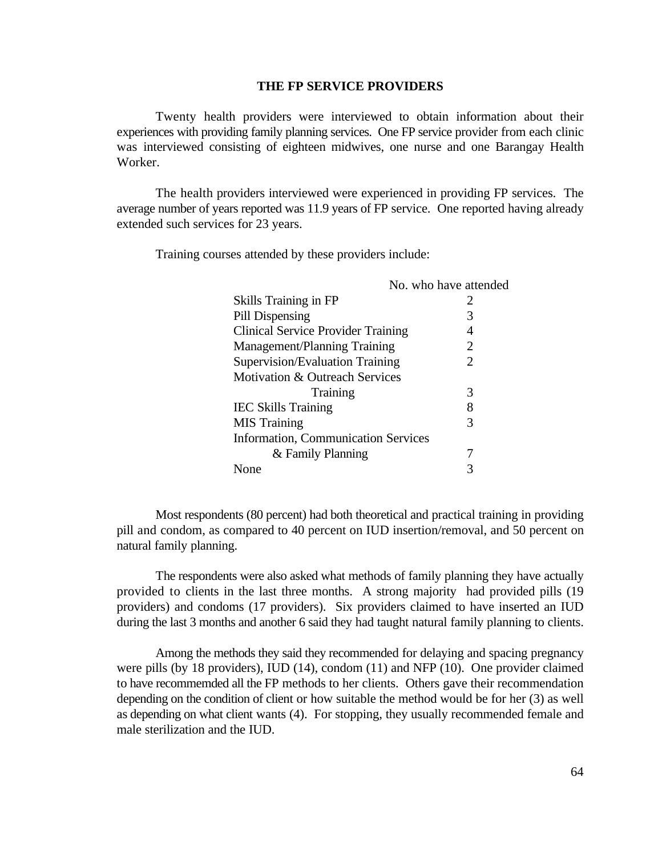#### **THE FP SERVICE PROVIDERS**

Twenty health providers were interviewed to obtain information about their experiences with providing family planning services. One FP service provider from each clinic was interviewed consisting of eighteen midwives, one nurse and one Barangay Health Worker.

The health providers interviewed were experienced in providing FP services. The average number of years reported was 11.9 years of FP service. One reported having already extended such services for 23 years.

Training courses attended by these providers include:

|                                            | No. who have attended |
|--------------------------------------------|-----------------------|
| Skills Training in FP                      | 2                     |
| Pill Dispensing                            | 3                     |
| <b>Clinical Service Provider Training</b>  |                       |
| Management/Planning Training               | 2                     |
| Supervision/Evaluation Training            | 2                     |
| Motivation & Outreach Services             |                       |
| Training                                   | 3                     |
| <b>IEC Skills Training</b>                 | 8                     |
| <b>MIS</b> Training                        | 3                     |
| <b>Information, Communication Services</b> |                       |
| & Family Planning                          |                       |
| Jone                                       |                       |
|                                            |                       |

Most respondents (80 percent) had both theoretical and practical training in providing pill and condom, as compared to 40 percent on IUD insertion/removal, and 50 percent on natural family planning.

The respondents were also asked what methods of family planning they have actually provided to clients in the last three months. A strong majority had provided pills (19 providers) and condoms (17 providers). Six providers claimed to have inserted an IUD during the last 3 months and another 6 said they had taught natural family planning to clients.

Among the methods they said they recommended for delaying and spacing pregnancy were pills (by 18 providers), IUD (14), condom (11) and NFP (10). One provider claimed to have recommemded all the FP methods to her clients. Others gave their recommendation depending on the condition of client or how suitable the method would be for her (3) as well as depending on what client wants (4). For stopping, they usually recommended female and male sterilization and the IUD.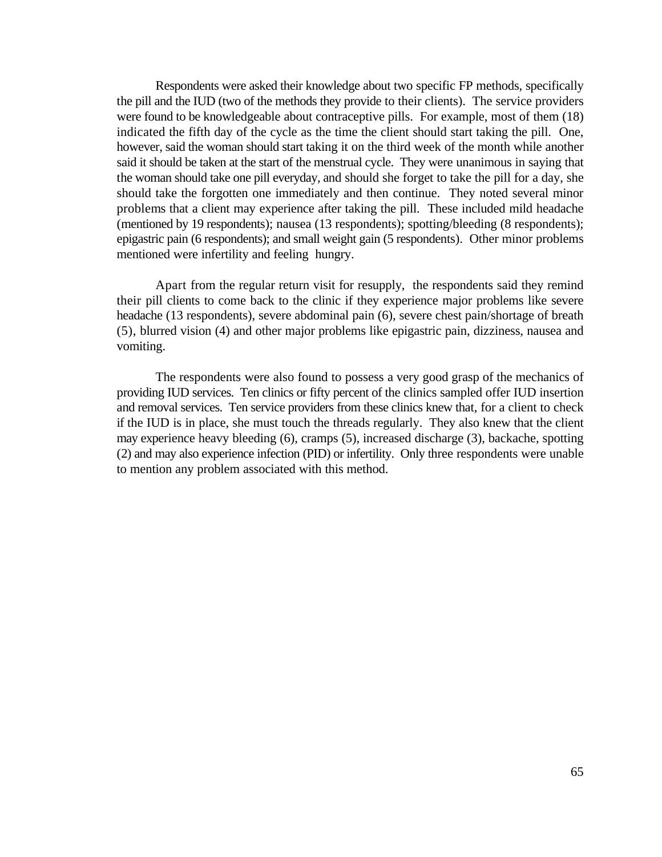Respondents were asked their knowledge about two specific FP methods, specifically the pill and the IUD (two of the methods they provide to their clients). The service providers were found to be knowledgeable about contraceptive pills. For example, most of them (18) indicated the fifth day of the cycle as the time the client should start taking the pill. One, however, said the woman should start taking it on the third week of the month while another said it should be taken at the start of the menstrual cycle. They were unanimous in saying that the woman should take one pill everyday, and should she forget to take the pill for a day, she should take the forgotten one immediately and then continue. They noted several minor problems that a client may experience after taking the pill. These included mild headache (mentioned by 19 respondents); nausea (13 respondents); spotting/bleeding (8 respondents); epigastric pain (6 respondents); and small weight gain (5 respondents). Other minor problems mentioned were infertility and feeling hungry.

Apart from the regular return visit for resupply, the respondents said they remind their pill clients to come back to the clinic if they experience major problems like severe headache (13 respondents), severe abdominal pain (6), severe chest pain/shortage of breath (5), blurred vision (4) and other major problems like epigastric pain, dizziness, nausea and vomiting.

The respondents were also found to possess a very good grasp of the mechanics of providing IUD services. Ten clinics or fifty percent of the clinics sampled offer IUD insertion and removal services. Ten service providers from these clinics knew that, for a client to check if the IUD is in place, she must touch the threads regularly. They also knew that the client may experience heavy bleeding (6), cramps (5), increased discharge (3), backache, spotting (2) and may also experience infection (PID) or infertility. Only three respondents were unable to mention any problem associated with this method.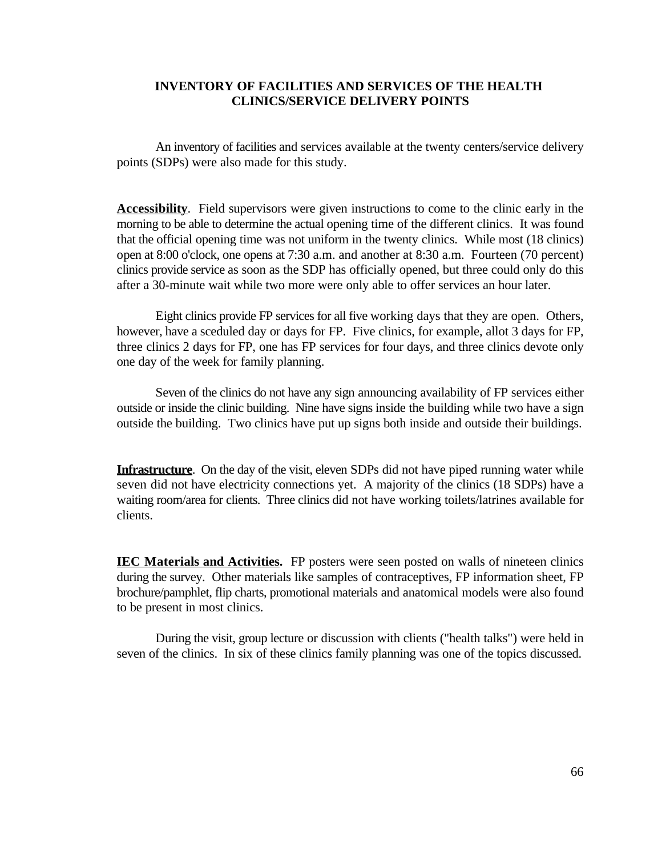## **INVENTORY OF FACILITIES AND SERVICES OF THE HEALTH CLINICS/SERVICE DELIVERY POINTS**

An inventory of facilities and services available at the twenty centers/service delivery points (SDPs) were also made for this study.

**Accessibility**. Field supervisors were given instructions to come to the clinic early in the morning to be able to determine the actual opening time of the different clinics. It was found that the official opening time was not uniform in the twenty clinics. While most (18 clinics) open at 8:00 o'clock, one opens at 7:30 a.m. and another at 8:30 a.m. Fourteen (70 percent) clinics provide service as soon as the SDP has officially opened, but three could only do this after a 30-minute wait while two more were only able to offer services an hour later.

Eight clinics provide FP services for all five working days that they are open. Others, however, have a sceduled day or days for FP. Five clinics, for example, allot 3 days for FP, three clinics 2 days for FP, one has FP services for four days, and three clinics devote only one day of the week for family planning.

Seven of the clinics do not have any sign announcing availability of FP services either outside or inside the clinic building. Nine have signs inside the building while two have a sign outside the building. Two clinics have put up signs both inside and outside their buildings.

**Infrastructure**. On the day of the visit, eleven SDPs did not have piped running water while seven did not have electricity connections yet. A majority of the clinics (18 SDPs) have a waiting room/area for clients. Three clinics did not have working toilets/latrines available for clients.

**IEC Materials and Activities.** FP posters were seen posted on walls of nineteen clinics during the survey. Other materials like samples of contraceptives, FP information sheet, FP brochure/pamphlet, flip charts, promotional materials and anatomical models were also found to be present in most clinics.

During the visit, group lecture or discussion with clients ("health talks") were held in seven of the clinics. In six of these clinics family planning was one of the topics discussed.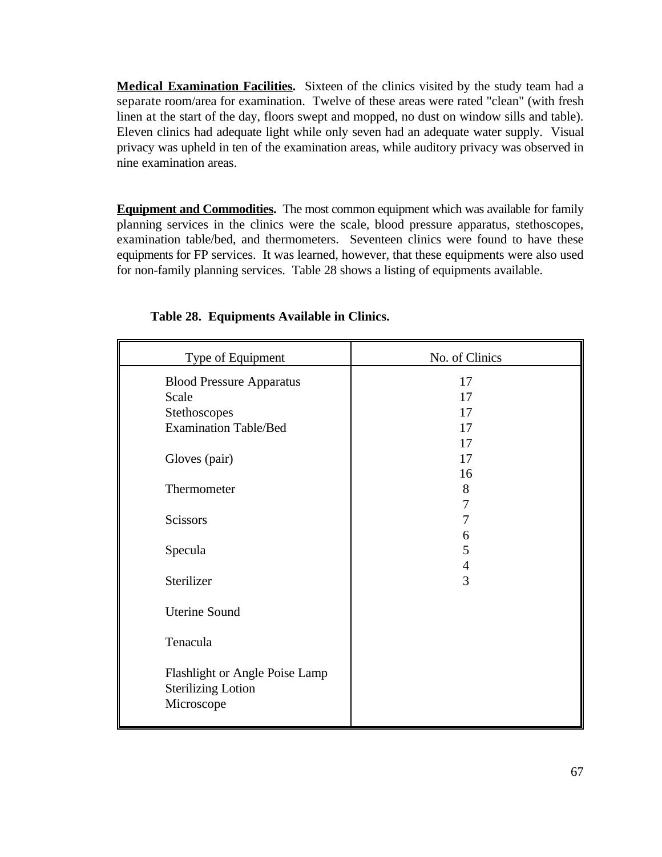**Medical Examination Facilities.** Sixteen of the clinics visited by the study team had a separate room/area for examination. Twelve of these areas were rated "clean" (with fresh linen at the start of the day, floors swept and mopped, no dust on window sills and table). Eleven clinics had adequate light while only seven had an adequate water supply. Visual privacy was upheld in ten of the examination areas, while auditory privacy was observed in nine examination areas.

**Equipment and Commodities.** The most common equipment which was available for family planning services in the clinics were the scale, blood pressure apparatus, stethoscopes, examination table/bed, and thermometers. Seventeen clinics were found to have these equipments for FP services. It was learned, however, that these equipments were also used for non-family planning services. Table 28 shows a listing of equipments available.

| Type of Equipment                                                                | No. of Clinics           |
|----------------------------------------------------------------------------------|--------------------------|
| <b>Blood Pressure Apparatus</b><br>Scale<br>Stethoscopes                         | 17<br>17<br>17           |
| <b>Examination Table/Bed</b>                                                     | 17<br>17                 |
| Gloves (pair)                                                                    | 17<br>16                 |
| Thermometer                                                                      | 8<br>7                   |
| <b>Scissors</b>                                                                  | 6                        |
| Specula<br>Sterilizer                                                            | 5<br>$\overline{4}$<br>3 |
| <b>Uterine Sound</b>                                                             |                          |
| Tenacula                                                                         |                          |
| <b>Flashlight or Angle Poise Lamp</b><br><b>Sterilizing Lotion</b><br>Microscope |                          |

# **Table 28. Equipments Available in Clinics.**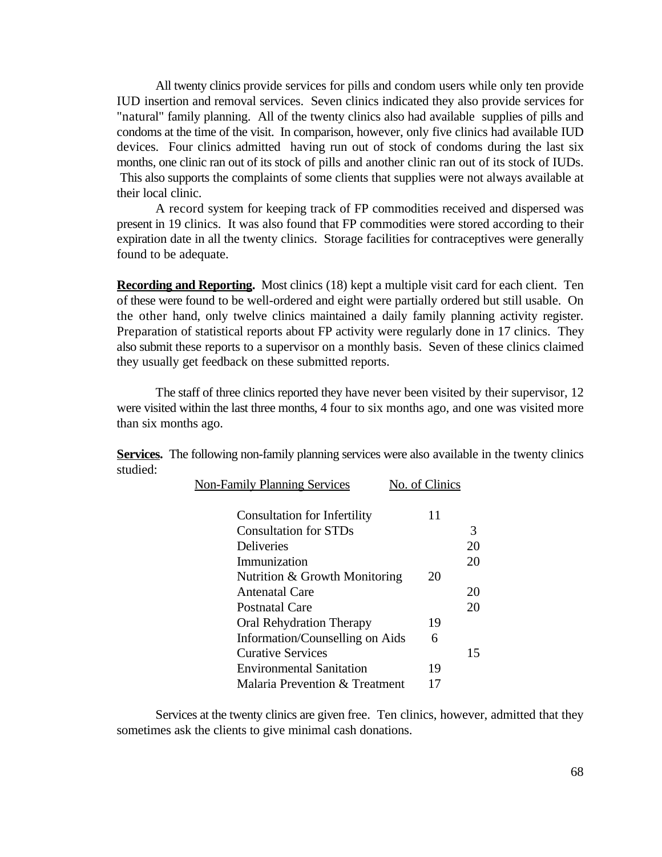All twenty clinics provide services for pills and condom users while only ten provide IUD insertion and removal services. Seven clinics indicated they also provide services for "natural" family planning. All of the twenty clinics also had available supplies of pills and condoms at the time of the visit. In comparison, however, only five clinics had available IUD devices. Four clinics admitted having run out of stock of condoms during the last six months, one clinic ran out of its stock of pills and another clinic ran out of its stock of IUDs. This also supports the complaints of some clients that supplies were not always available at their local clinic.

A record system for keeping track of FP commodities received and dispersed was present in 19 clinics. It was also found that FP commodities were stored according to their expiration date in all the twenty clinics. Storage facilities for contraceptives were generally found to be adequate.

**Recording and Reporting.** Most clinics (18) kept a multiple visit card for each client. Ten of these were found to be well-ordered and eight were partially ordered but still usable. On the other hand, only twelve clinics maintained a daily family planning activity register. Preparation of statistical reports about FP activity were regularly done in 17 clinics. They also submit these reports to a supervisor on a monthly basis. Seven of these clinics claimed they usually get feedback on these submitted reports.

The staff of three clinics reported they have never been visited by their supervisor, 12 were visited within the last three months, 4 four to six months ago, and one was visited more than six months ago.

**Services.** The following non-family planning services were also available in the twenty clinics studied:

| <b>Non-Family Planning Services</b> | No. of Clinics |    |
|-------------------------------------|----------------|----|
| <b>Consultation for Infertility</b> | 11             |    |
| <b>Consultation for STDs</b>        |                | 3  |
| <b>Deliveries</b>                   |                | 20 |
| Immunization                        |                | 20 |
| Nutrition & Growth Monitoring       | 20             |    |
| Antenatal Care                      |                | 20 |
| <b>Postnatal Care</b>               |                | 20 |
| <b>Oral Rehydration Therapy</b>     | 19             |    |
| Information/Counselling on Aids     | 6              |    |
| <b>Curative Services</b>            |                | 15 |
| <b>Environmental Sanitation</b>     | 19             |    |
| Malaria Prevention & Treatment      |                |    |
|                                     |                |    |

Services at the twenty clinics are given free. Ten clinics, however, admitted that they sometimes ask the clients to give minimal cash donations.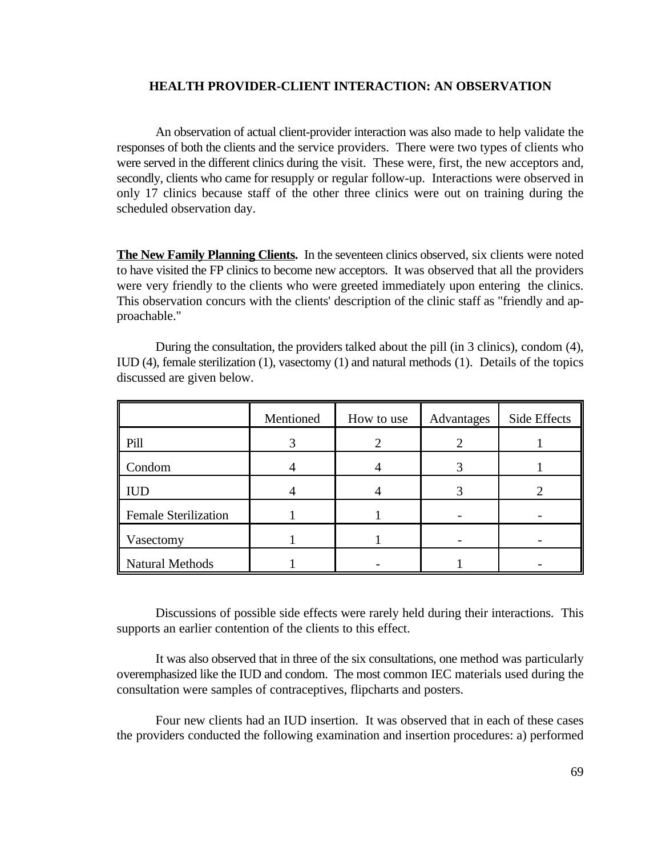## **HEALTH PROVIDER-CLIENT INTERACTION: AN OBSERVATION**

An observation of actual client-provider interaction was also made to help validate the responses of both the clients and the service providers. There were two types of clients who were served in the different clinics during the visit. These were, first, the new acceptors and, secondly, clients who came for resupply or regular follow-up. Interactions were observed in only 17 clinics because staff of the other three clinics were out on training during the scheduled observation day.

**The New Family Planning Clients.** In the seventeen clinics observed, six clients were noted to have visited the FP clinics to become new acceptors. It was observed that all the providers were very friendly to the clients who were greeted immediately upon entering the clinics. This observation concurs with the clients' description of the clinic staff as "friendly and approachable."

|                             | Mentioned | How to use | Advantages | Side Effects |
|-----------------------------|-----------|------------|------------|--------------|
| Pill                        |           |            |            |              |
| Condom                      |           |            |            |              |
| <b>IUD</b>                  |           |            |            |              |
| <b>Female Sterilization</b> |           |            |            |              |
| Vasectomy                   |           |            |            |              |
| Natural Methods             |           |            |            |              |

During the consultation, the providers talked about the pill (in 3 clinics), condom (4), IUD (4), female sterilization (1), vasectomy (1) and natural methods (1). Details of the topics discussed are given below.

Discussions of possible side effects were rarely held during their interactions. This supports an earlier contention of the clients to this effect.

It was also observed that in three of the six consultations, one method was particularly overemphasized like the IUD and condom. The most common IEC materials used during the consultation were samples of contraceptives, flipcharts and posters.

Four new clients had an IUD insertion. It was observed that in each of these cases the providers conducted the following examination and insertion procedures: a) performed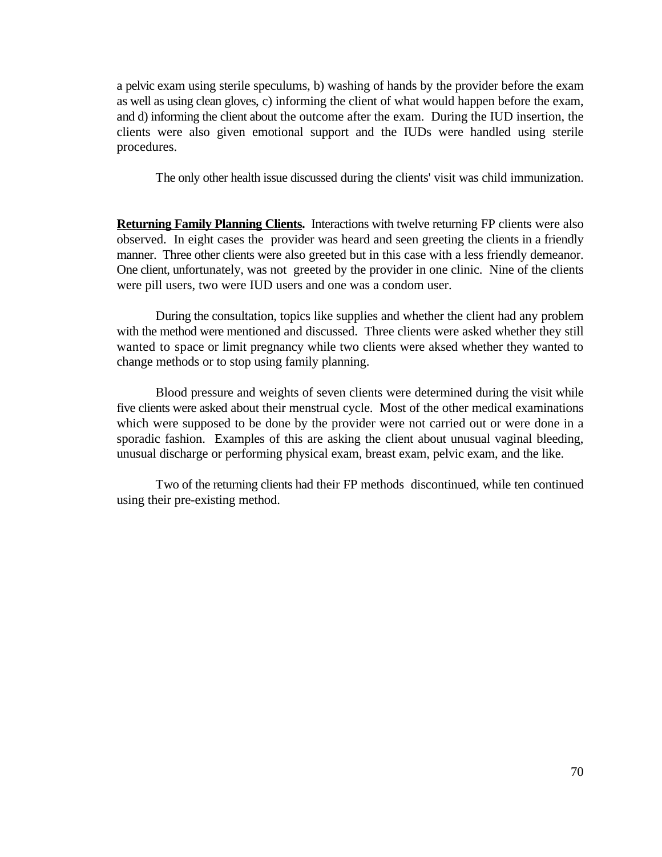a pelvic exam using sterile speculums, b) washing of hands by the provider before the exam as well as using clean gloves, c) informing the client of what would happen before the exam, and d) informing the client about the outcome after the exam. During the IUD insertion, the clients were also given emotional support and the IUDs were handled using sterile procedures.

The only other health issue discussed during the clients' visit was child immunization.

**Returning Family Planning Clients.** Interactions with twelve returning FP clients were also observed. In eight cases the provider was heard and seen greeting the clients in a friendly manner. Three other clients were also greeted but in this case with a less friendly demeanor. One client, unfortunately, was not greeted by the provider in one clinic. Nine of the clients were pill users, two were IUD users and one was a condom user.

During the consultation, topics like supplies and whether the client had any problem with the method were mentioned and discussed. Three clients were asked whether they still wanted to space or limit pregnancy while two clients were aksed whether they wanted to change methods or to stop using family planning.

Blood pressure and weights of seven clients were determined during the visit while five clients were asked about their menstrual cycle. Most of the other medical examinations which were supposed to be done by the provider were not carried out or were done in a sporadic fashion. Examples of this are asking the client about unusual vaginal bleeding, unusual discharge or performing physical exam, breast exam, pelvic exam, and the like.

Two of the returning clients had their FP methods discontinued, while ten continued using their pre-existing method.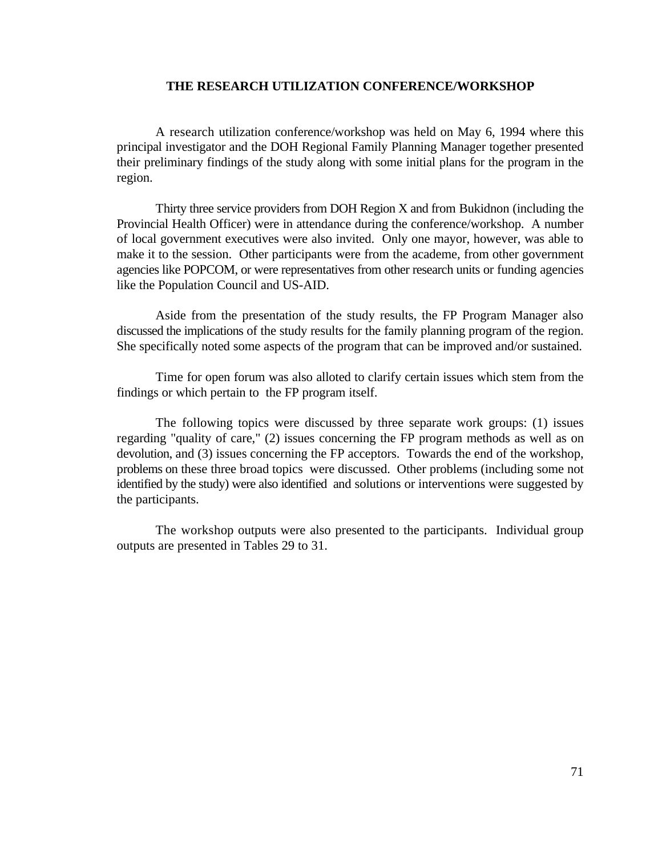## **THE RESEARCH UTILIZATION CONFERENCE/WORKSHOP**

A research utilization conference/workshop was held on May 6, 1994 where this principal investigator and the DOH Regional Family Planning Manager together presented their preliminary findings of the study along with some initial plans for the program in the region.

Thirty three service providers from DOH Region X and from Bukidnon (including the Provincial Health Officer) were in attendance during the conference/workshop. A number of local government executives were also invited. Only one mayor, however, was able to make it to the session. Other participants were from the academe, from other government agencies like POPCOM, or were representatives from other research units or funding agencies like the Population Council and US-AID.

Aside from the presentation of the study results, the FP Program Manager also discussed the implications of the study results for the family planning program of the region. She specifically noted some aspects of the program that can be improved and/or sustained.

Time for open forum was also alloted to clarify certain issues which stem from the findings or which pertain to the FP program itself.

The following topics were discussed by three separate work groups: (1) issues regarding "quality of care," (2) issues concerning the FP program methods as well as on devolution, and (3) issues concerning the FP acceptors. Towards the end of the workshop, problems on these three broad topics were discussed. Other problems (including some not identified by the study) were also identified and solutions or interventions were suggested by the participants.

The workshop outputs were also presented to the participants. Individual group outputs are presented in Tables 29 to 31.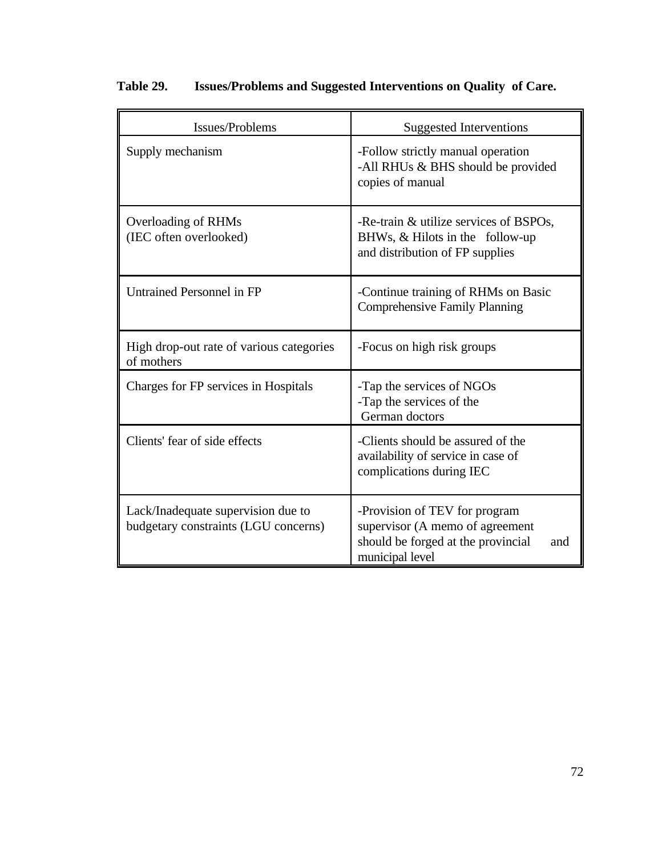| Issues/Problems                                                            | <b>Suggested Interventions</b>                                                                                                   |
|----------------------------------------------------------------------------|----------------------------------------------------------------------------------------------------------------------------------|
| Supply mechanism                                                           | -Follow strictly manual operation<br>-All RHUs & BHS should be provided<br>copies of manual                                      |
| Overloading of RHMs<br>(IEC often overlooked)                              | -Re-train & utilize services of BSPOs,<br>BHWs, & Hilots in the follow-up<br>and distribution of FP supplies                     |
| <b>Untrained Personnel in FP</b>                                           | -Continue training of RHMs on Basic<br><b>Comprehensive Family Planning</b>                                                      |
| High drop-out rate of various categories<br>of mothers                     | -Focus on high risk groups                                                                                                       |
| Charges for FP services in Hospitals                                       | -Tap the services of NGOs<br>-Tap the services of the<br>German doctors                                                          |
| Clients' fear of side effects                                              | -Clients should be assured of the<br>availability of service in case of<br>complications during IEC                              |
| Lack/Inadequate supervision due to<br>budgetary constraints (LGU concerns) | -Provision of TEV for program<br>supervisor (A memo of agreement<br>should be forged at the provincial<br>and<br>municipal level |

# **Table 29. Issues/Problems and Suggested Interventions on Quality of Care.**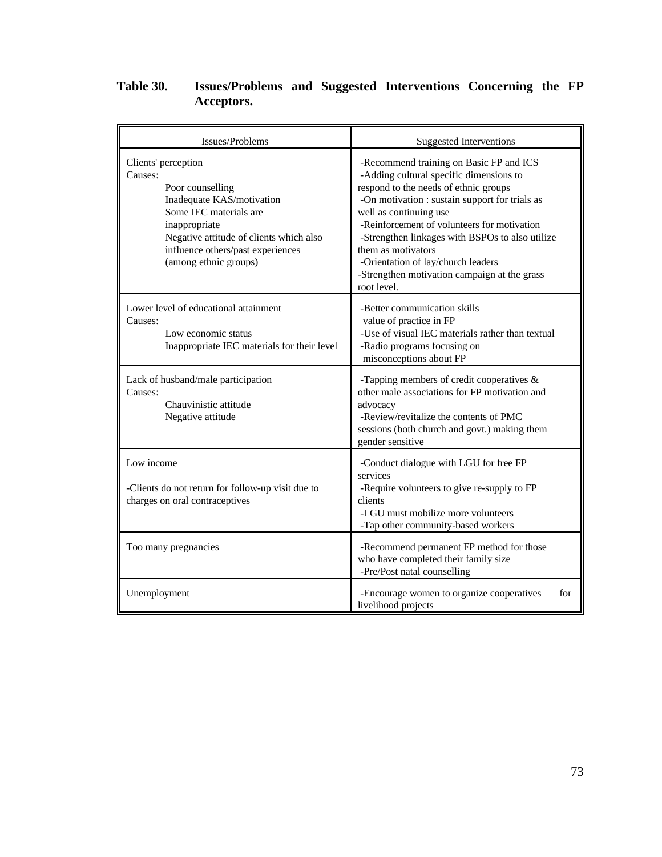## **Table 30. Issues/Problems and Suggested Interventions Concerning the FP Acceptors.**

| Issues/Problems                                                                                                                                                                                                                     | <b>Suggested Interventions</b>                                                                                                                                                                                                                                                                                                                                                                                                       |
|-------------------------------------------------------------------------------------------------------------------------------------------------------------------------------------------------------------------------------------|--------------------------------------------------------------------------------------------------------------------------------------------------------------------------------------------------------------------------------------------------------------------------------------------------------------------------------------------------------------------------------------------------------------------------------------|
| Clients' perception<br>Causes:<br>Poor counselling<br>Inadequate KAS/motivation<br>Some IEC materials are<br>inappropriate<br>Negative attitude of clients which also<br>influence others/past experiences<br>(among ethnic groups) | -Recommend training on Basic FP and ICS<br>-Adding cultural specific dimensions to<br>respond to the needs of ethnic groups<br>-On motivation : sustain support for trials as<br>well as continuing use<br>-Reinforcement of volunteers for motivation<br>-Strengthen linkages with BSPOs to also utilize<br>them as motivators<br>-Orientation of lay/church leaders<br>-Strengthen motivation campaign at the grass<br>root level. |
| Lower level of educational attainment<br>Causes:<br>Low economic status<br>Inappropriate IEC materials for their level                                                                                                              | -Better communication skills<br>value of practice in FP<br>-Use of visual IEC materials rather than textual<br>-Radio programs focusing on<br>misconceptions about FP                                                                                                                                                                                                                                                                |
| Lack of husband/male participation<br>Causes:<br>Chauvinistic attitude<br>Negative attitude                                                                                                                                         | -Tapping members of credit cooperatives $\&$<br>other male associations for FP motivation and<br>advocacy<br>-Review/revitalize the contents of PMC<br>sessions (both church and govt.) making them<br>gender sensitive                                                                                                                                                                                                              |
| Low income<br>-Clients do not return for follow-up visit due to<br>charges on oral contraceptives                                                                                                                                   | -Conduct dialogue with LGU for free FP<br>services<br>-Require volunteers to give re-supply to FP<br>clients<br>-LGU must mobilize more volunteers<br>-Tap other community-based workers                                                                                                                                                                                                                                             |
| Too many pregnancies                                                                                                                                                                                                                | -Recommend permanent FP method for those<br>who have completed their family size<br>-Pre/Post natal counselling                                                                                                                                                                                                                                                                                                                      |
| Unemployment                                                                                                                                                                                                                        | -Encourage women to organize cooperatives<br>for<br>livelihood projects                                                                                                                                                                                                                                                                                                                                                              |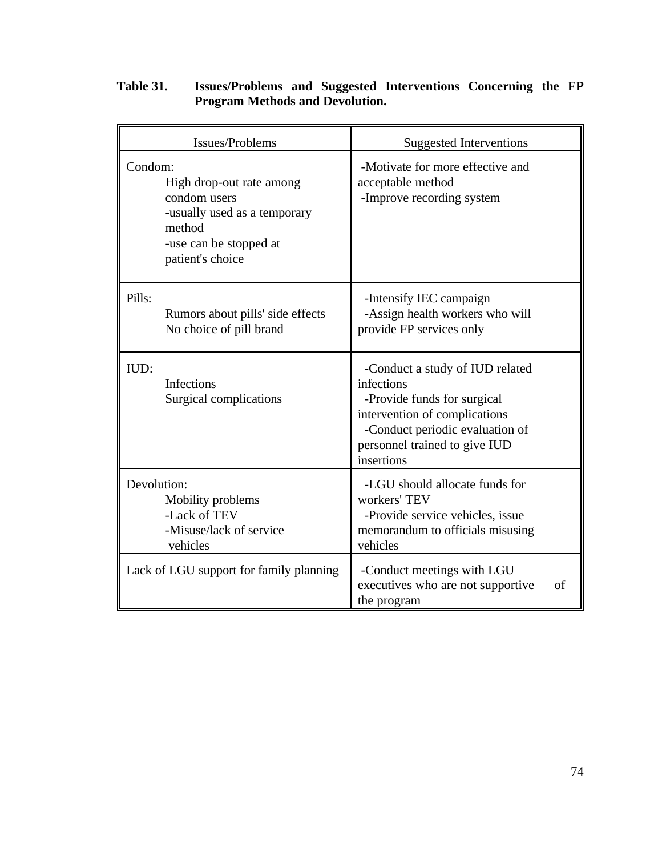|                                                              | Issues/Problems                                                                    | <b>Suggested Interventions</b>                                                                                                                                                                  |    |
|--------------------------------------------------------------|------------------------------------------------------------------------------------|-------------------------------------------------------------------------------------------------------------------------------------------------------------------------------------------------|----|
| Condom:<br>condom users<br>method<br>patient's choice        | High drop-out rate among<br>-usually used as a temporary<br>-use can be stopped at | -Motivate for more effective and<br>acceptable method<br>-Improve recording system                                                                                                              |    |
| Pills:                                                       | Rumors about pills' side effects<br>No choice of pill brand                        | -Intensify IEC campaign<br>-Assign health workers who will<br>provide FP services only                                                                                                          |    |
| IUD:<br><b>Infections</b>                                    | Surgical complications                                                             | -Conduct a study of IUD related<br>infections<br>-Provide funds for surgical<br>intervention of complications<br>-Conduct periodic evaluation of<br>personnel trained to give IUD<br>insertions |    |
| Devolution:<br>Mobility problems<br>-Lack of TEV<br>vehicles | -Misuse/lack of service                                                            | -LGU should allocate funds for<br>workers' TEV<br>-Provide service vehicles, issue<br>memorandum to officials misusing<br>vehicles                                                              |    |
|                                                              | Lack of LGU support for family planning                                            | -Conduct meetings with LGU<br>executives who are not supportive<br>the program                                                                                                                  | of |

### **Table 31. Issues/Problems and Suggested Interventions Concerning the FP Program Methods and Devolution.**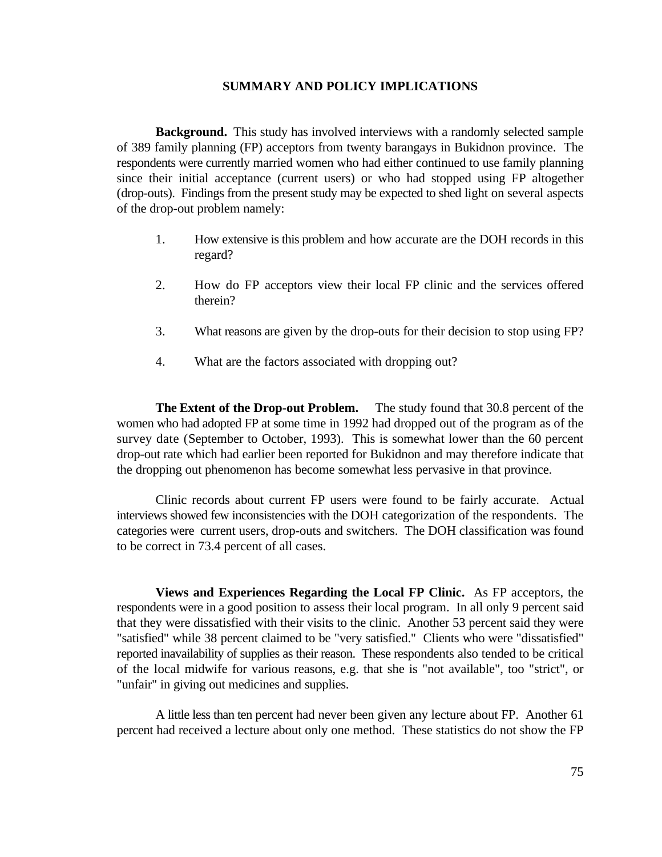### **SUMMARY AND POLICY IMPLICATIONS**

**Background.** This study has involved interviews with a randomly selected sample of 389 family planning (FP) acceptors from twenty barangays in Bukidnon province. The respondents were currently married women who had either continued to use family planning since their initial acceptance (current users) or who had stopped using FP altogether (drop-outs). Findings from the present study may be expected to shed light on several aspects of the drop-out problem namely:

- 1. How extensive is this problem and how accurate are the DOH records in this regard?
- 2. How do FP acceptors view their local FP clinic and the services offered therein?
- 3. What reasons are given by the drop-outs for their decision to stop using FP?
- 4. What are the factors associated with dropping out?

**The Extent of the Drop-out Problem.** The study found that 30.8 percent of the women who had adopted FP at some time in 1992 had dropped out of the program as of the survey date (September to October, 1993). This is somewhat lower than the 60 percent drop-out rate which had earlier been reported for Bukidnon and may therefore indicate that the dropping out phenomenon has become somewhat less pervasive in that province.

Clinic records about current FP users were found to be fairly accurate. Actual interviews showed few inconsistencies with the DOH categorization of the respondents. The categories were current users, drop-outs and switchers. The DOH classification was found to be correct in 73.4 percent of all cases.

**Views and Experiences Regarding the Local FP Clinic.** As FP acceptors, the respondents were in a good position to assess their local program. In all only 9 percent said that they were dissatisfied with their visits to the clinic. Another 53 percent said they were "satisfied" while 38 percent claimed to be "very satisfied." Clients who were "dissatisfied" reported inavailability of supplies as their reason. These respondents also tended to be critical of the local midwife for various reasons, e.g. that she is "not available", too "strict", or "unfair" in giving out medicines and supplies.

A little less than ten percent had never been given any lecture about FP. Another 61 percent had received a lecture about only one method. These statistics do not show the FP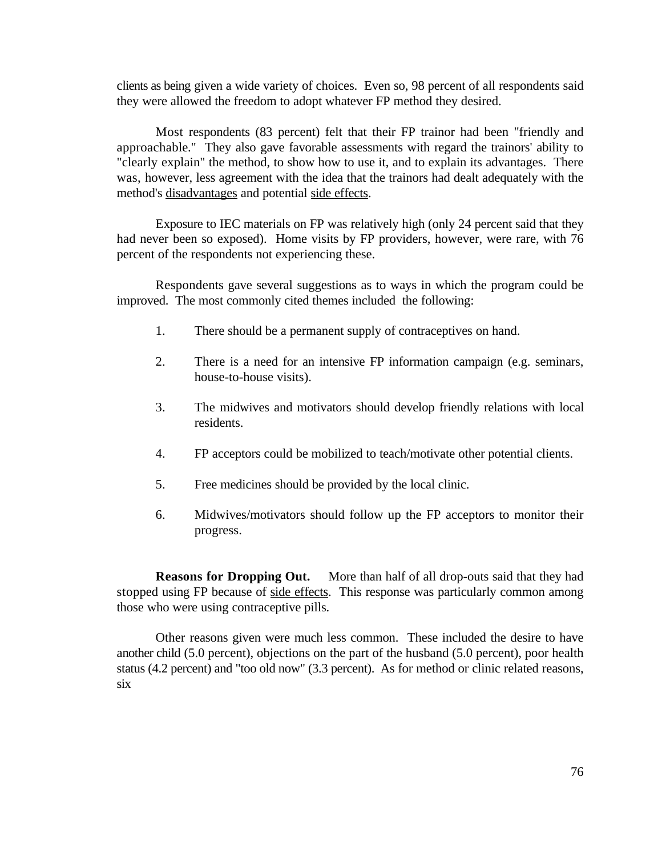clients as being given a wide variety of choices. Even so, 98 percent of all respondents said they were allowed the freedom to adopt whatever FP method they desired.

Most respondents (83 percent) felt that their FP trainor had been "friendly and approachable." They also gave favorable assessments with regard the trainors' ability to "clearly explain" the method, to show how to use it, and to explain its advantages. There was, however, less agreement with the idea that the trainors had dealt adequately with the method's disadvantages and potential side effects.

Exposure to IEC materials on FP was relatively high (only 24 percent said that they had never been so exposed). Home visits by FP providers, however, were rare, with 76 percent of the respondents not experiencing these.

Respondents gave several suggestions as to ways in which the program could be improved. The most commonly cited themes included the following:

- 1. There should be a permanent supply of contraceptives on hand.
- 2. There is a need for an intensive FP information campaign (e.g. seminars, house-to-house visits).
- 3. The midwives and motivators should develop friendly relations with local residents.
- 4. FP acceptors could be mobilized to teach/motivate other potential clients.
- 5. Free medicines should be provided by the local clinic.
- 6. Midwives/motivators should follow up the FP acceptors to monitor their progress.

**Reasons for Dropping Out.** More than half of all drop-outs said that they had stopped using FP because of side effects. This response was particularly common among those who were using contraceptive pills.

Other reasons given were much less common. These included the desire to have another child (5.0 percent), objections on the part of the husband (5.0 percent), poor health status (4.2 percent) and "too old now" (3.3 percent). As for method or clinic related reasons, six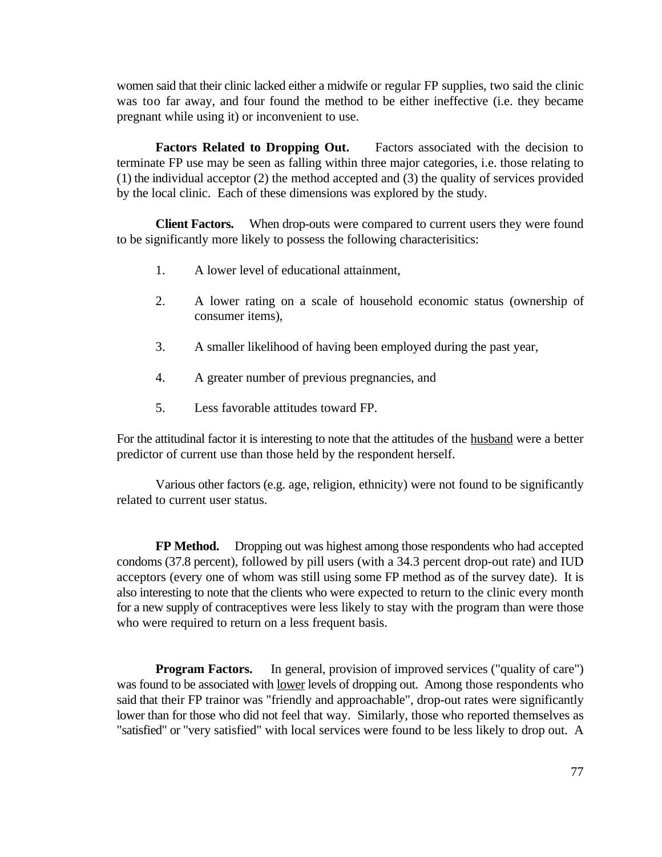women said that their clinic lacked either a midwife or regular FP supplies, two said the clinic was too far away, and four found the method to be either ineffective (i.e. they became pregnant while using it) or inconvenient to use.

**Factors Related to Dropping Out.** Factors associated with the decision to terminate FP use may be seen as falling within three major categories, i.e. those relating to (1) the individual acceptor (2) the method accepted and (3) the quality of services provided by the local clinic. Each of these dimensions was explored by the study.

**Client Factors.** When drop-outs were compared to current users they were found to be significantly more likely to possess the following characterisitics:

- 1. A lower level of educational attainment,
- 2. A lower rating on a scale of household economic status (ownership of consumer items),
- 3. A smaller likelihood of having been employed during the past year,
- 4. A greater number of previous pregnancies, and
- 5. Less favorable attitudes toward FP.

For the attitudinal factor it is interesting to note that the attitudes of the husband were a better predictor of current use than those held by the respondent herself.

Various other factors (e.g. age, religion, ethnicity) were not found to be significantly related to current user status.

**FP Method.** Dropping out was highest among those respondents who had accepted condoms (37.8 percent), followed by pill users (with a 34.3 percent drop-out rate) and IUD acceptors (every one of whom was still using some FP method as of the survey date). It is also interesting to note that the clients who were expected to return to the clinic every month for a new supply of contraceptives were less likely to stay with the program than were those who were required to return on a less frequent basis.

**Program Factors.** In general, provision of improved services ("quality of care") was found to be associated with <u>lower</u> levels of dropping out. Among those respondents who said that their FP trainor was "friendly and approachable", drop-out rates were significantly lower than for those who did not feel that way. Similarly, those who reported themselves as "satisfied" or "very satisfied" with local services were found to be less likely to drop out. A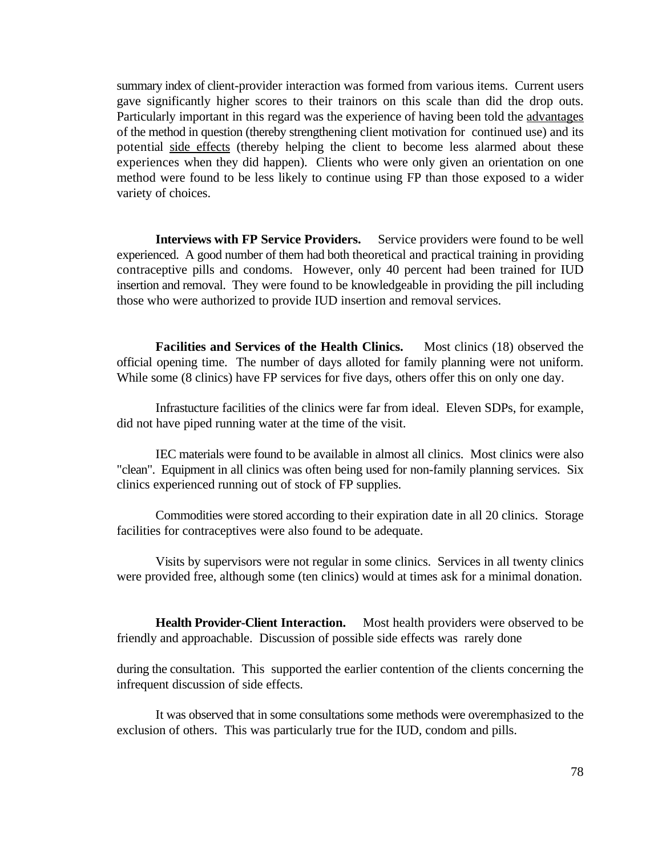summary index of client-provider interaction was formed from various items. Current users gave significantly higher scores to their trainors on this scale than did the drop outs. Particularly important in this regard was the experience of having been told the advantages of the method in question (thereby strengthening client motivation for continued use) and its potential side effects (thereby helping the client to become less alarmed about these experiences when they did happen). Clients who were only given an orientation on one method were found to be less likely to continue using FP than those exposed to a wider variety of choices.

**Interviews with FP Service Providers.** Service providers were found to be well experienced. A good number of them had both theoretical and practical training in providing contraceptive pills and condoms. However, only 40 percent had been trained for IUD insertion and removal. They were found to be knowledgeable in providing the pill including those who were authorized to provide IUD insertion and removal services.

**Facilities and Services of the Health Clinics.** Most clinics (18) observed the official opening time. The number of days alloted for family planning were not uniform. While some (8 clinics) have FP services for five days, others offer this on only one day.

Infrastucture facilities of the clinics were far from ideal. Eleven SDPs, for example, did not have piped running water at the time of the visit.

IEC materials were found to be available in almost all clinics. Most clinics were also "clean". Equipment in all clinics was often being used for non-family planning services. Six clinics experienced running out of stock of FP supplies.

Commodities were stored according to their expiration date in all 20 clinics. Storage facilities for contraceptives were also found to be adequate.

Visits by supervisors were not regular in some clinics. Services in all twenty clinics were provided free, although some (ten clinics) would at times ask for a minimal donation.

**Health Provider-Client Interaction.** Most health providers were observed to be friendly and approachable. Discussion of possible side effects was rarely done

during the consultation. This supported the earlier contention of the clients concerning the infrequent discussion of side effects.

It was observed that in some consultations some methods were overemphasized to the exclusion of others. This was particularly true for the IUD, condom and pills.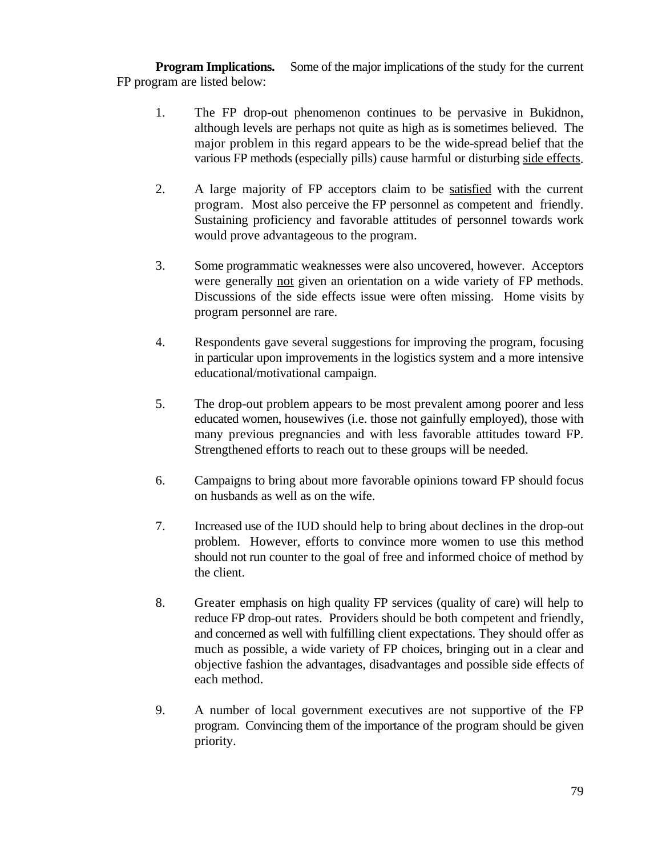**Program Implications.** Some of the major implications of the study for the current FP program are listed below:

- 1. The FP drop-out phenomenon continues to be pervasive in Bukidnon, although levels are perhaps not quite as high as is sometimes believed. The major problem in this regard appears to be the wide-spread belief that the various FP methods (especially pills) cause harmful or disturbing side effects.
- 2. A large majority of FP acceptors claim to be satisfied with the current program. Most also perceive the FP personnel as competent and friendly. Sustaining proficiency and favorable attitudes of personnel towards work would prove advantageous to the program.
- 3. Some programmatic weaknesses were also uncovered, however. Acceptors were generally not given an orientation on a wide variety of FP methods. Discussions of the side effects issue were often missing. Home visits by program personnel are rare.
- 4. Respondents gave several suggestions for improving the program, focusing in particular upon improvements in the logistics system and a more intensive educational/motivational campaign.
- 5. The drop-out problem appears to be most prevalent among poorer and less educated women, housewives (i.e. those not gainfully employed), those with many previous pregnancies and with less favorable attitudes toward FP. Strengthened efforts to reach out to these groups will be needed.
- 6. Campaigns to bring about more favorable opinions toward FP should focus on husbands as well as on the wife.
- 7. Increased use of the IUD should help to bring about declines in the drop-out problem. However, efforts to convince more women to use this method should not run counter to the goal of free and informed choice of method by the client.
- 8. Greater emphasis on high quality FP services (quality of care) will help to reduce FP drop-out rates. Providers should be both competent and friendly, and concerned as well with fulfilling client expectations. They should offer as much as possible, a wide variety of FP choices, bringing out in a clear and objective fashion the advantages, disadvantages and possible side effects of each method.
- 9. A number of local government executives are not supportive of the FP program. Convincing them of the importance of the program should be given priority.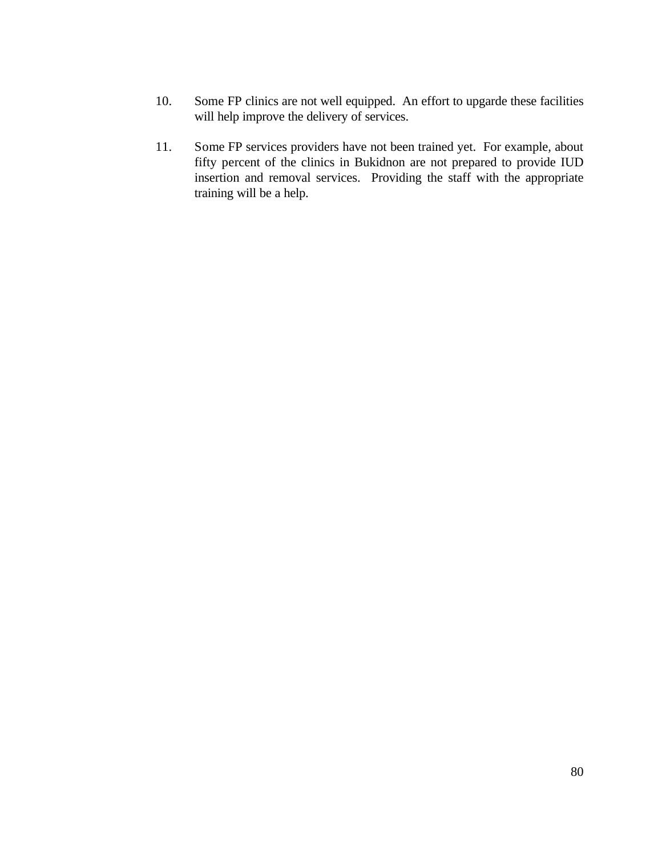- 10. Some FP clinics are not well equipped. An effort to upgarde these facilities will help improve the delivery of services.
- 11. Some FP services providers have not been trained yet. For example, about fifty percent of the clinics in Bukidnon are not prepared to provide IUD insertion and removal services. Providing the staff with the appropriate training will be a help.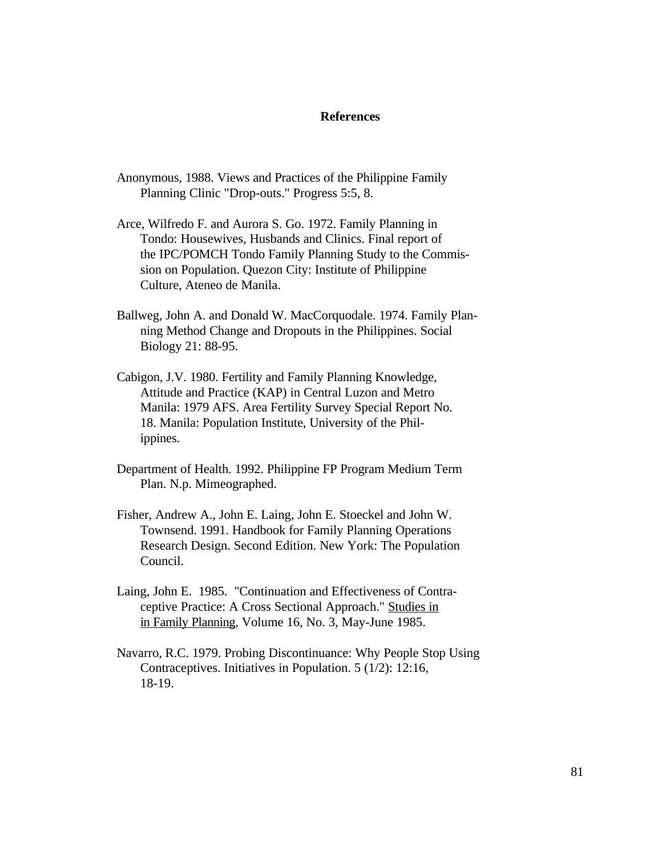#### **References**

- Anonymous, 1988. Views and Practices of the Philippine Family Planning Clinic "Drop-outs." Progress 5:5, 8.
- Arce, Wilfredo F. and Aurora S. Go. 1972. Family Planning in Tondo: Housewives, Husbands and Clinics. Final report of the IPC/POMCH Tondo Family Planning Study to the Commis sion on Population. Quezon City: Institute of Philippine Culture, Ateneo de Manila.
- Ballweg, John A. and Donald W. MacCorquodale. 1974. Family Plan ning Method Change and Dropouts in the Philippines. Social Biology 21: 88-95.
- Cabigon, J.V. 1980. Fertility and Family Planning Knowledge, Attitude and Practice (KAP) in Central Luzon and Metro Manila: 1979 AFS. Area Fertility Survey Special Report No. 18. Manila: Population Institute, University of the Phil ippines.
- Department of Health. 1992. Philippine FP Program Medium Term Plan. N.p. Mimeographed.
- Fisher, Andrew A., John E. Laing, John E. Stoeckel and John W. Townsend. 1991. Handbook for Family Planning Operations Research Design. Second Edition. New York: The Population Council.
- Laing, John E. 1985. "Continuation and Effectiveness of Contra ceptive Practice: A Cross Sectional Approach." Studies in in Family Planning, Volume 16, No. 3, May-June 1985.
- Navarro, R.C. 1979. Probing Discontinuance: Why People Stop Using Contraceptives. Initiatives in Population. 5 (1/2): 12:16, 18-19.